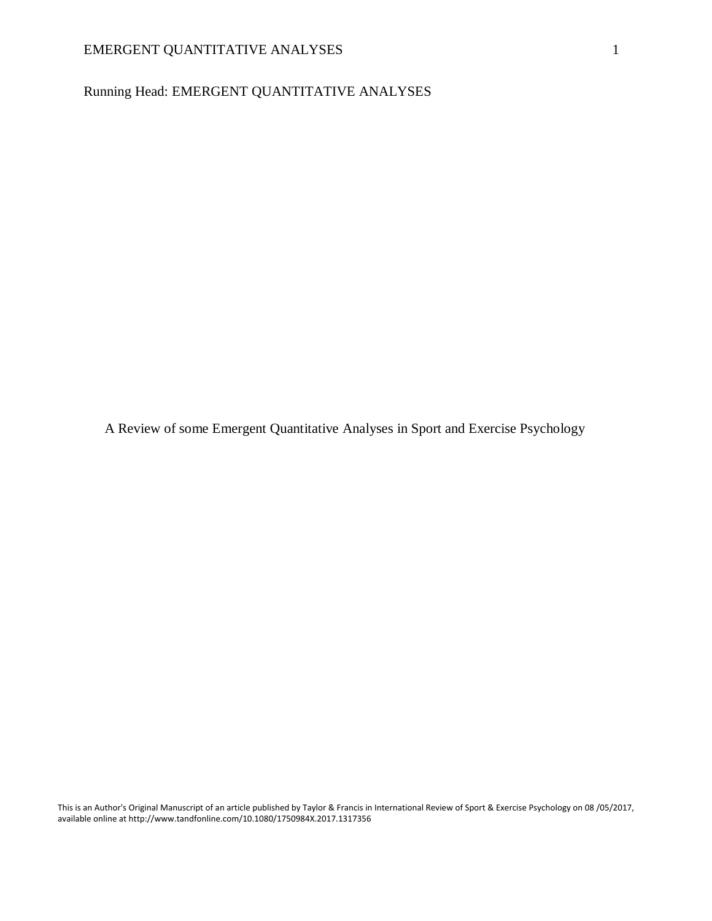Running Head: EMERGENT QUANTITATIVE ANALYSES

A Review of some Emergent Quantitative Analyses in Sport and Exercise Psychology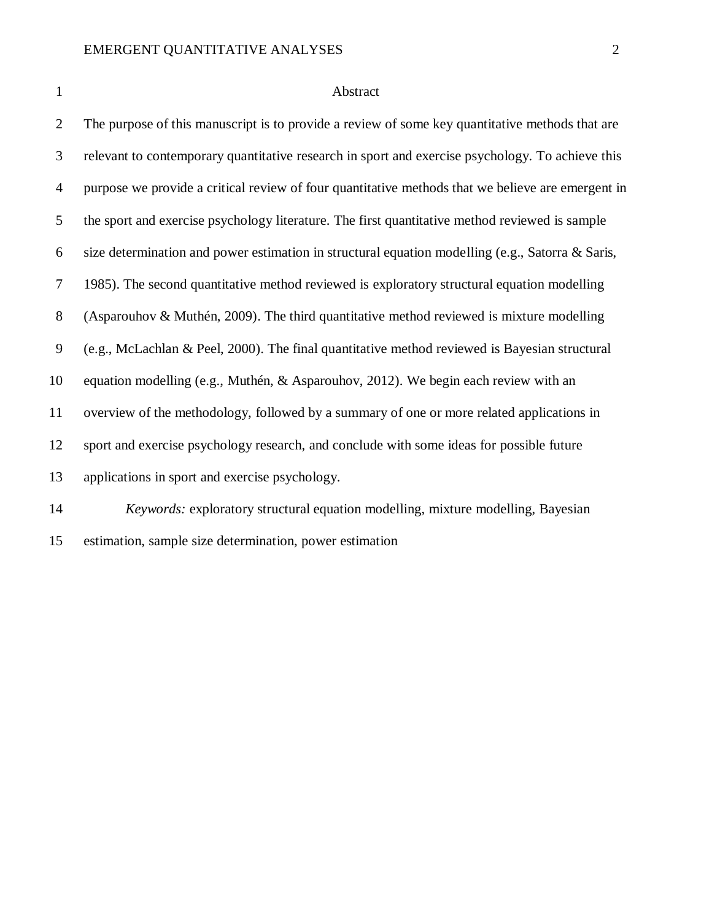#### 1 Abstract

 The purpose of this manuscript is to provide a review of some key quantitative methods that are relevant to contemporary quantitative research in sport and exercise psychology. To achieve this purpose we provide a critical review of four quantitative methods that we believe are emergent in the sport and exercise psychology literature. The first quantitative method reviewed is sample size determination and power estimation in structural equation modelling (e.g., Satorra & Saris, 1985). The second quantitative method reviewed is exploratory structural equation modelling (Asparouhov & Muthén, 2009). The third quantitative method reviewed is mixture modelling (e.g., McLachlan & Peel, 2000). The final quantitative method reviewed is Bayesian structural equation modelling (e.g., Muthén, & Asparouhov, 2012). We begin each review with an overview of the methodology, followed by a summary of one or more related applications in sport and exercise psychology research, and conclude with some ideas for possible future applications in sport and exercise psychology. *Keywords:* exploratory structural equation modelling, mixture modelling, Bayesian

estimation, sample size determination, power estimation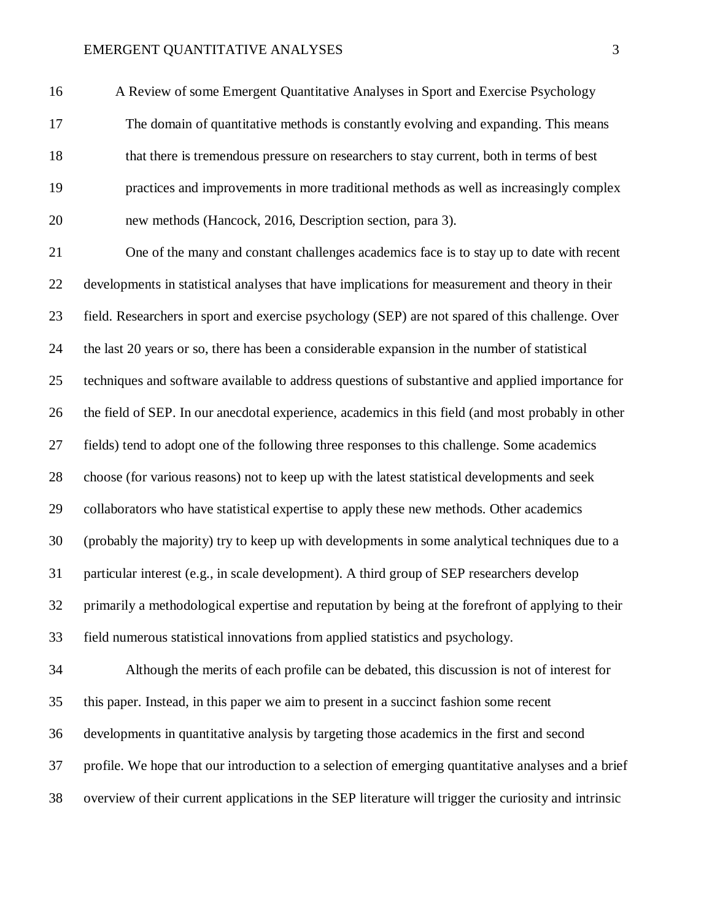A Review of some Emergent Quantitative Analyses in Sport and Exercise Psychology

 The domain of quantitative methods is constantly evolving and expanding. This means that there is tremendous pressure on researchers to stay current, both in terms of best practices and improvements in more traditional methods as well as increasingly complex new methods (Hancock, 2016, Description section, para 3).

 One of the many and constant challenges academics face is to stay up to date with recent developments in statistical analyses that have implications for measurement and theory in their field. Researchers in sport and exercise psychology (SEP) are not spared of this challenge. Over the last 20 years or so, there has been a considerable expansion in the number of statistical techniques and software available to address questions of substantive and applied importance for the field of SEP. In our anecdotal experience, academics in this field (and most probably in other fields) tend to adopt one of the following three responses to this challenge. Some academics choose (for various reasons) not to keep up with the latest statistical developments and seek collaborators who have statistical expertise to apply these new methods. Other academics (probably the majority) try to keep up with developments in some analytical techniques due to a particular interest (e.g., in scale development). A third group of SEP researchers develop primarily a methodological expertise and reputation by being at the forefront of applying to their field numerous statistical innovations from applied statistics and psychology.

 Although the merits of each profile can be debated, this discussion is not of interest for this paper. Instead, in this paper we aim to present in a succinct fashion some recent developments in quantitative analysis by targeting those academics in the first and second profile. We hope that our introduction to a selection of emerging quantitative analyses and a brief overview of their current applications in the SEP literature will trigger the curiosity and intrinsic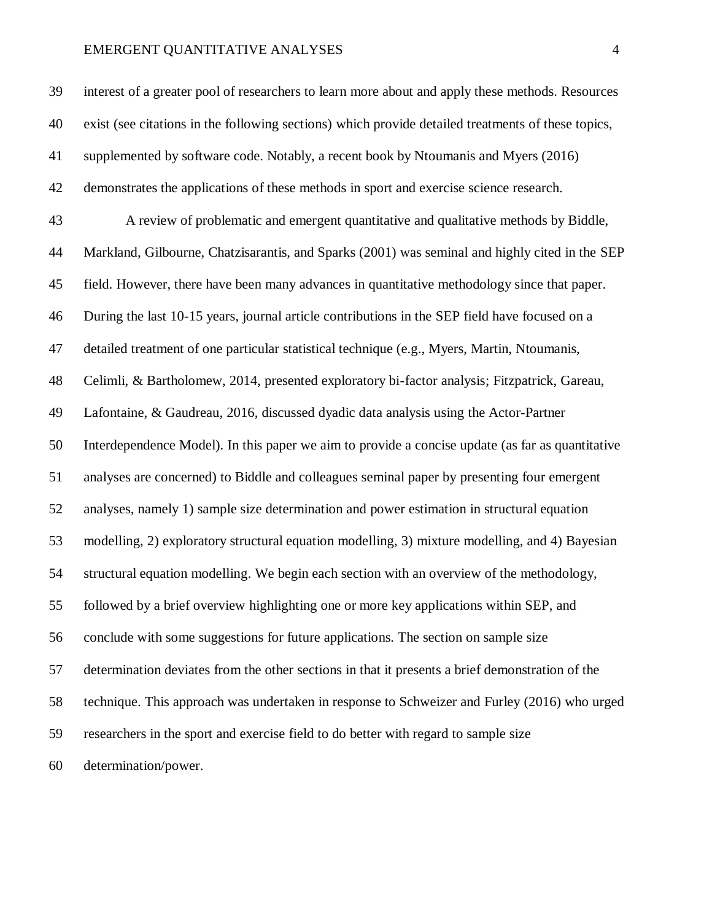interest of a greater pool of researchers to learn more about and apply these methods. Resources exist (see citations in the following sections) which provide detailed treatments of these topics, supplemented by software code. Notably, a recent book by Ntoumanis and Myers (2016) demonstrates the applications of these methods in sport and exercise science research. A review of problematic and emergent quantitative and qualitative methods by Biddle, Markland, Gilbourne, Chatzisarantis, and Sparks (2001) was seminal and highly cited in the SEP field. However, there have been many advances in quantitative methodology since that paper. During the last 10-15 years, journal article contributions in the SEP field have focused on a detailed treatment of one particular statistical technique (e.g., Myers, Martin, Ntoumanis, Celimli, & Bartholomew, 2014, presented exploratory bi-factor analysis; Fitzpatrick, Gareau, Lafontaine, & Gaudreau, 2016, discussed dyadic data analysis using the Actor-Partner Interdependence Model). In this paper we aim to provide a concise update (as far as quantitative analyses are concerned) to Biddle and colleagues seminal paper by presenting four emergent analyses, namely 1) sample size determination and power estimation in structural equation modelling, 2) exploratory structural equation modelling, 3) mixture modelling, and 4) Bayesian structural equation modelling. We begin each section with an overview of the methodology, followed by a brief overview highlighting one or more key applications within SEP, and conclude with some suggestions for future applications. The section on sample size determination deviates from the other sections in that it presents a brief demonstration of the technique. This approach was undertaken in response to Schweizer and Furley (2016) who urged researchers in the sport and exercise field to do better with regard to sample size

determination/power.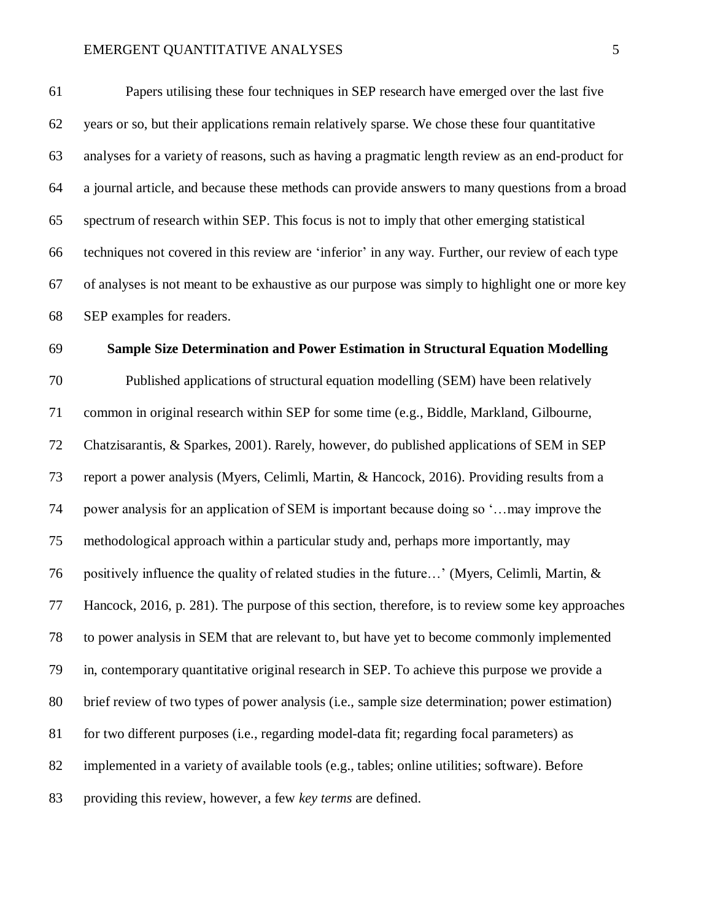Papers utilising these four techniques in SEP research have emerged over the last five years or so, but their applications remain relatively sparse. We chose these four quantitative analyses for a variety of reasons, such as having a pragmatic length review as an end-product for a journal article, and because these methods can provide answers to many questions from a broad spectrum of research within SEP. This focus is not to imply that other emerging statistical techniques not covered in this review are 'inferior' in any way. Further, our review of each type of analyses is not meant to be exhaustive as our purpose was simply to highlight one or more key SEP examples for readers.

## **Sample Size Determination and Power Estimation in Structural Equation Modelling**

 Published applications of structural equation modelling (SEM) have been relatively common in original research within SEP for some time (e.g., Biddle, Markland, Gilbourne, Chatzisarantis, & Sparkes, 2001). Rarely, however, do published applications of SEM in SEP report a power analysis (Myers, Celimli, Martin, & Hancock, 2016). Providing results from a power analysis for an application of SEM is important because doing so '…may improve the methodological approach within a particular study and, perhaps more importantly, may positively influence the quality of related studies in the future…' (Myers, Celimli, Martin, & Hancock, 2016, p. 281). The purpose of this section, therefore, is to review some key approaches to power analysis in SEM that are relevant to, but have yet to become commonly implemented in, contemporary quantitative original research in SEP. To achieve this purpose we provide a brief review of two types of power analysis (i.e., sample size determination; power estimation) for two different purposes (i.e., regarding model-data fit; regarding focal parameters) as implemented in a variety of available tools (e.g., tables; online utilities; software). Before providing this review, however, a few *key terms* are defined.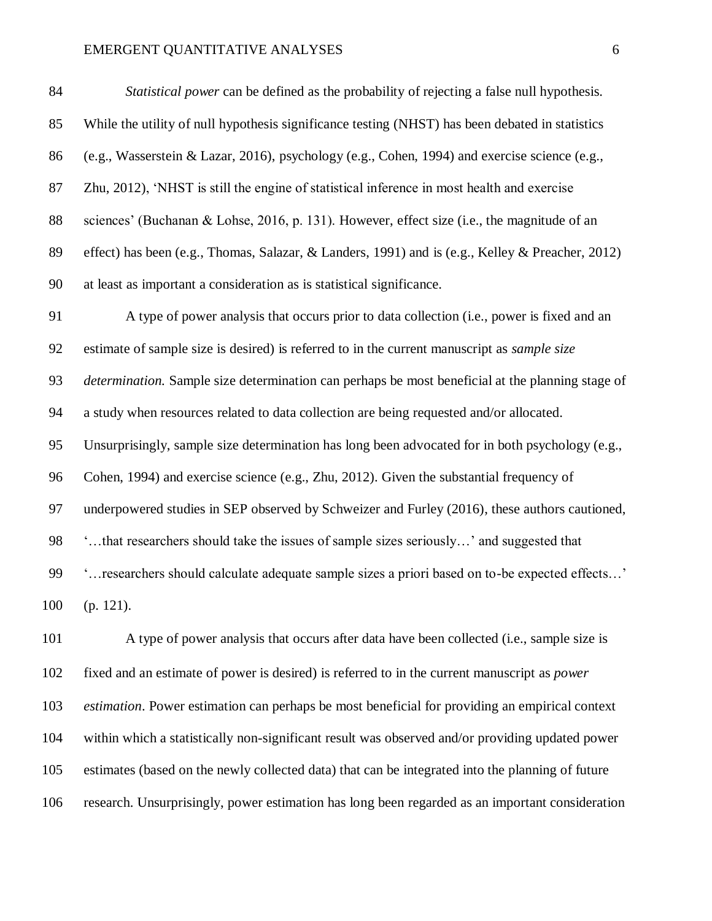Zhu, 2012), 'NHST is still the engine of statistical inference in most health and exercise sciences' (Buchanan & Lohse, 2016, p. 131). However, effect size (i.e., the magnitude of an effect) has been (e.g., Thomas, Salazar, & Landers, 1991) and is (e.g., Kelley & Preacher, 2012)

at least as important a consideration as is statistical significance.

 A type of power analysis that occurs prior to data collection (i.e., power is fixed and an estimate of sample size is desired) is referred to in the current manuscript as *sample size determination.* Sample size determination can perhaps be most beneficial at the planning stage of a study when resources related to data collection are being requested and/or allocated. Unsurprisingly, sample size determination has long been advocated for in both psychology (e.g., Cohen, 1994) and exercise science (e.g., Zhu, 2012). Given the substantial frequency of underpowered studies in SEP observed by Schweizer and Furley (2016), these authors cautioned, '…that researchers should take the issues of sample sizes seriously…' and suggested that '…researchers should calculate adequate sample sizes a priori based on to-be expected effects…' (p. 121).

 A type of power analysis that occurs after data have been collected (i.e., sample size is fixed and an estimate of power is desired) is referred to in the current manuscript as *power estimation*. Power estimation can perhaps be most beneficial for providing an empirical context within which a statistically non-significant result was observed and/or providing updated power estimates (based on the newly collected data) that can be integrated into the planning of future research. Unsurprisingly, power estimation has long been regarded as an important consideration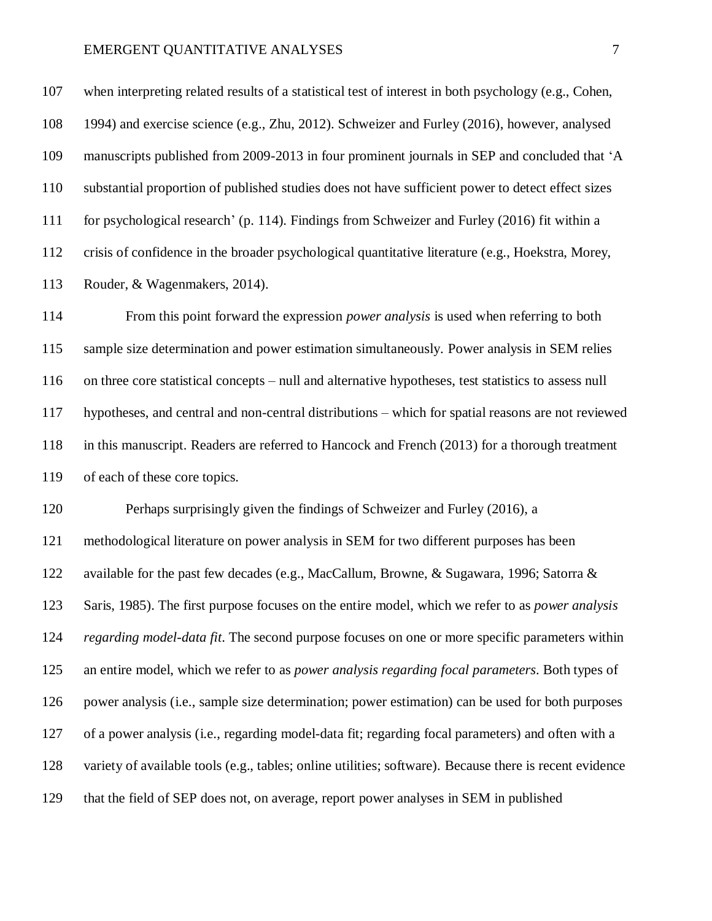when interpreting related results of a statistical test of interest in both psychology (e.g., Cohen, 1994) and exercise science (e.g., Zhu, 2012). Schweizer and Furley (2016), however, analysed manuscripts published from 2009-2013 in four prominent journals in SEP and concluded that 'A substantial proportion of published studies does not have sufficient power to detect effect sizes for psychological research' (p. 114). Findings from Schweizer and Furley (2016) fit within a crisis of confidence in the broader psychological quantitative literature (e.g., Hoekstra, Morey, Rouder, & Wagenmakers, 2014).

 From this point forward the expression *power analysis* is used when referring to both sample size determination and power estimation simultaneously. Power analysis in SEM relies on three core statistical concepts – null and alternative hypotheses, test statistics to assess null hypotheses, and central and non-central distributions – which for spatial reasons are not reviewed in this manuscript. Readers are referred to Hancock and French (2013) for a thorough treatment of each of these core topics.

 Perhaps surprisingly given the findings of Schweizer and Furley (2016), a methodological literature on power analysis in SEM for two different purposes has been available for the past few decades (e.g., MacCallum, Browne, & Sugawara, 1996; Satorra & Saris, 1985). The first purpose focuses on the entire model, which we refer to as *power analysis regarding model-data fit*. The second purpose focuses on one or more specific parameters within an entire model, which we refer to as *power analysis regarding focal parameters*. Both types of power analysis (i.e., sample size determination; power estimation) can be used for both purposes of a power analysis (i.e., regarding model-data fit; regarding focal parameters) and often with a variety of available tools (e.g., tables; online utilities; software). Because there is recent evidence that the field of SEP does not, on average, report power analyses in SEM in published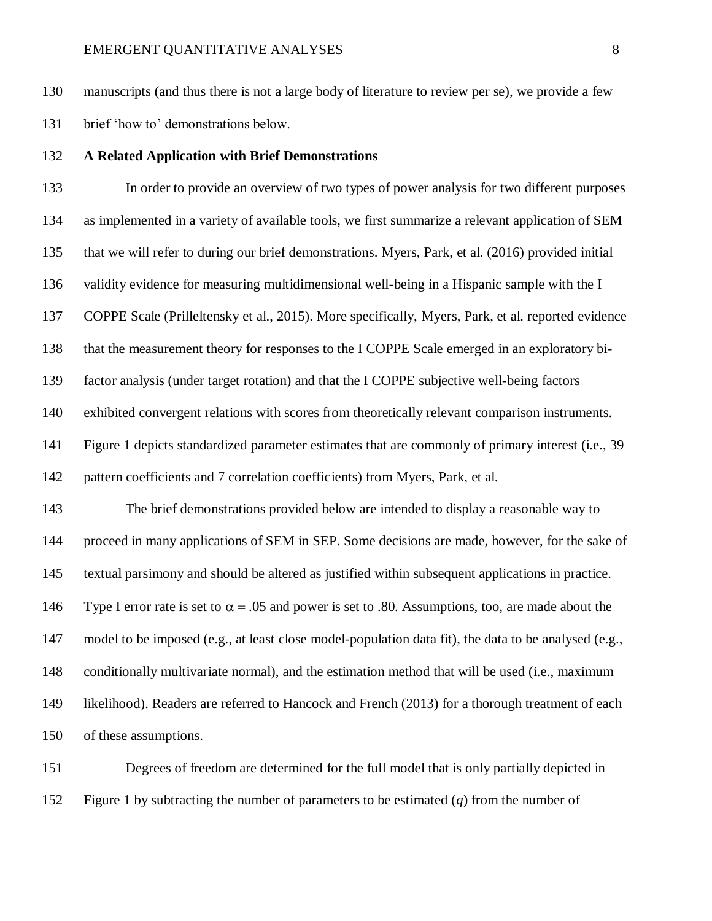manuscripts (and thus there is not a large body of literature to review per se), we provide a few

brief 'how to' demonstrations below.

# **A Related Application with Brief Demonstrations**

 In order to provide an overview of two types of power analysis for two different purposes as implemented in a variety of available tools, we first summarize a relevant application of SEM that we will refer to during our brief demonstrations. Myers, Park, et al. (2016) provided initial validity evidence for measuring multidimensional well-being in a Hispanic sample with the I COPPE Scale (Prilleltensky et al., 2015). More specifically, Myers, Park, et al. reported evidence that the measurement theory for responses to the I COPPE Scale emerged in an exploratory bi- factor analysis (under target rotation) and that the I COPPE subjective well-being factors exhibited convergent relations with scores from theoretically relevant comparison instruments. Figure 1 depicts standardized parameter estimates that are commonly of primary interest (i.e., 39 pattern coefficients and 7 correlation coefficients) from Myers, Park, et al. The brief demonstrations provided below are intended to display a reasonable way to proceed in many applications of SEM in SEP. Some decisions are made, however, for the sake of textual parsimony and should be altered as justified within subsequent applications in practice. 146 Type I error rate is set to  $\alpha = .05$  and power is set to .80. Assumptions, too, are made about the model to be imposed (e.g., at least close model-population data fit), the data to be analysed (e.g., conditionally multivariate normal), and the estimation method that will be used (i.e., maximum likelihood). Readers are referred to Hancock and French (2013) for a thorough treatment of each of these assumptions.

 Degrees of freedom are determined for the full model that is only partially depicted in Figure 1 by subtracting the number of parameters to be estimated (*q*) from the number of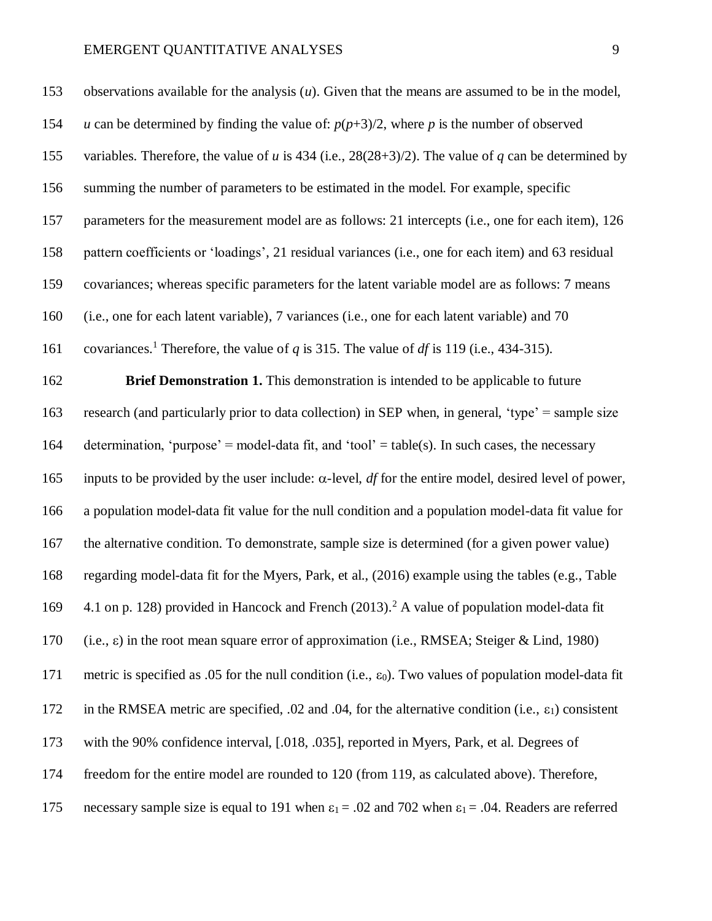| 153 | observations available for the analysis $(u)$ . Given that the means are assumed to be in the model,                |
|-----|---------------------------------------------------------------------------------------------------------------------|
| 154 | u can be determined by finding the value of: $p(p+3)/2$ , where p is the number of observed                         |
| 155 | variables. Therefore, the value of u is 434 (i.e., $28(28+3)/2$ ). The value of q can be determined by              |
| 156 | summing the number of parameters to be estimated in the model. For example, specific                                |
| 157 | parameters for the measurement model are as follows: 21 intercepts (i.e., one for each item), 126                   |
| 158 | pattern coefficients or 'loadings', 21 residual variances (i.e., one for each item) and 63 residual                 |
| 159 | covariances; whereas specific parameters for the latent variable model are as follows: 7 means                      |
| 160 | (i.e., one for each latent variable), 7 variances (i.e., one for each latent variable) and 70                       |
| 161 | covariances. <sup>1</sup> Therefore, the value of q is 315. The value of df is 119 (i.e., 434-315).                 |
| 162 | Brief Demonstration 1. This demonstration is intended to be applicable to future                                    |
| 163 | research (and particularly prior to data collection) in SEP when, in general, 'type' = sample size                  |
| 164 | determination, 'purpose' = model-data fit, and 'tool' = table(s). In such cases, the necessary                      |
| 165 | inputs to be provided by the user include: $\alpha$ -level, <i>df</i> for the entire model, desired level of power, |
| 166 | a population model-data fit value for the null condition and a population model-data fit value for                  |
| 167 | the alternative condition. To demonstrate, sample size is determined (for a given power value)                      |
| 168 | regarding model-data fit for the Myers, Park, et al., (2016) example using the tables (e.g., Table                  |
| 169 | 4.1 on p. 128) provided in Hancock and French (2013). <sup>2</sup> A value of population model-data fit             |
| 170 | (i.e., $\varepsilon$ ) in the root mean square error of approximation (i.e., RMSEA; Steiger & Lind, 1980)           |
| 171 | metric is specified as .05 for the null condition (i.e., $\varepsilon_0$ ). Two values of population model-data fit |
| 172 | in the RMSEA metric are specified, .02 and .04, for the alternative condition (i.e., $\varepsilon_1$ ) consistent   |
| 173 | with the 90% confidence interval, [.018, .035], reported in Myers, Park, et al. Degrees of                          |
| 174 | freedom for the entire model are rounded to 120 (from 119, as calculated above). Therefore,                         |

175 necessary sample size is equal to 191 when  $\varepsilon_1 = .02$  and 702 when  $\varepsilon_1 = .04$ . Readers are referred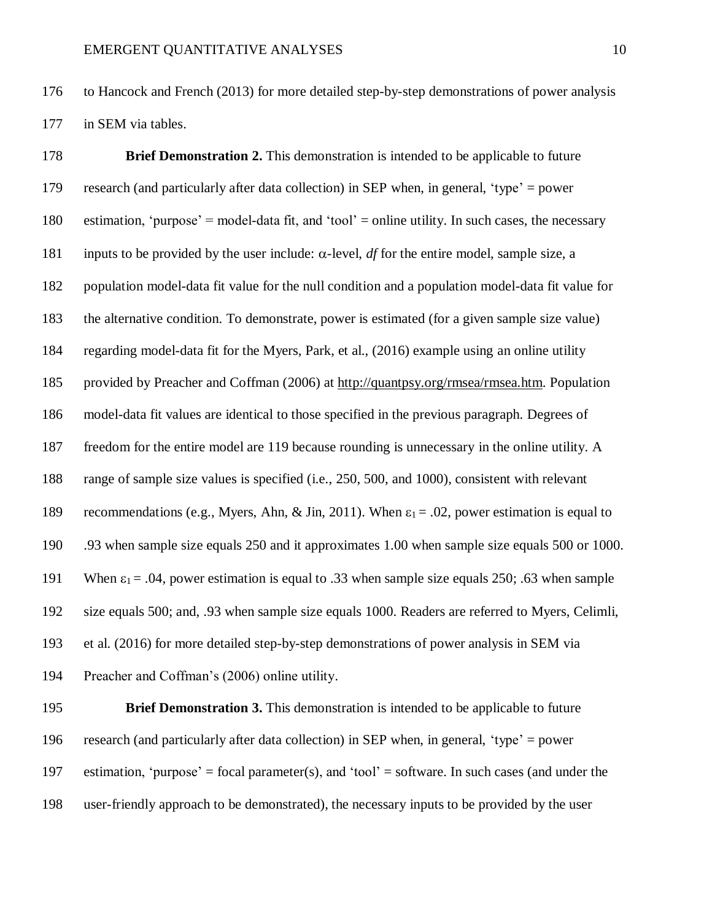to Hancock and French (2013) for more detailed step-by-step demonstrations of power analysis in SEM via tables.

 **Brief Demonstration 2.** This demonstration is intended to be applicable to future research (and particularly after data collection) in SEP when, in general, 'type' = power estimation, 'purpose' = model-data fit, and 'tool' = online utility. In such cases, the necessary 181 inputs to be provided by the user include:  $\alpha$ -level, *df* for the entire model, sample size, a population model-data fit value for the null condition and a population model-data fit value for the alternative condition. To demonstrate, power is estimated (for a given sample size value) regarding model-data fit for the Myers, Park, et al., (2016) example using an online utility provided by Preacher and Coffman (2006) at [http://quantpsy.org/rmsea/rmsea.htm.](http://quantpsy.org/rmsea/rmsea.htm) Population model-data fit values are identical to those specified in the previous paragraph. Degrees of freedom for the entire model are 119 because rounding is unnecessary in the online utility. A range of sample size values is specified (i.e., 250, 500, and 1000), consistent with relevant 189 recommendations (e.g., Myers, Ahn, & Jin, 2011). When  $\varepsilon_1 = .02$ , power estimation is equal to .93 when sample size equals 250 and it approximates 1.00 when sample size equals 500 or 1000. 191 When  $\varepsilon_1 = .04$ , power estimation is equal to .33 when sample size equals 250; .63 when sample size equals 500; and, .93 when sample size equals 1000. Readers are referred to Myers, Celimli, et al. (2016) for more detailed step-by-step demonstrations of power analysis in SEM via Preacher and Coffman's (2006) online utility.

 **Brief Demonstration 3.** This demonstration is intended to be applicable to future research (and particularly after data collection) in SEP when, in general, 'type' = power 197 estimation, 'purpose' = focal parameter(s), and 'tool' = software. In such cases (and under the user-friendly approach to be demonstrated), the necessary inputs to be provided by the user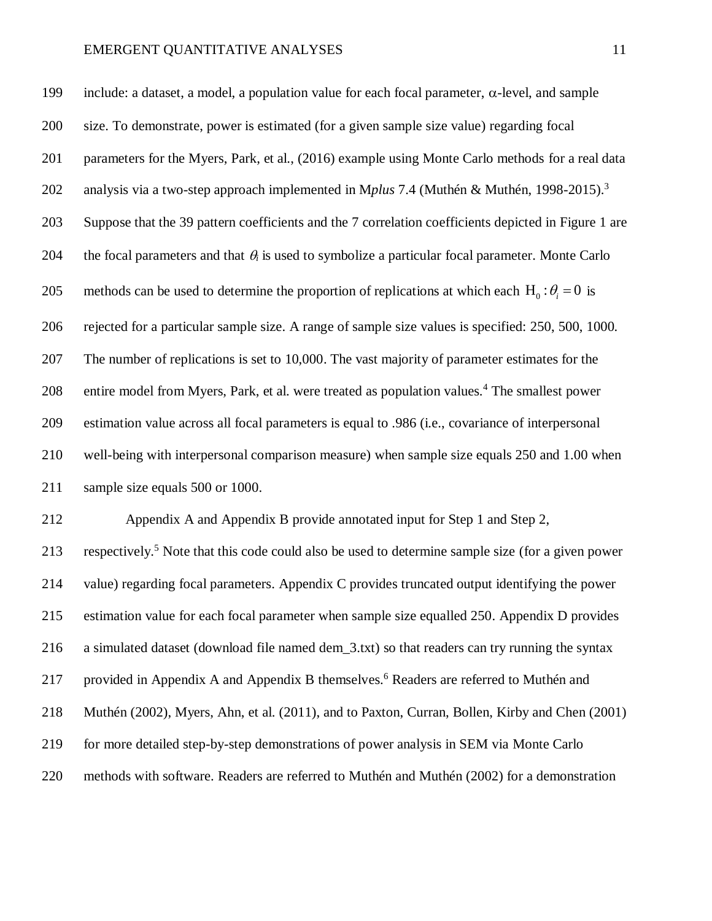199 include: a dataset, a model, a population value for each focal parameter,  $\alpha$ -level, and sample size. To demonstrate, power is estimated (for a given sample size value) regarding focal parameters for the Myers, Park, et al., (2016) example using Monte Carlo methods for a real data analysis via a two-step approach implemented in M*plus* 7.4 (Muthén & Muthén, 1998-2015). 3 Suppose that the 39 pattern coefficients and the 7 correlation coefficients depicted in Figure 1 are 204 the focal parameters and that  $\theta_i$  is used to symbolize a particular focal parameter. Monte Carlo 205 methods can be used to determine the proportion of replications at which each  $H_0: \theta_i = 0$  is rejected for a particular sample size. A range of sample size values is specified: 250, 500, 1000. The number of replications is set to 10,000. The vast majority of parameter estimates for the 208 entire model from Myers, Park, et al. were treated as population values.<sup>4</sup> The smallest power estimation value across all focal parameters is equal to .986 (i.e., covariance of interpersonal well-being with interpersonal comparison measure) when sample size equals 250 and 1.00 when sample size equals 500 or 1000.

 Appendix A and Appendix B provide annotated input for Step 1 and Step 2, 213 respectively.<sup>5</sup> Note that this code could also be used to determine sample size (for a given power value) regarding focal parameters. Appendix C provides truncated output identifying the power estimation value for each focal parameter when sample size equalled 250. Appendix D provides a simulated dataset (download file named dem\_3.txt) so that readers can try running the syntax 217 provided in Appendix A and Appendix B themselves.<sup>6</sup> Readers are referred to Muthén and Muthén (2002), Myers, Ahn, et al. (2011), and to Paxton, Curran, Bollen, Kirby and Chen (2001) for more detailed step-by-step demonstrations of power analysis in SEM via Monte Carlo methods with software. Readers are referred to Muthén and Muthén (2002) for a demonstration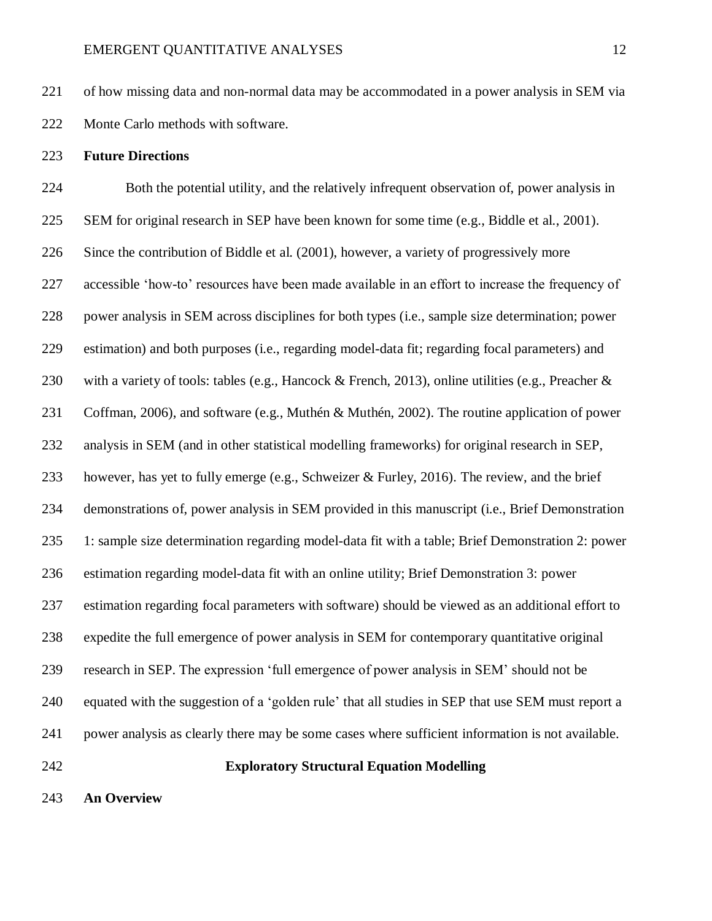of how missing data and non-normal data may be accommodated in a power analysis in SEM via Monte Carlo methods with software.

# **Future Directions**

 Both the potential utility, and the relatively infrequent observation of, power analysis in SEM for original research in SEP have been known for some time (e.g., Biddle et al., 2001). Since the contribution of Biddle et al. (2001), however, a variety of progressively more accessible 'how-to' resources have been made available in an effort to increase the frequency of power analysis in SEM across disciplines for both types (i.e., sample size determination; power estimation) and both purposes (i.e., regarding model-data fit; regarding focal parameters) and with a variety of tools: tables (e.g., Hancock & French, 2013), online utilities (e.g., Preacher & Coffman, 2006), and software (e.g., Muthén & Muthén, 2002). The routine application of power analysis in SEM (and in other statistical modelling frameworks) for original research in SEP, however, has yet to fully emerge (e.g., Schweizer & Furley, 2016). The review, and the brief demonstrations of, power analysis in SEM provided in this manuscript (i.e., Brief Demonstration 1: sample size determination regarding model-data fit with a table; Brief Demonstration 2: power estimation regarding model-data fit with an online utility; Brief Demonstration 3: power estimation regarding focal parameters with software) should be viewed as an additional effort to expedite the full emergence of power analysis in SEM for contemporary quantitative original research in SEP. The expression 'full emergence of power analysis in SEM' should not be equated with the suggestion of a 'golden rule' that all studies in SEP that use SEM must report a power analysis as clearly there may be some cases where sufficient information is not available. **Exploratory Structural Equation Modelling** 

**An Overview**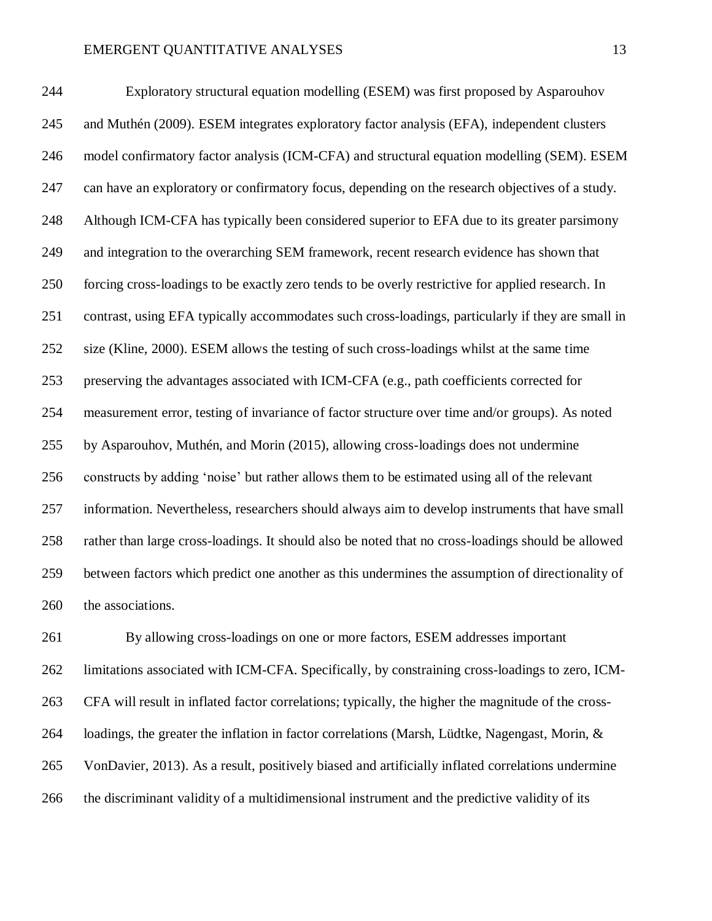Exploratory structural equation modelling (ESEM) was first proposed by Asparouhov and Muthén (2009). ESEM integrates exploratory factor analysis (EFA), independent clusters model confirmatory factor analysis (ICM-CFA) and structural equation modelling (SEM). ESEM can have an exploratory or confirmatory focus, depending on the research objectives of a study. Although ICM-CFA has typically been considered superior to EFA due to its greater parsimony and integration to the overarching SEM framework, recent research evidence has shown that forcing cross-loadings to be exactly zero tends to be overly restrictive for applied research. In contrast, using EFA typically accommodates such cross-loadings, particularly if they are small in size (Kline, 2000). ESEM allows the testing of such cross-loadings whilst at the same time preserving the advantages associated with ICM-CFA (e.g., path coefficients corrected for measurement error, testing of invariance of factor structure over time and/or groups). As noted by Asparouhov, Muthén, and Morin (2015), allowing cross-loadings does not undermine constructs by adding 'noise' but rather allows them to be estimated using all of the relevant information. Nevertheless, researchers should always aim to develop instruments that have small rather than large cross-loadings. It should also be noted that no cross-loadings should be allowed between factors which predict one another as this undermines the assumption of directionality of the associations.

 By allowing cross-loadings on one or more factors, ESEM addresses important limitations associated with ICM-CFA. Specifically, by constraining cross-loadings to zero, ICM- CFA will result in inflated factor correlations; typically, the higher the magnitude of the cross- loadings, the greater the inflation in factor correlations (Marsh, Lüdtke, Nagengast, Morin, & VonDavier, 2013). As a result, positively biased and artificially inflated correlations undermine the discriminant validity of a multidimensional instrument and the predictive validity of its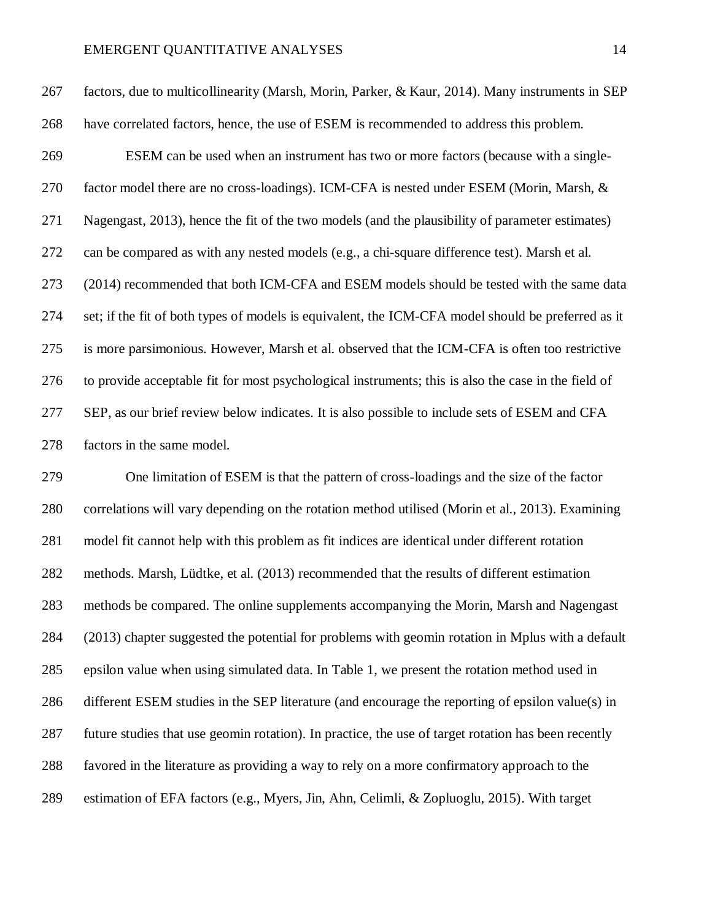factors, due to multicollinearity (Marsh, Morin, Parker, & Kaur, 2014). Many instruments in SEP have correlated factors, hence, the use of ESEM is recommended to address this problem. ESEM can be used when an instrument has two or more factors (because with a single-270 factor model there are no cross-loadings). ICM-CFA is nested under ESEM (Morin, Marsh, & Nagengast, 2013), hence the fit of the two models (and the plausibility of parameter estimates) can be compared as with any nested models (e.g., a chi-square difference test). Marsh et al. (2014) recommended that both ICM-CFA and ESEM models should be tested with the same data set; if the fit of both types of models is equivalent, the ICM-CFA model should be preferred as it is more parsimonious. However, Marsh et al. observed that the ICM-CFA is often too restrictive to provide acceptable fit for most psychological instruments; this is also the case in the field of SEP, as our brief review below indicates. It is also possible to include sets of ESEM and CFA factors in the same model.

 One limitation of ESEM is that the pattern of cross-loadings and the size of the factor correlations will vary depending on the rotation method utilised (Morin et al., 2013). Examining model fit cannot help with this problem as fit indices are identical under different rotation methods. Marsh, Lüdtke, et al. (2013) recommended that the results of different estimation methods be compared. The online supplements accompanying the Morin, Marsh and Nagengast (2013) chapter suggested the potential for problems with geomin rotation in Mplus with a default epsilon value when using simulated data. In Table 1, we present the rotation method used in different ESEM studies in the SEP literature (and encourage the reporting of epsilon value(s) in future studies that use geomin rotation). In practice, the use of target rotation has been recently favored in the literature as providing a way to rely on a more confirmatory approach to the estimation of EFA factors (e.g., Myers, Jin, Ahn, Celimli, & Zopluoglu, 2015). With target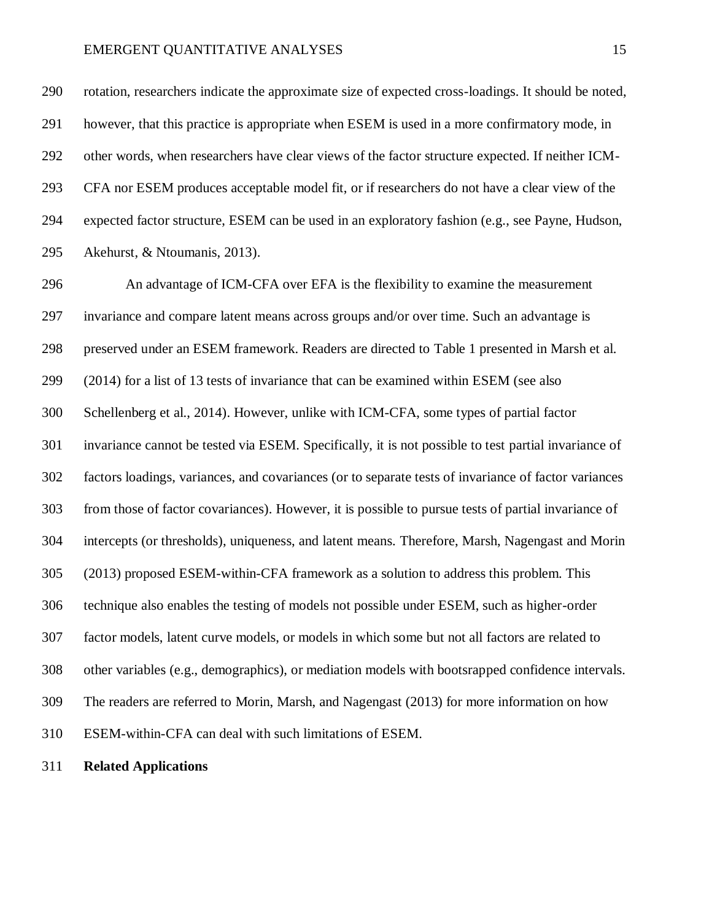rotation, researchers indicate the approximate size of expected cross-loadings. It should be noted, however, that this practice is appropriate when ESEM is used in a more confirmatory mode, in other words, when researchers have clear views of the factor structure expected. If neither ICM- CFA nor ESEM produces acceptable model fit, or if researchers do not have a clear view of the expected factor structure, ESEM can be used in an exploratory fashion (e.g., see Payne, Hudson, Akehurst, & Ntoumanis, 2013).

 An advantage of ICM-CFA over EFA is the flexibility to examine the measurement invariance and compare latent means across groups and/or over time. Such an advantage is preserved under an ESEM framework. Readers are directed to Table 1 presented in Marsh et al. (2014) for a list of 13 tests of invariance that can be examined within ESEM (see also Schellenberg et al., 2014). However, unlike with ICM-CFA, some types of partial factor invariance cannot be tested via ESEM. Specifically, it is not possible to test partial invariance of factors loadings, variances, and covariances (or to separate tests of invariance of factor variances from those of factor covariances). However, it is possible to pursue tests of partial invariance of intercepts (or thresholds), uniqueness, and latent means. Therefore, Marsh, Nagengast and Morin (2013) proposed ESEM-within-CFA framework as a solution to address this problem. This technique also enables the testing of models not possible under ESEM, such as higher-order factor models, latent curve models, or models in which some but not all factors are related to other variables (e.g., demographics), or mediation models with bootsrapped confidence intervals. The readers are referred to Morin, Marsh, and Nagengast (2013) for more information on how ESEM-within-CFA can deal with such limitations of ESEM.

**Related Applications**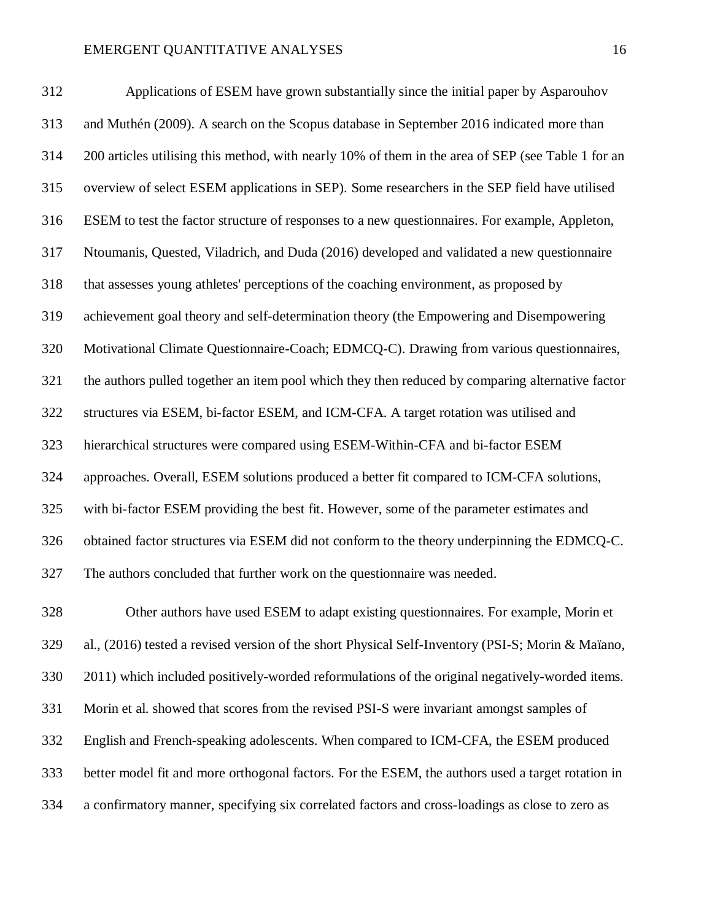Applications of ESEM have grown substantially since the initial paper by Asparouhov and Muthén (2009). A search on the Scopus database in September 2016 indicated more than 200 articles utilising this method, with nearly 10% of them in the area of SEP (see Table 1 for an overview of select ESEM applications in SEP). Some researchers in the SEP field have utilised ESEM to test the factor structure of responses to a new questionnaires. For example, Appleton, Ntoumanis, Quested, Viladrich, and Duda (2016) developed and validated a new questionnaire that assesses young athletes' perceptions of the coaching environment, as proposed by achievement goal theory and self-determination theory (the Empowering and Disempowering Motivational Climate Questionnaire-Coach; EDMCQ-C). Drawing from various questionnaires, the authors pulled together an item pool which they then reduced by comparing alternative factor structures via ESEM, bi-factor ESEM, and ICM-CFA. A target rotation was utilised and hierarchical structures were compared using ESEM-Within-CFA and bi-factor ESEM approaches. Overall, ESEM solutions produced a better fit compared to ICM-CFA solutions, with bi-factor ESEM providing the best fit. However, some of the parameter estimates and obtained factor structures via ESEM did not conform to the theory underpinning the EDMCQ-C. The authors concluded that further work on the questionnaire was needed.

 Other authors have used ESEM to adapt existing questionnaires. For example, Morin et al., (2016) tested a revised version of the short Physical Self-Inventory (PSI-S; Morin & Maïano, 2011) which included positively-worded reformulations of the original negatively-worded items. Morin et al. showed that scores from the revised PSI-S were invariant amongst samples of English and French-speaking adolescents. When compared to ICM-CFA, the ESEM produced better model fit and more orthogonal factors. For the ESEM, the authors used a target rotation in a confirmatory manner, specifying six correlated factors and cross-loadings as close to zero as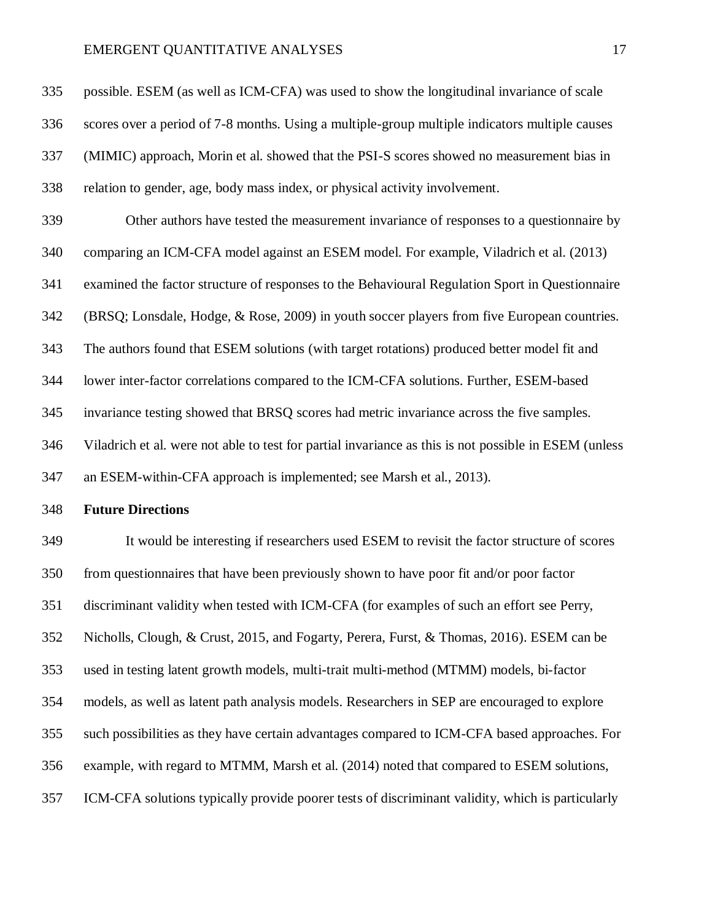possible. ESEM (as well as ICM-CFA) was used to show the longitudinal invariance of scale scores over a period of 7-8 months. Using a multiple-group multiple indicators multiple causes (MIMIC) approach, Morin et al. showed that the PSI-S scores showed no measurement bias in relation to gender, age, body mass index, or physical activity involvement. Other authors have tested the measurement invariance of responses to a questionnaire by comparing an ICM-CFA model against an ESEM model. For example, Viladrich et al. (2013) examined the factor structure of responses to the Behavioural Regulation Sport in Questionnaire (BRSQ; Lonsdale, Hodge, & Rose, 2009) in youth soccer players from five European countries. The authors found that ESEM solutions (with target rotations) produced better model fit and lower inter-factor correlations compared to the ICM-CFA solutions. Further, ESEM-based invariance testing showed that BRSQ scores had metric invariance across the five samples. Viladrich et al. were not able to test for partial invariance as this is not possible in ESEM (unless an ESEM-within-CFA approach is implemented; see Marsh et al., 2013).

#### **Future Directions**

 It would be interesting if researchers used ESEM to revisit the factor structure of scores from questionnaires that have been previously shown to have poor fit and/or poor factor discriminant validity when tested with ICM-CFA (for examples of such an effort see Perry, Nicholls, Clough, & Crust, 2015, and Fogarty, Perera, Furst, & Thomas, 2016). ESEM can be used in testing latent growth models, multi-trait multi-method (MTMM) models, bi-factor models, as well as latent path analysis models. Researchers in SEP are encouraged to explore such possibilities as they have certain advantages compared to ICM-CFA based approaches. For example, with regard to MTMM, Marsh et al. (2014) noted that compared to ESEM solutions, ICM-CFA solutions typically provide poorer tests of discriminant validity, which is particularly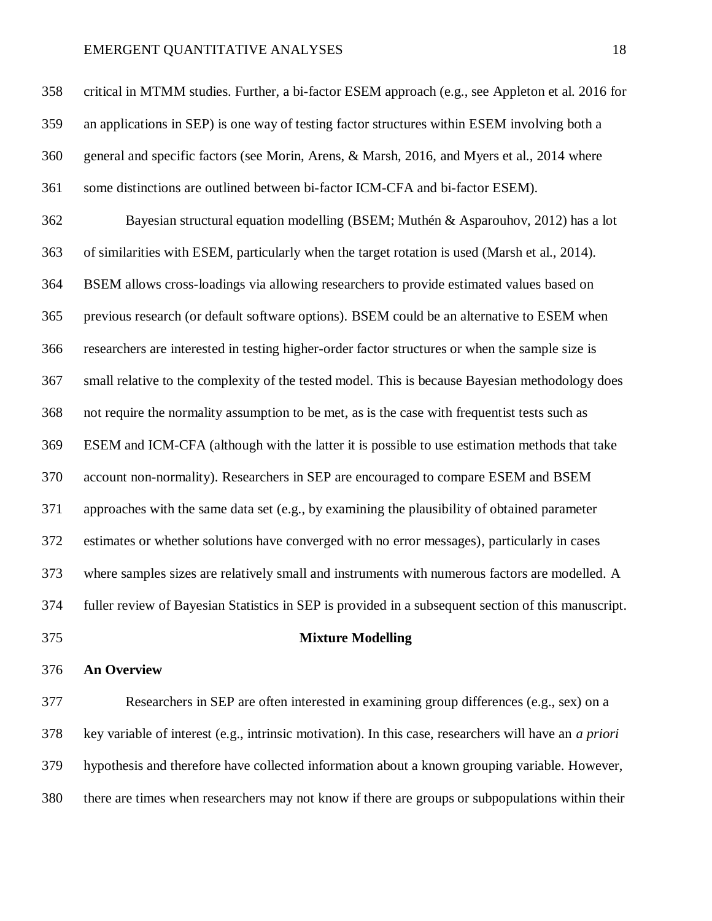critical in MTMM studies. Further, a bi-factor ESEM approach (e.g., see Appleton et al. 2016 for an applications in SEP) is one way of testing factor structures within ESEM involving both a general and specific factors (see Morin, Arens, & Marsh, 2016, and Myers et al., 2014 where some distinctions are outlined between bi-factor ICM-CFA and bi-factor ESEM). Bayesian structural equation modelling (BSEM; Muthén & Asparouhov, 2012) has a lot of similarities with ESEM, particularly when the target rotation is used (Marsh et al., 2014). BSEM allows cross-loadings via allowing researchers to provide estimated values based on previous research (or default software options). BSEM could be an alternative to ESEM when researchers are interested in testing higher-order factor structures or when the sample size is small relative to the complexity of the tested model. This is because Bayesian methodology does not require the normality assumption to be met, as is the case with frequentist tests such as ESEM and ICM-CFA (although with the latter it is possible to use estimation methods that take account non-normality). Researchers in SEP are encouraged to compare ESEM and BSEM approaches with the same data set (e.g., by examining the plausibility of obtained parameter estimates or whether solutions have converged with no error messages), particularly in cases where samples sizes are relatively small and instruments with numerous factors are modelled. A fuller review of Bayesian Statistics in SEP is provided in a subsequent section of this manuscript. **Mixture Modelling**

#### **An Overview**

 Researchers in SEP are often interested in examining group differences (e.g., sex) on a key variable of interest (e.g., intrinsic motivation). In this case, researchers will have an *a priori* hypothesis and therefore have collected information about a known grouping variable. However, there are times when researchers may not know if there are groups or subpopulations within their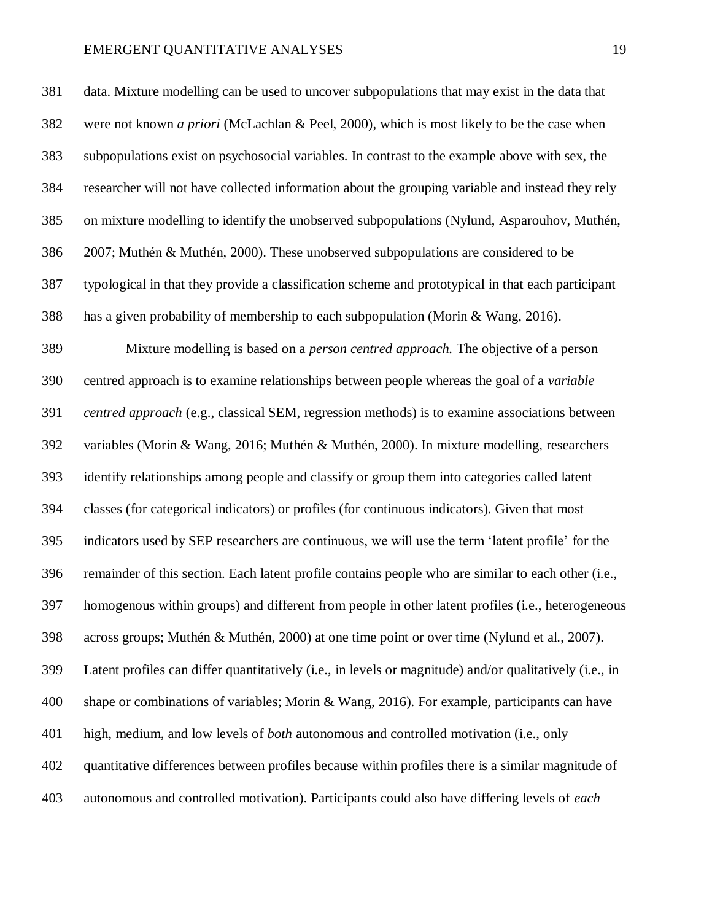data. Mixture modelling can be used to uncover subpopulations that may exist in the data that were not known *a priori* (McLachlan & Peel, 2000), which is most likely to be the case when subpopulations exist on psychosocial variables. In contrast to the example above with sex, the researcher will not have collected information about the grouping variable and instead they rely on mixture modelling to identify the unobserved subpopulations (Nylund, Asparouhov, Muthén, 2007; Muthén & Muthén, 2000). These unobserved subpopulations are considered to be typological in that they provide a classification scheme and prototypical in that each participant has a given probability of membership to each subpopulation (Morin & Wang, 2016). Mixture modelling is based on a *person centred approach.* The objective of a person centred approach is to examine relationships between people whereas the goal of a *variable centred approach* (e.g., classical SEM, regression methods) is to examine associations between variables (Morin & Wang, 2016; Muthén & Muthén, 2000). In mixture modelling, researchers identify relationships among people and classify or group them into categories called latent classes (for categorical indicators) or profiles (for continuous indicators). Given that most indicators used by SEP researchers are continuous, we will use the term 'latent profile' for the remainder of this section. Each latent profile contains people who are similar to each other (i.e., homogenous within groups) and different from people in other latent profiles (i.e., heterogeneous across groups; Muthén & Muthén, 2000) at one time point or over time (Nylund et al., 2007). Latent profiles can differ quantitatively (i.e., in levels or magnitude) and/or qualitatively (i.e., in shape or combinations of variables; Morin & Wang, 2016). For example, participants can have high, medium, and low levels of *both* autonomous and controlled motivation (i.e., only quantitative differences between profiles because within profiles there is a similar magnitude of autonomous and controlled motivation). Participants could also have differing levels of *each*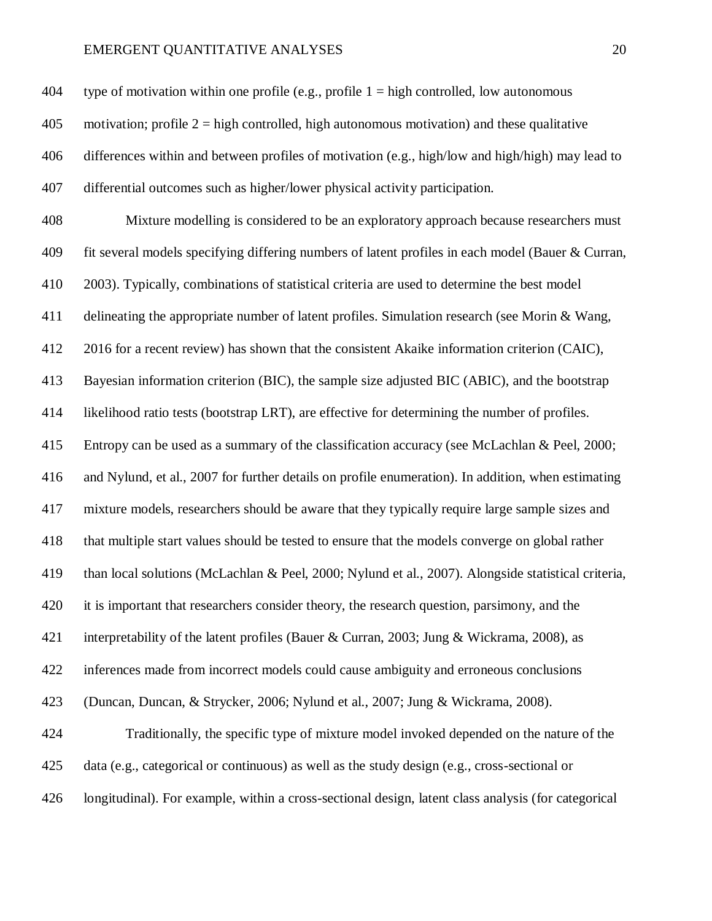| 404 | type of motivation within one profile (e.g., profile $1 =$ high controlled, low autonomous          |
|-----|-----------------------------------------------------------------------------------------------------|
| 405 | motivation; profile $2 =$ high controlled, high autonomous motivation) and these qualitative        |
| 406 | differences within and between profiles of motivation (e.g., high/low and high/high) may lead to    |
| 407 | differential outcomes such as higher/lower physical activity participation.                         |
| 408 | Mixture modelling is considered to be an exploratory approach because researchers must              |
| 409 | fit several models specifying differing numbers of latent profiles in each model (Bauer & Curran,   |
| 410 | 2003). Typically, combinations of statistical criteria are used to determine the best model         |
| 411 | delineating the appropriate number of latent profiles. Simulation research (see Morin & Wang,       |
| 412 | 2016 for a recent review) has shown that the consistent Akaike information criterion (CAIC),        |
| 413 | Bayesian information criterion (BIC), the sample size adjusted BIC (ABIC), and the bootstrap        |
| 414 | likelihood ratio tests (bootstrap LRT), are effective for determining the number of profiles.       |
| 415 | Entropy can be used as a summary of the classification accuracy (see McLachlan & Peel, 2000;        |
| 416 | and Nylund, et al., 2007 for further details on profile enumeration). In addition, when estimating  |
| 417 | mixture models, researchers should be aware that they typically require large sample sizes and      |
| 418 | that multiple start values should be tested to ensure that the models converge on global rather     |
| 419 | than local solutions (McLachlan & Peel, 2000; Nylund et al., 2007). Alongside statistical criteria, |
| 420 | it is important that researchers consider theory, the research question, parsimony, and the         |
| 421 | interpretability of the latent profiles (Bauer & Curran, 2003; Jung & Wickrama, 2008), as           |
| 422 | inferences made from incorrect models could cause ambiguity and erroneous conclusions               |
| 423 | (Duncan, Duncan, & Strycker, 2006; Nylund et al., 2007; Jung & Wickrama, 2008).                     |
| 424 | Traditionally, the specific type of mixture model invoked depended on the nature of the             |
| 425 | data (e.g., categorical or continuous) as well as the study design (e.g., cross-sectional or        |
| 426 | longitudinal). For example, within a cross-sectional design, latent class analysis (for categorical |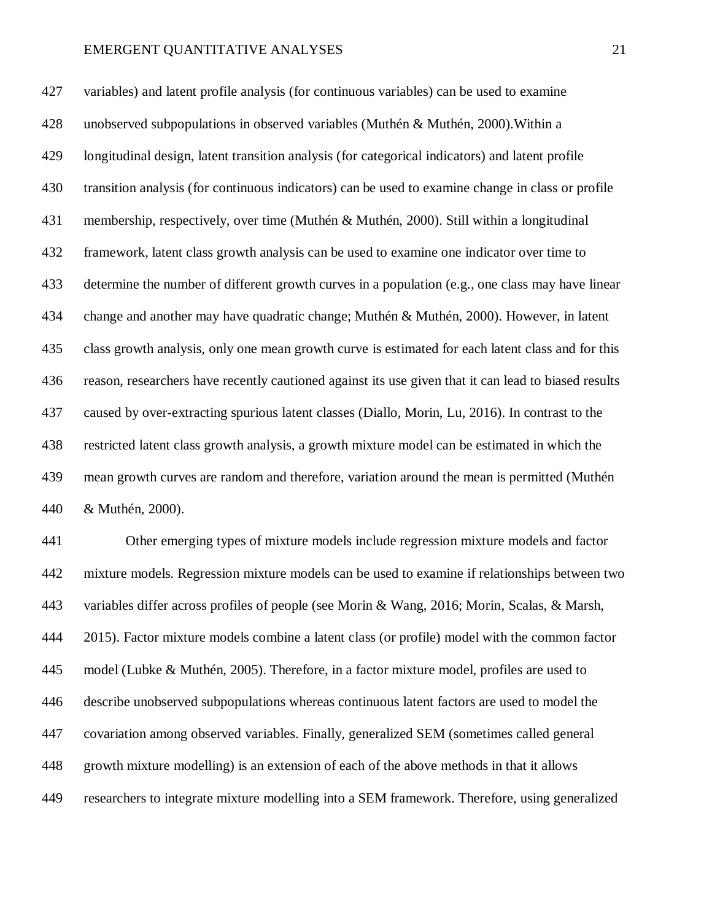variables) and latent profile analysis (for continuous variables) can be used to examine unobserved subpopulations in observed variables (Muthén & Muthén, 2000).Within a longitudinal design, latent transition analysis (for categorical indicators) and latent profile transition analysis (for continuous indicators) can be used to examine change in class or profile membership, respectively, over time (Muthén & Muthén, 2000). Still within a longitudinal framework, latent class growth analysis can be used to examine one indicator over time to determine the number of different growth curves in a population (e.g., one class may have linear change and another may have quadratic change; Muthén & Muthén, 2000). However, in latent class growth analysis, only one mean growth curve is estimated for each latent class and for this reason, researchers have recently cautioned against its use given that it can lead to biased results caused by over-extracting spurious latent classes (Diallo, Morin, Lu, 2016). In contrast to the restricted latent class growth analysis, a growth mixture model can be estimated in which the mean growth curves are random and therefore, variation around the mean is permitted (Muthén & Muthén, 2000).

 Other emerging types of mixture models include regression mixture models and factor mixture models. Regression mixture models can be used to examine if relationships between two variables differ across profiles of people (see Morin & Wang, 2016; Morin, Scalas, & Marsh, 2015). Factor mixture models combine a latent class (or profile) model with the common factor model (Lubke & Muthén, 2005). Therefore, in a factor mixture model, profiles are used to describe unobserved subpopulations whereas continuous latent factors are used to model the covariation among observed variables. Finally, generalized SEM (sometimes called general growth mixture modelling) is an extension of each of the above methods in that it allows researchers to integrate mixture modelling into a SEM framework. Therefore, using generalized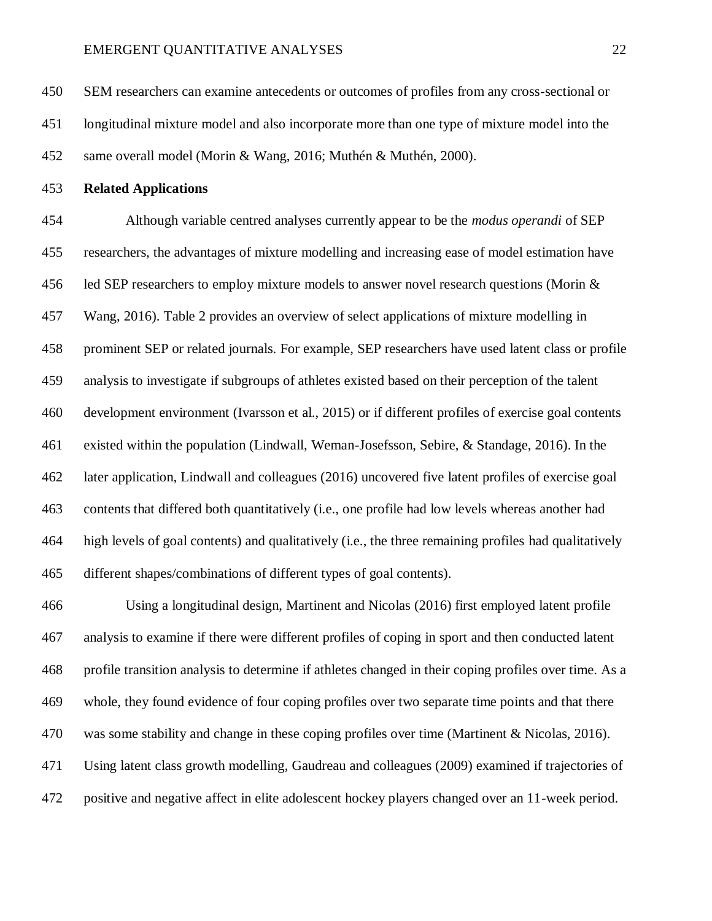SEM researchers can examine antecedents or outcomes of profiles from any cross-sectional or longitudinal mixture model and also incorporate more than one type of mixture model into the same overall model (Morin & Wang, 2016; Muthén & Muthén, 2000).

**Related Applications**

 Although variable centred analyses currently appear to be the *modus operandi* of SEP researchers, the advantages of mixture modelling and increasing ease of model estimation have led SEP researchers to employ mixture models to answer novel research questions (Morin & Wang, 2016). Table 2 provides an overview of select applications of mixture modelling in prominent SEP or related journals. For example, SEP researchers have used latent class or profile analysis to investigate if subgroups of athletes existed based on their perception of the talent development environment (Ivarsson et al., 2015) or if different profiles of exercise goal contents existed within the population (Lindwall, Weman-Josefsson, Sebire, & Standage, 2016). In the later application, Lindwall and colleagues (2016) uncovered five latent profiles of exercise goal contents that differed both quantitatively (i.e., one profile had low levels whereas another had high levels of goal contents) and qualitatively (i.e., the three remaining profiles had qualitatively different shapes/combinations of different types of goal contents).

 Using a longitudinal design, Martinent and Nicolas (2016) first employed latent profile analysis to examine if there were different profiles of coping in sport and then conducted latent profile transition analysis to determine if athletes changed in their coping profiles over time. As a whole, they found evidence of four coping profiles over two separate time points and that there was some stability and change in these coping profiles over time (Martinent & Nicolas, 2016). Using latent class growth modelling, Gaudreau and colleagues (2009) examined if trajectories of positive and negative affect in elite adolescent hockey players changed over an 11-week period.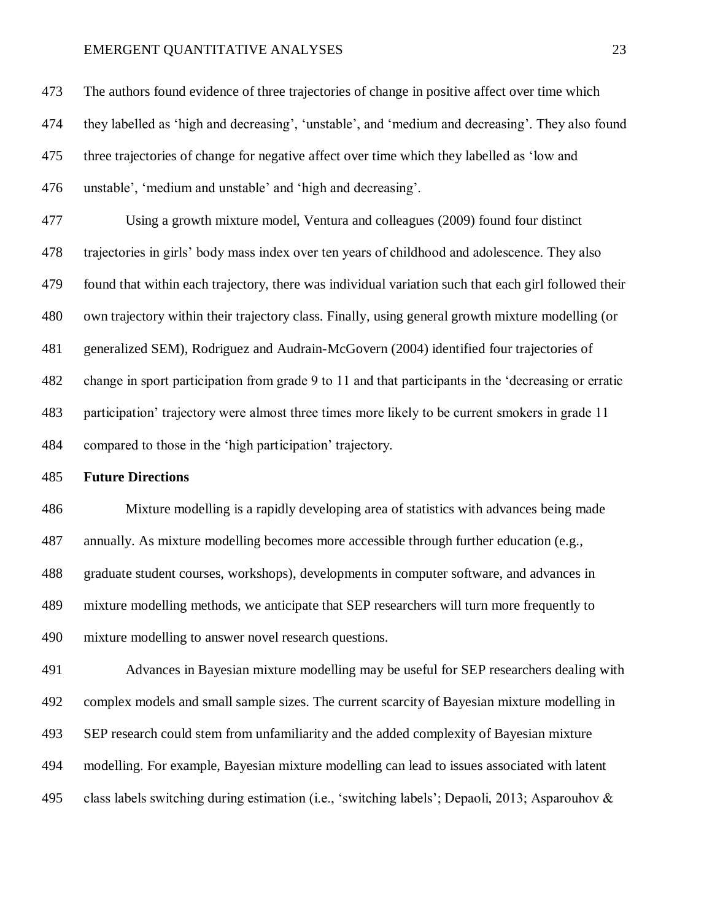The authors found evidence of three trajectories of change in positive affect over time which they labelled as 'high and decreasing', 'unstable', and 'medium and decreasing'. They also found three trajectories of change for negative affect over time which they labelled as 'low and unstable', 'medium and unstable' and 'high and decreasing'. Using a growth mixture model, Ventura and colleagues (2009) found four distinct trajectories in girls' body mass index over ten years of childhood and adolescence. They also found that within each trajectory, there was individual variation such that each girl followed their own trajectory within their trajectory class. Finally, using general growth mixture modelling (or generalized SEM), Rodriguez and Audrain-McGovern (2004) identified four trajectories of change in sport participation from grade 9 to 11 and that participants in the 'decreasing or erratic participation' trajectory were almost three times more likely to be current smokers in grade 11 compared to those in the 'high participation' trajectory.

## **Future Directions**

 Mixture modelling is a rapidly developing area of statistics with advances being made annually. As mixture modelling becomes more accessible through further education (e.g., graduate student courses, workshops), developments in computer software, and advances in mixture modelling methods, we anticipate that SEP researchers will turn more frequently to mixture modelling to answer novel research questions.

 Advances in Bayesian mixture modelling may be useful for SEP researchers dealing with complex models and small sample sizes. The current scarcity of Bayesian mixture modelling in SEP research could stem from unfamiliarity and the added complexity of Bayesian mixture modelling. For example, Bayesian mixture modelling can lead to issues associated with latent class labels switching during estimation (i.e., 'switching labels'; Depaoli, 2013; Asparouhov &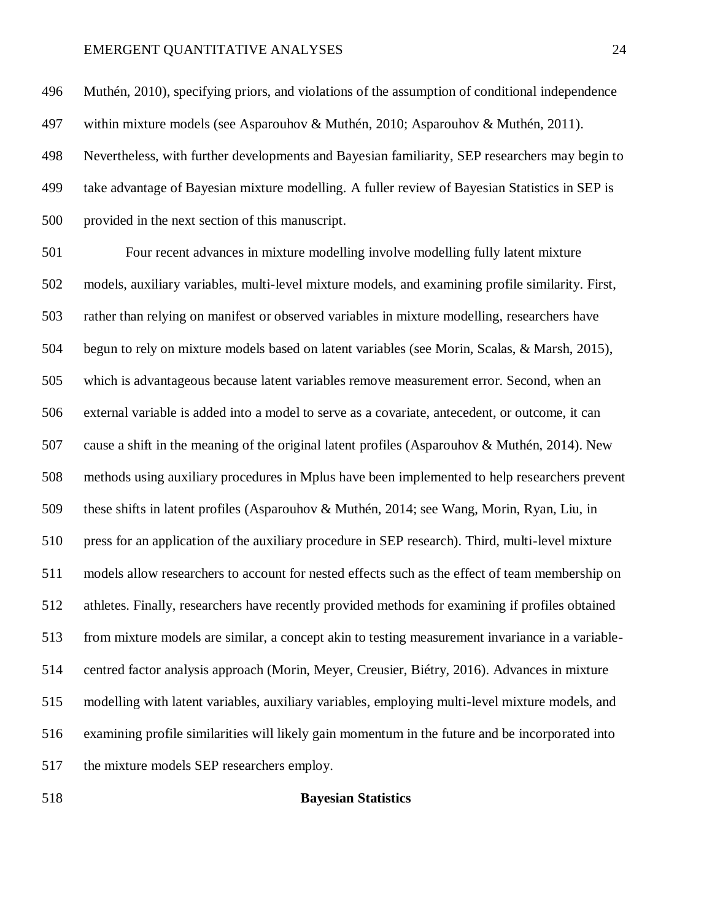Muthén, 2010), specifying priors, and violations of the assumption of conditional independence within mixture models (see Asparouhov & Muthén, 2010; Asparouhov & Muthén, 2011). Nevertheless, with further developments and Bayesian familiarity, SEP researchers may begin to take advantage of Bayesian mixture modelling. A fuller review of Bayesian Statistics in SEP is provided in the next section of this manuscript.

 Four recent advances in mixture modelling involve modelling fully latent mixture models, auxiliary variables, multi-level mixture models, and examining profile similarity. First, rather than relying on manifest or observed variables in mixture modelling, researchers have begun to rely on mixture models based on latent variables (see Morin, Scalas, & Marsh, 2015), which is advantageous because latent variables remove measurement error. Second, when an external variable is added into a model to serve as a covariate, antecedent, or outcome, it can cause a shift in the meaning of the original latent profiles (Asparouhov & Muthén, 2014). New methods using auxiliary procedures in Mplus have been implemented to help researchers prevent these shifts in latent profiles (Asparouhov & Muthén, 2014; see Wang, Morin, Ryan, Liu, in press for an application of the auxiliary procedure in SEP research). Third, multi-level mixture models allow researchers to account for nested effects such as the effect of team membership on athletes. Finally, researchers have recently provided methods for examining if profiles obtained from mixture models are similar, a concept akin to testing measurement invariance in a variable- centred factor analysis approach (Morin, Meyer, Creusier, Biétry, 2016). Advances in mixture modelling with latent variables, auxiliary variables, employing multi-level mixture models, and examining profile similarities will likely gain momentum in the future and be incorporated into the mixture models SEP researchers employ.

#### **Bayesian Statistics**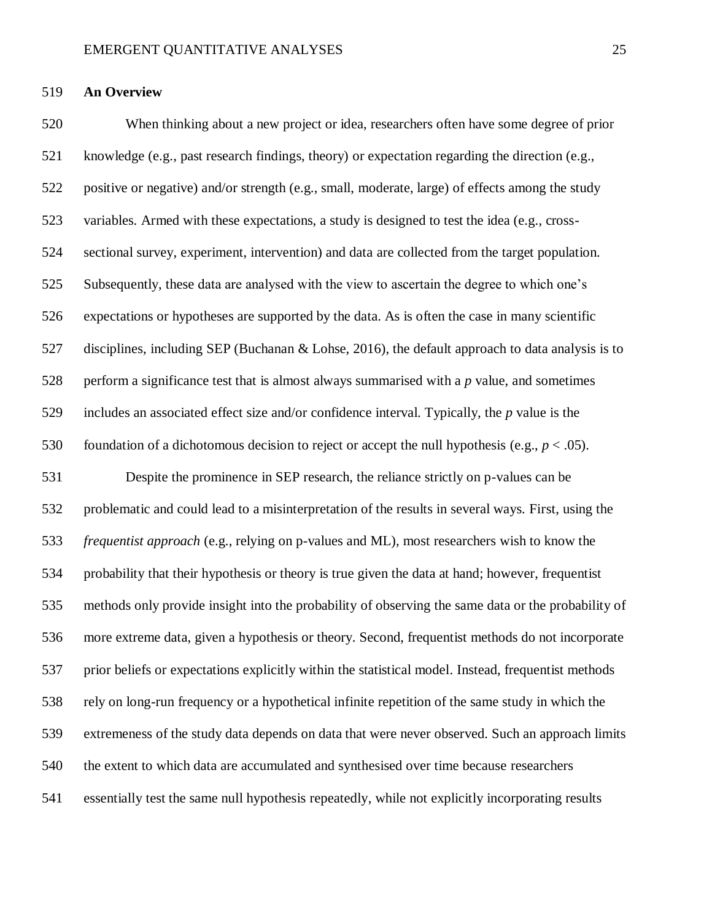## **An Overview**

 When thinking about a new project or idea, researchers often have some degree of prior knowledge (e.g., past research findings, theory) or expectation regarding the direction (e.g., positive or negative) and/or strength (e.g., small, moderate, large) of effects among the study variables. Armed with these expectations, a study is designed to test the idea (e.g., cross- sectional survey, experiment, intervention) and data are collected from the target population. Subsequently, these data are analysed with the view to ascertain the degree to which one's expectations or hypotheses are supported by the data. As is often the case in many scientific disciplines, including SEP (Buchanan & Lohse, 2016), the default approach to data analysis is to perform a significance test that is almost always summarised with a *p* value, and sometimes includes an associated effect size and/or confidence interval. Typically, the *p* value is the 530 foundation of a dichotomous decision to reject or accept the null hypothesis (e.g.,  $p < .05$ ). Despite the prominence in SEP research, the reliance strictly on p-values can be problematic and could lead to a misinterpretation of the results in several ways. First, using the *frequentist approach* (e.g., relying on p-values and ML), most researchers wish to know the probability that their hypothesis or theory is true given the data at hand; however, frequentist methods only provide insight into the probability of observing the same data or the probability of more extreme data, given a hypothesis or theory. Second, frequentist methods do not incorporate prior beliefs or expectations explicitly within the statistical model. Instead, frequentist methods rely on long-run frequency or a hypothetical infinite repetition of the same study in which the extremeness of the study data depends on data that were never observed. Such an approach limits

the extent to which data are accumulated and synthesised over time because researchers

essentially test the same null hypothesis repeatedly, while not explicitly incorporating results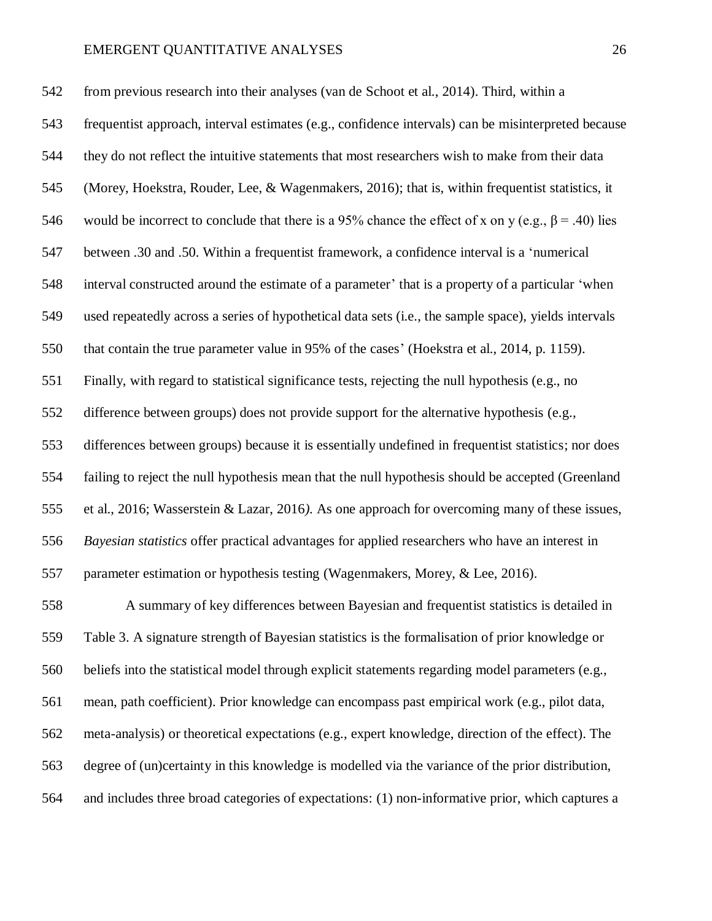from previous research into their analyses (van de Schoot et al., 2014). Third, within a frequentist approach, interval estimates (e.g., confidence intervals) can be misinterpreted because they do not reflect the intuitive statements that most researchers wish to make from their data (Morey, Hoekstra, Rouder, Lee, & Wagenmakers, 2016); that is, within frequentist statistics, it 546 would be incorrect to conclude that there is a 95% chance the effect of x on y (e.g.,  $\beta$  = .40) lies between .30 and .50. Within a frequentist framework, a confidence interval is a 'numerical interval constructed around the estimate of a parameter' that is a property of a particular 'when used repeatedly across a series of hypothetical data sets (i.e., the sample space), yields intervals that contain the true parameter value in 95% of the cases' (Hoekstra et al., 2014, p. 1159). Finally, with regard to statistical significance tests, rejecting the null hypothesis (e.g., no difference between groups) does not provide support for the alternative hypothesis (e.g., differences between groups) because it is essentially undefined in frequentist statistics; nor does failing to reject the null hypothesis mean that the null hypothesis should be accepted (Greenland et al., 2016; Wasserstein & Lazar, 2016*).* As one approach for overcoming many of these issues, *Bayesian statistics* offer practical advantages for applied researchers who have an interest in parameter estimation or hypothesis testing (Wagenmakers, Morey, & Lee, 2016).

 A summary of key differences between Bayesian and frequentist statistics is detailed in Table 3. A signature strength of Bayesian statistics is the formalisation of prior knowledge or beliefs into the statistical model through explicit statements regarding model parameters (e.g., mean, path coefficient). Prior knowledge can encompass past empirical work (e.g., pilot data, meta-analysis) or theoretical expectations (e.g., expert knowledge, direction of the effect). The degree of (un)certainty in this knowledge is modelled via the variance of the prior distribution, and includes three broad categories of expectations: (1) non-informative prior, which captures a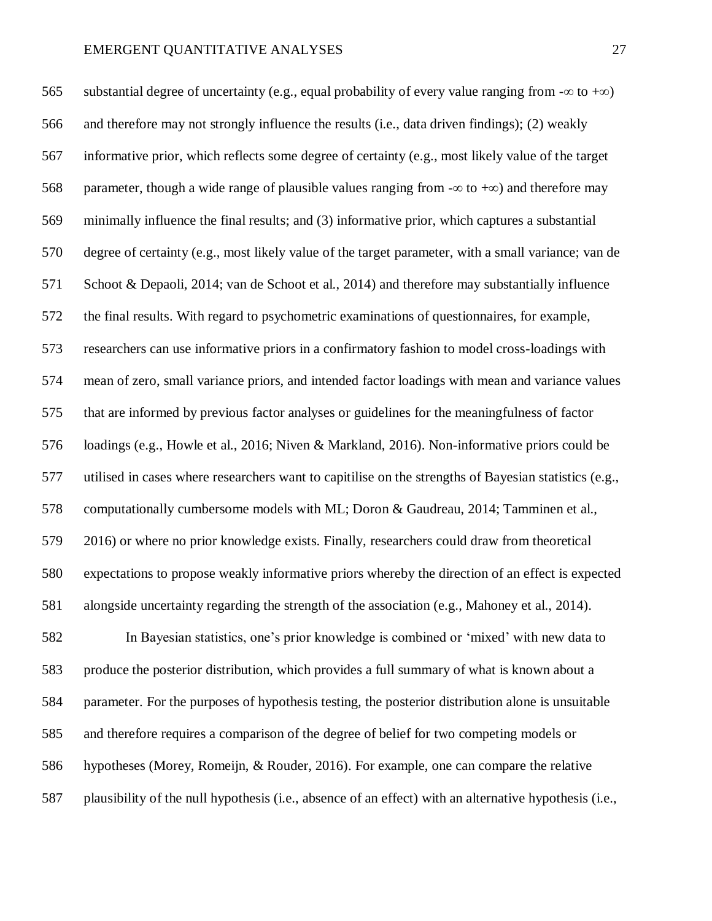565 substantial degree of uncertainty (e.g., equal probability of every value ranging from  $-\infty$  to  $+\infty$ ) and therefore may not strongly influence the results (i.e., data driven findings); (2) weakly informative prior, which reflects some degree of certainty (e.g., most likely value of the target 568 parameter, though a wide range of plausible values ranging from  $-\infty$  to  $+\infty$ ) and therefore may minimally influence the final results; and (3) informative prior, which captures a substantial degree of certainty (e.g., most likely value of the target parameter, with a small variance; van de Schoot & Depaoli, 2014; van de Schoot et al., 2014) and therefore may substantially influence the final results. With regard to psychometric examinations of questionnaires, for example, researchers can use informative priors in a confirmatory fashion to model cross-loadings with mean of zero, small variance priors, and intended factor loadings with mean and variance values that are informed by previous factor analyses or guidelines for the meaningfulness of factor loadings (e.g., Howle et al., 2016; Niven & Markland, 2016). Non-informative priors could be utilised in cases where researchers want to capitilise on the strengths of Bayesian statistics (e.g., computationally cumbersome models with ML; Doron & Gaudreau, 2014; Tamminen et al., 2016) or where no prior knowledge exists. Finally, researchers could draw from theoretical expectations to propose weakly informative priors whereby the direction of an effect is expected alongside uncertainty regarding the strength of the association (e.g., Mahoney et al., 2014). In Bayesian statistics, one's prior knowledge is combined or 'mixed' with new data to produce the posterior distribution, which provides a full summary of what is known about a parameter. For the purposes of hypothesis testing, the posterior distribution alone is unsuitable

and therefore requires a comparison of the degree of belief for two competing models or

hypotheses (Morey, Romeijn, & Rouder, 2016). For example, one can compare the relative

plausibility of the null hypothesis (i.e., absence of an effect) with an alternative hypothesis (i.e.,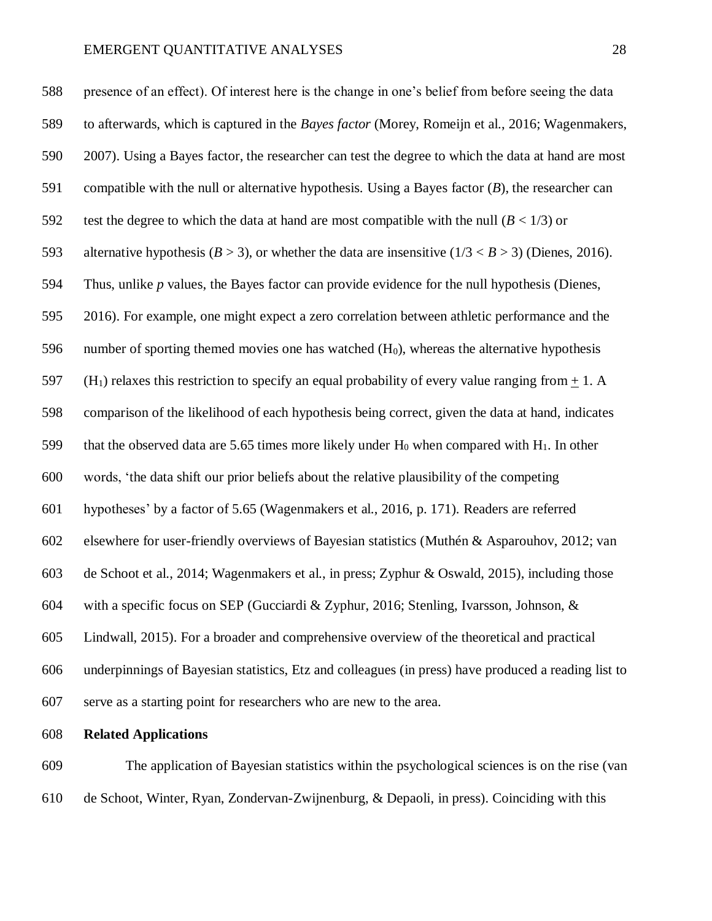presence of an effect). Of interest here is the change in one's belief from before seeing the data to afterwards, which is captured in the *Bayes factor* (Morey, Romeijn et al., 2016; Wagenmakers, 2007). Using a Bayes factor, the researcher can test the degree to which the data at hand are most compatible with the null or alternative hypothesis. Using a Bayes factor (*B*), the researcher can 592 test the degree to which the data at hand are most compatible with the null  $(B < 1/3)$  or 593 alternative hypothesis ( $B > 3$ ), or whether the data are insensitive ( $1/3 < B > 3$ ) (Dienes, 2016). Thus, unlike *p* values, the Bayes factor can provide evidence for the null hypothesis (Dienes, 2016). For example, one might expect a zero correlation between athletic performance and the 596 number of sporting themed movies one has watched  $(H<sub>0</sub>)$ , whereas the alternative hypothesis 597 (H<sub>1</sub>) relaxes this restriction to specify an equal probability of every value ranging from  $+ 1$ . A comparison of the likelihood of each hypothesis being correct, given the data at hand, indicates 599 that the observed data are 5.65 times more likely under  $H_0$  when compared with  $H_1$ . In other words, 'the data shift our prior beliefs about the relative plausibility of the competing hypotheses' by a factor of 5.65 (Wagenmakers et al., 2016, p. 171). Readers are referred elsewhere for user-friendly overviews of Bayesian statistics (Muthén & Asparouhov, 2012; van de Schoot et al., 2014; Wagenmakers et al., in press; Zyphur & Oswald, 2015), including those with a specific focus on SEP (Gucciardi & Zyphur, 2016; Stenling, Ivarsson, Johnson, & Lindwall, 2015). For a broader and comprehensive overview of the theoretical and practical underpinnings of Bayesian statistics, Etz and colleagues (in press) have produced a reading list to serve as a starting point for researchers who are new to the area.

**Related Applications** 

 The application of Bayesian statistics within the psychological sciences is on the rise (van de Schoot, Winter, Ryan, Zondervan-Zwijnenburg, & Depaoli, in press). Coinciding with this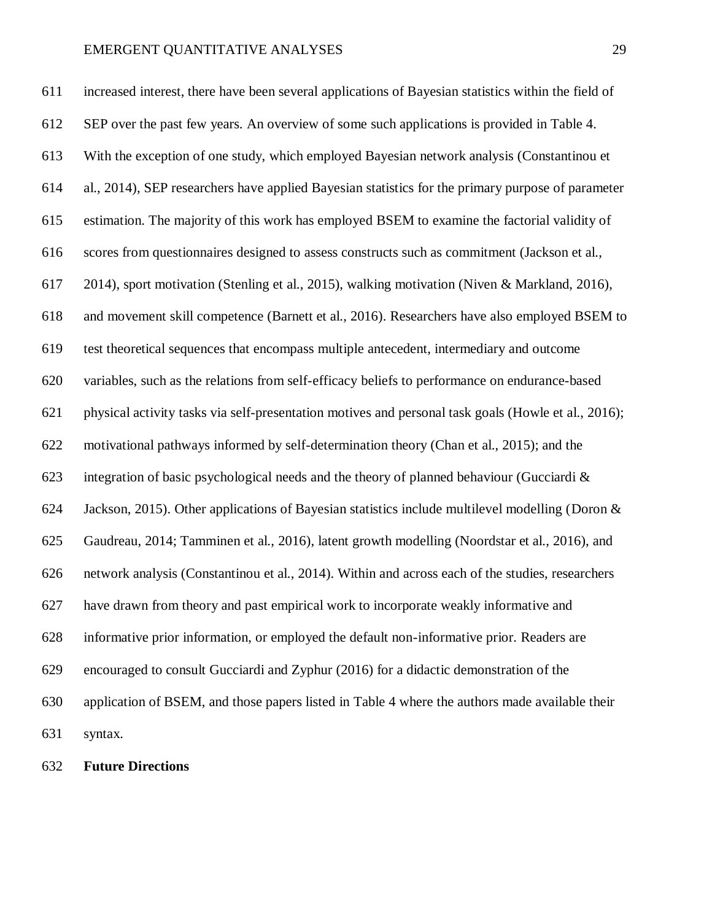increased interest, there have been several applications of Bayesian statistics within the field of SEP over the past few years. An overview of some such applications is provided in Table 4. With the exception of one study, which employed Bayesian network analysis (Constantinou et al., 2014), SEP researchers have applied Bayesian statistics for the primary purpose of parameter estimation. The majority of this work has employed BSEM to examine the factorial validity of scores from questionnaires designed to assess constructs such as commitment (Jackson et al., 2014), sport motivation (Stenling et al., 2015), walking motivation (Niven & Markland, 2016), and movement skill competence (Barnett et al., 2016). Researchers have also employed BSEM to test theoretical sequences that encompass multiple antecedent, intermediary and outcome variables, such as the relations from self-efficacy beliefs to performance on endurance-based physical activity tasks via self-presentation motives and personal task goals (Howle et al., 2016); motivational pathways informed by self-determination theory (Chan et al., 2015); and the 623 integration of basic psychological needs and the theory of planned behaviour (Gucciardi  $\&$ 624 Jackson, 2015). Other applications of Bayesian statistics include multilevel modelling (Doron  $\&$  Gaudreau, 2014; Tamminen et al., 2016), latent growth modelling (Noordstar et al., 2016), and network analysis (Constantinou et al., 2014). Within and across each of the studies, researchers have drawn from theory and past empirical work to incorporate weakly informative and informative prior information, or employed the default non-informative prior. Readers are encouraged to consult Gucciardi and Zyphur (2016) for a didactic demonstration of the application of BSEM, and those papers listed in Table 4 where the authors made available their syntax.

**Future Directions**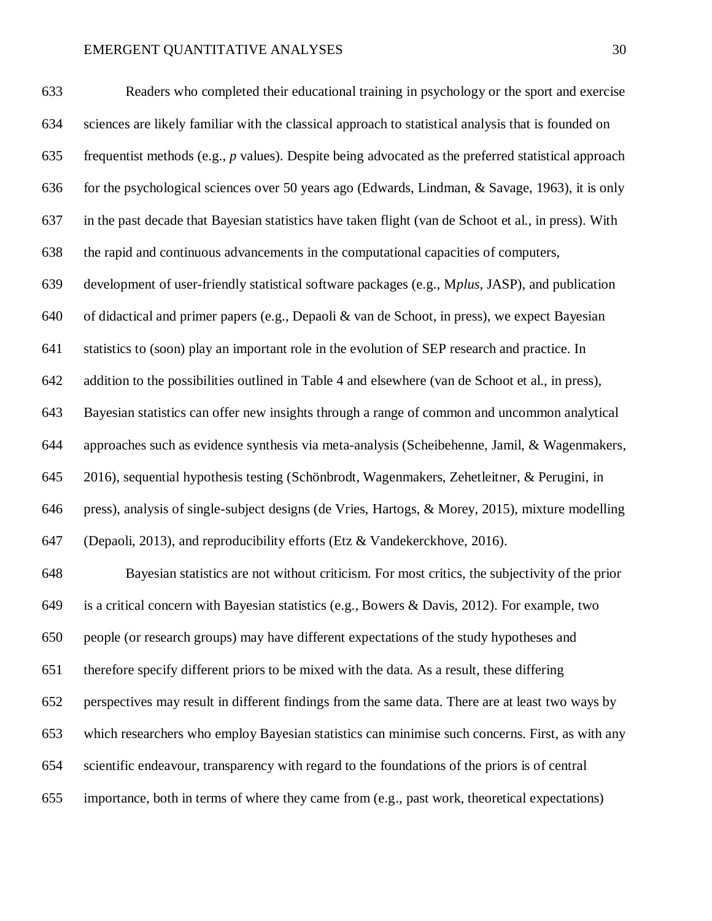for the psychological sciences over 50 years ago (Edwards, Lindman, & Savage, 1963), it is only

in the past decade that Bayesian statistics have taken flight (van de Schoot et al., in press). With

the rapid and continuous advancements in the computational capacities of computers,

development of user-friendly statistical software packages (e.g., M*plus*, JASP), and publication

of didactical and primer papers (e.g., Depaoli & van de Schoot, in press), we expect Bayesian

statistics to (soon) play an important role in the evolution of SEP research and practice. In

addition to the possibilities outlined in Table 4 and elsewhere (van de Schoot et al., in press),

Bayesian statistics can offer new insights through a range of common and uncommon analytical

approaches such as evidence synthesis via meta-analysis (Scheibehenne, Jamil, & Wagenmakers,

2016), sequential hypothesis testing (Schönbrodt, Wagenmakers, Zehetleitner, & Perugini, in

press), analysis of single-subject designs (de Vries, Hartogs, & Morey, 2015), mixture modelling

(Depaoli, 2013), and reproducibility efforts (Etz & Vandekerckhove, 2016).

 Bayesian statistics are not without criticism. For most critics, the subjectivity of the prior 649 is a critical concern with Bayesian statistics (e.g., Bowers & Davis, 2012). For example, two people (or research groups) may have different expectations of the study hypotheses and therefore specify different priors to be mixed with the data. As a result, these differing perspectives may result in different findings from the same data. There are at least two ways by which researchers who employ Bayesian statistics can minimise such concerns. First, as with any scientific endeavour, transparency with regard to the foundations of the priors is of central importance, both in terms of where they came from (e.g., past work, theoretical expectations)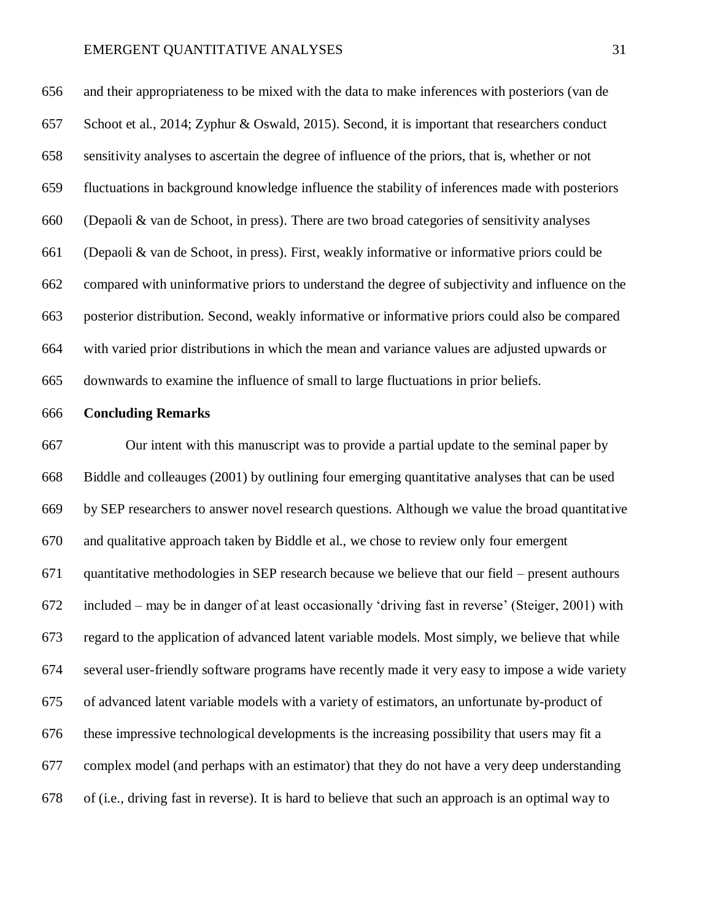and their appropriateness to be mixed with the data to make inferences with posteriors (van de Schoot et al., 2014; Zyphur & Oswald, 2015). Second, it is important that researchers conduct sensitivity analyses to ascertain the degree of influence of the priors, that is, whether or not fluctuations in background knowledge influence the stability of inferences made with posteriors (Depaoli & van de Schoot, in press). There are two broad categories of sensitivity analyses (Depaoli & van de Schoot, in press). First, weakly informative or informative priors could be compared with uninformative priors to understand the degree of subjectivity and influence on the posterior distribution. Second, weakly informative or informative priors could also be compared with varied prior distributions in which the mean and variance values are adjusted upwards or downwards to examine the influence of small to large fluctuations in prior beliefs.

#### **Concluding Remarks**

 Our intent with this manuscript was to provide a partial update to the seminal paper by Biddle and colleauges (2001) by outlining four emerging quantitative analyses that can be used by SEP researchers to answer novel research questions. Although we value the broad quantitative and qualitative approach taken by Biddle et al., we chose to review only four emergent quantitative methodologies in SEP research because we believe that our field – present authours included – may be in danger of at least occasionally 'driving fast in reverse' (Steiger, 2001) with regard to the application of advanced latent variable models. Most simply, we believe that while several user-friendly software programs have recently made it very easy to impose a wide variety of advanced latent variable models with a variety of estimators, an unfortunate by-product of these impressive technological developments is the increasing possibility that users may fit a complex model (and perhaps with an estimator) that they do not have a very deep understanding of (i.e., driving fast in reverse). It is hard to believe that such an approach is an optimal way to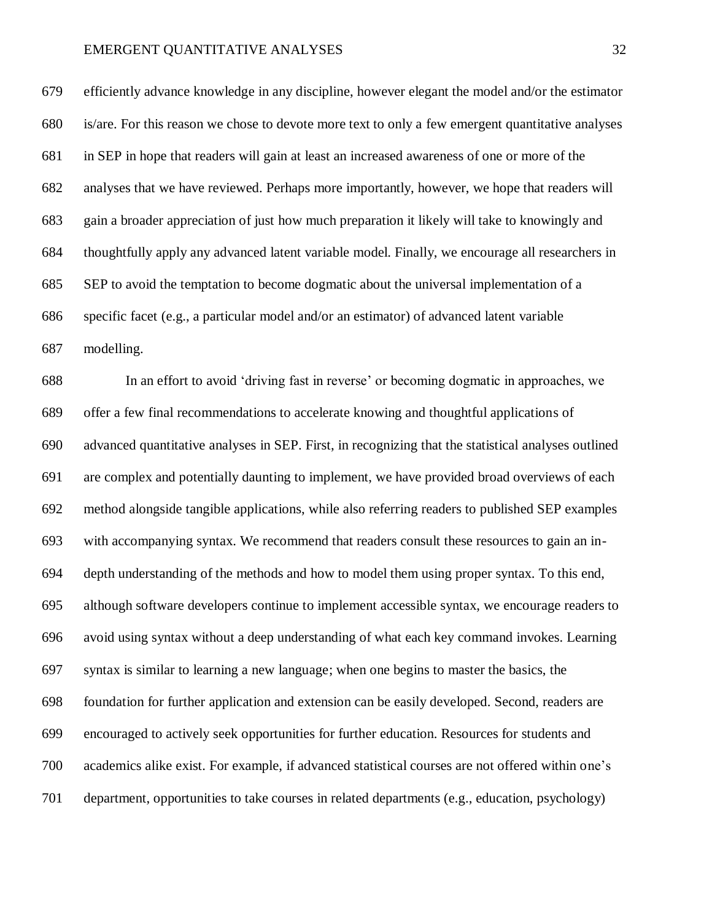efficiently advance knowledge in any discipline, however elegant the model and/or the estimator is/are. For this reason we chose to devote more text to only a few emergent quantitative analyses in SEP in hope that readers will gain at least an increased awareness of one or more of the analyses that we have reviewed. Perhaps more importantly, however, we hope that readers will gain a broader appreciation of just how much preparation it likely will take to knowingly and thoughtfully apply any advanced latent variable model. Finally, we encourage all researchers in SEP to avoid the temptation to become dogmatic about the universal implementation of a specific facet (e.g., a particular model and/or an estimator) of advanced latent variable modelling.

 In an effort to avoid 'driving fast in reverse' or becoming dogmatic in approaches, we offer a few final recommendations to accelerate knowing and thoughtful applications of advanced quantitative analyses in SEP. First, in recognizing that the statistical analyses outlined are complex and potentially daunting to implement, we have provided broad overviews of each method alongside tangible applications, while also referring readers to published SEP examples with accompanying syntax. We recommend that readers consult these resources to gain an in- depth understanding of the methods and how to model them using proper syntax. To this end, although software developers continue to implement accessible syntax, we encourage readers to avoid using syntax without a deep understanding of what each key command invokes. Learning syntax is similar to learning a new language; when one begins to master the basics, the foundation for further application and extension can be easily developed. Second, readers are encouraged to actively seek opportunities for further education. Resources for students and academics alike exist. For example, if advanced statistical courses are not offered within one's department, opportunities to take courses in related departments (e.g., education, psychology)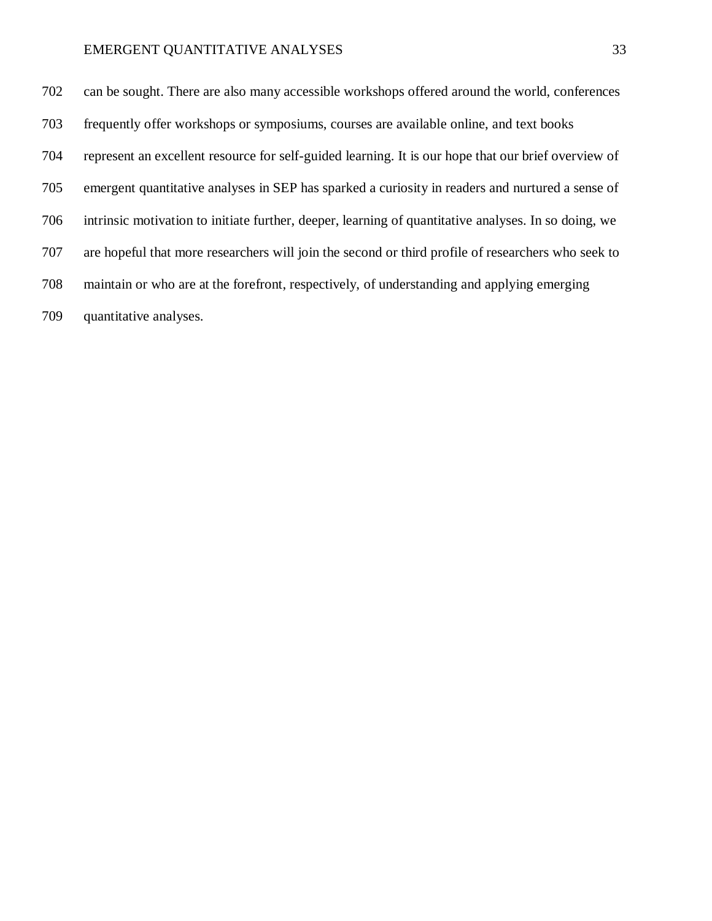can be sought. There are also many accessible workshops offered around the world, conferences frequently offer workshops or symposiums, courses are available online, and text books represent an excellent resource for self-guided learning. It is our hope that our brief overview of emergent quantitative analyses in SEP has sparked a curiosity in readers and nurtured a sense of intrinsic motivation to initiate further, deeper, learning of quantitative analyses. In so doing, we are hopeful that more researchers will join the second or third profile of researchers who seek to maintain or who are at the forefront, respectively, of understanding and applying emerging quantitative analyses.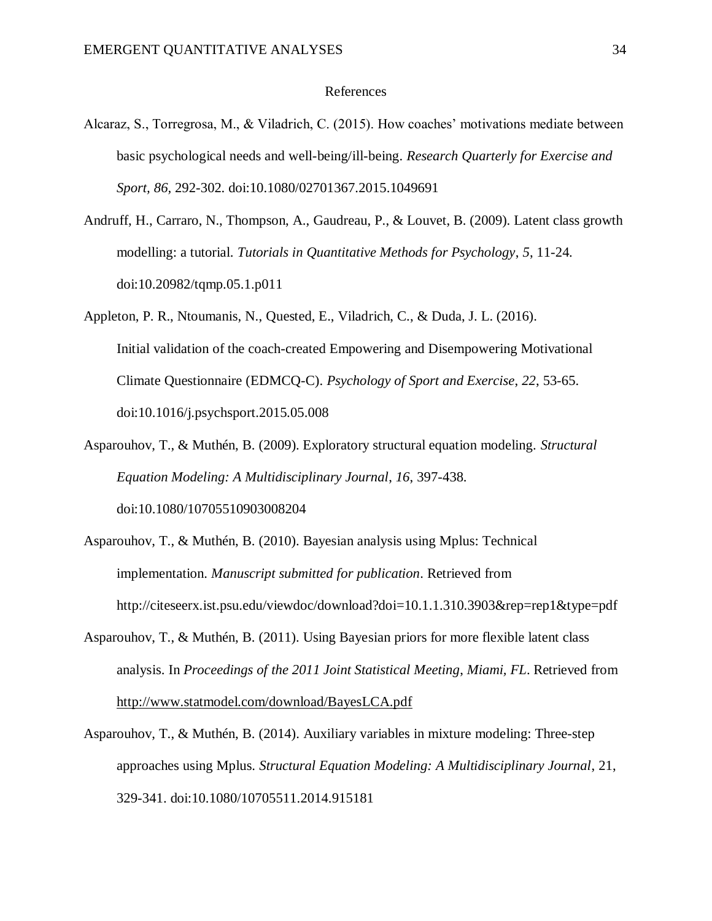#### References

- Alcaraz, S., Torregrosa, M., & Viladrich, C. (2015). How coaches' motivations mediate between basic psychological needs and well-being/ill-being. *Research Quarterly for Exercise and Sport, 86,* 292-302. doi:10.1080/02701367.2015.1049691
- Andruff, H., Carraro, N., Thompson, A., Gaudreau, P., & Louvet, B. (2009). Latent class growth modelling: a tutorial. *Tutorials in Quantitative Methods for Psychology*, *5*, 11-24. doi:10.20982/tqmp.05.1.p011
- Appleton, P. R., Ntoumanis, N., Quested, E., Viladrich, C., & Duda, J. L. (2016). Initial validation of the coach-created Empowering and Disempowering Motivational Climate Questionnaire (EDMCQ-C). *Psychology of Sport and Exercise*, *22*, 53-65. doi:10.1016/j.psychsport.2015.05.008
- Asparouhov, T., & Muthén, B. (2009). Exploratory structural equation modeling. *Structural Equation Modeling: A Multidisciplinary Journal*, *16*, 397-438. doi:10.1080/10705510903008204
- Asparouhov, T., & Muthén, B. (2010). Bayesian analysis using Mplus: Technical implementation. *Manuscript submitted for publication*. Retrieved from http://citeseerx.ist.psu.edu/viewdoc/download?doi=10.1.1.310.3903&rep=rep1&type=pdf
- Asparouhov, T., & Muthén, B. (2011). Using Bayesian priors for more flexible latent class analysis. In *Proceedings of the 2011 Joint Statistical Meeting*, *Miami, FL*. Retrieved from <http://www.statmodel.com/download/BayesLCA.pdf>
- Asparouhov, T., & Muthén, B. (2014). Auxiliary variables in mixture modeling: Three-step approaches using Mplus. *Structural Equation Modeling: A Multidisciplinary Journal*, 21, 329-341. doi:10.1080/10705511.2014.915181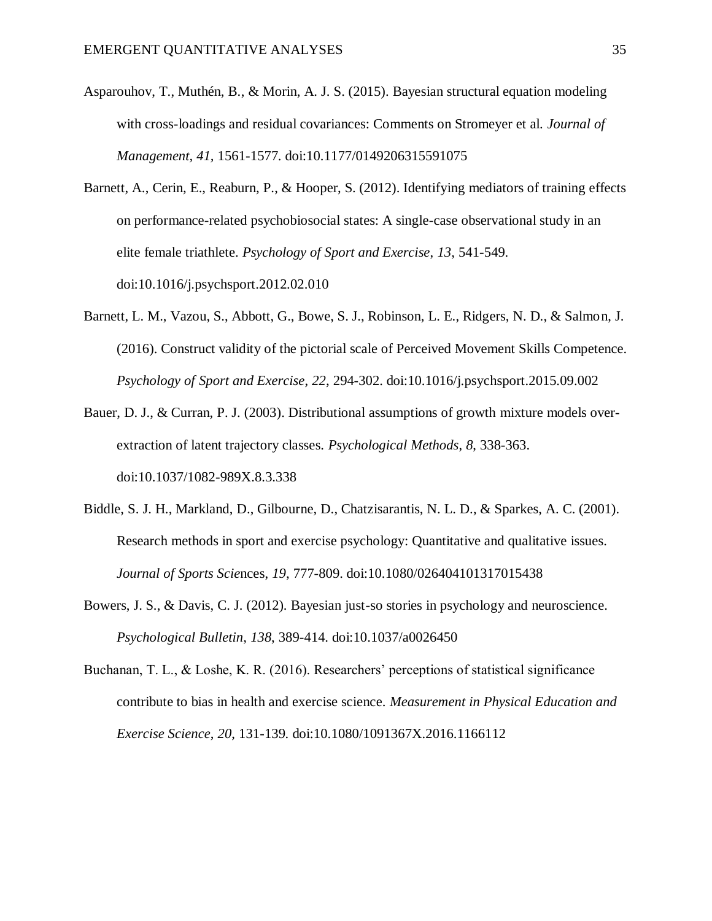- Asparouhov, T., Muthén, B., & Morin, A. J. S. (2015). Bayesian structural equation modeling with cross-loadings and residual covariances: Comments on Stromeyer et al. *Journal of Management, 41,* 1561-1577. doi:10.1177/0149206315591075
- Barnett, A., Cerin, E., Reaburn, P., & Hooper, S. (2012). Identifying mediators of training effects on performance-related psychobiosocial states: A single-case observational study in an elite female triathlete. *Psychology of Sport and Exercise*, *13*, 541-549. doi:10.1016/j.psychsport.2012.02.010
- Barnett, L. M., Vazou, S., Abbott, G., Bowe, S. J., Robinson, L. E., Ridgers, N. D., & Salmon, J. (2016). Construct validity of the pictorial scale of Perceived Movement Skills Competence. *Psychology of Sport and Exercise*, *22*, 294-302. doi:10.1016/j.psychsport.2015.09.002
- Bauer, D. J., & Curran, P. J. (2003). Distributional assumptions of growth mixture models overextraction of latent trajectory classes. *Psychological Methods*, *8*, 338-363. doi:10.1037/1082-989X.8.3.338
- Biddle, S. J. H., Markland, D., Gilbourne, D., Chatzisarantis, N. L. D., & Sparkes, A. C. (2001). Research methods in sport and exercise psychology: Quantitative and qualitative issues. *Journal of Sports Scie*nces, *19*, 777-809. doi:10.1080/026404101317015438
- Bowers, J. S., & Davis, C. J. (2012). Bayesian just-so stories in psychology and neuroscience. *Psychological Bulletin*, *138*, 389-414. doi:10.1037/a0026450
- Buchanan, T. L., & Loshe, K. R. (2016). Researchers' perceptions of statistical significance contribute to bias in health and exercise science. *Measurement in Physical Education and Exercise Science*, *20*, 131-139. doi:10.1080/1091367X.2016.1166112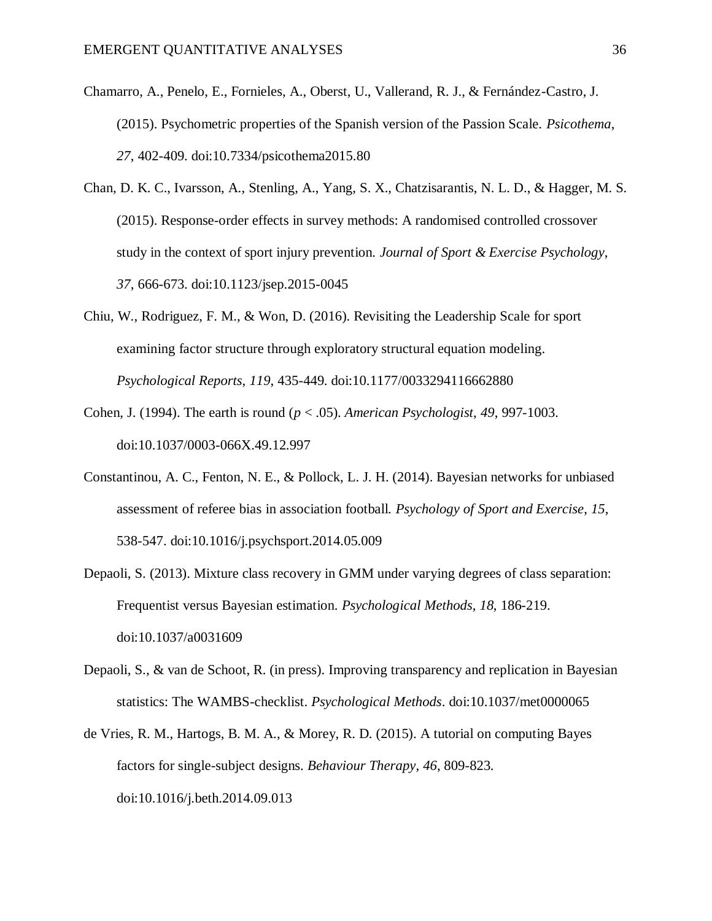- Chamarro, A., Penelo, E., Fornieles, A., Oberst, U., Vallerand, R. J., & Fernández-Castro, J. (2015). Psychometric properties of the Spanish version of the Passion Scale. *Psicothema*, *27*, 402-409. doi:10.7334/psicothema2015.80
- Chan, D. K. C., Ivarsson, A., Stenling, A., Yang, S. X., Chatzisarantis, N. L. D., & Hagger, M. S. (2015). Response-order effects in survey methods: A randomised controlled crossover study in the context of sport injury prevention. *Journal of Sport & Exercise Psychology*, *37*, 666-673. doi:10.1123/jsep.2015-0045
- Chiu, W., Rodriguez, F. M., & Won, D. (2016). Revisiting the Leadership Scale for sport examining factor structure through exploratory structural equation modeling. *Psychological Reports*, *119*, 435-449. doi:10.1177/0033294116662880
- Cohen, J. (1994). The earth is round (*p* < .05). *American Psychologist*, *49*, 997-1003. doi:10.1037/0003-066X.49.12.997
- Constantinou, A. C., Fenton, N. E., & Pollock, L. J. H. (2014). Bayesian networks for unbiased assessment of referee bias in association football. *Psychology of Sport and Exercise*, *15*, 538-547. doi:10.1016/j.psychsport.2014.05.009
- Depaoli, S. (2013). Mixture class recovery in GMM under varying degrees of class separation: Frequentist versus Bayesian estimation. *Psychological Methods*, *18*, 186-219. doi:10.1037/a0031609
- Depaoli, S., & van de Schoot, R. (in press). Improving transparency and replication in Bayesian statistics: The WAMBS-checklist. *Psychological Methods*. doi:10.1037/met0000065
- de Vries, R. M., Hartogs, B. M. A., & Morey, R. D. (2015). A tutorial on computing Bayes factors for single-subject designs. *Behaviour Therapy*, *46*, 809-823. doi:10.1016/j.beth.2014.09.013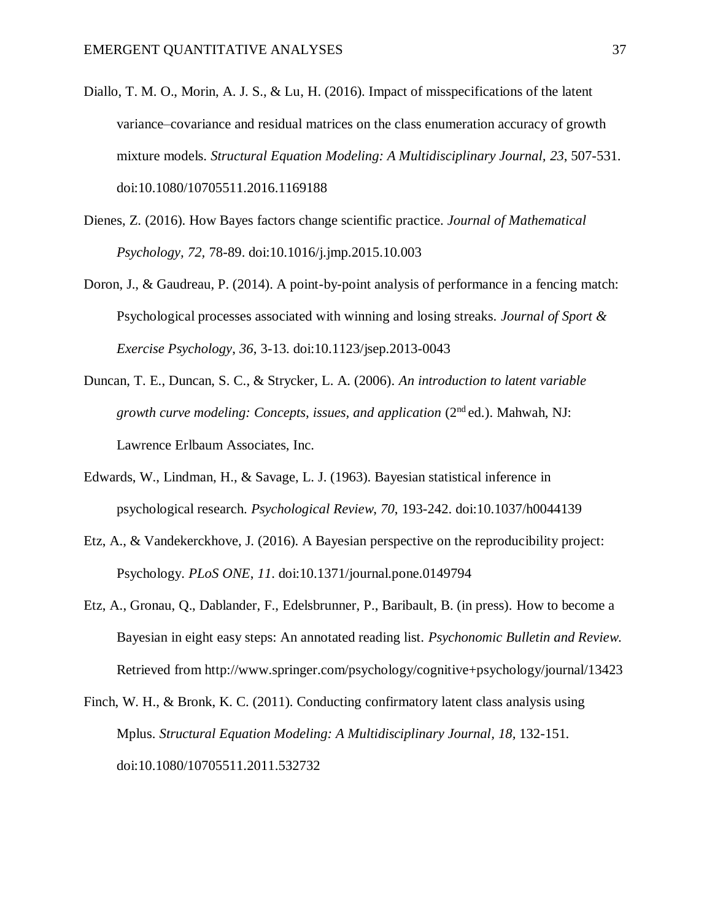- Diallo, T. M. O., Morin, A. J. S., & Lu, H. (2016). Impact of misspecifications of the latent variance–covariance and residual matrices on the class enumeration accuracy of growth mixture models. *Structural Equation Modeling: A Multidisciplinary Journal, 23*, 507-531. doi:10.1080/10705511.2016.1169188
- Dienes, Z. (2016). How Bayes factors change scientific practice. *Journal of Mathematical Psychology, 72,* 78-89. doi:10.1016/j.jmp.2015.10.003
- Doron, J., & Gaudreau, P. (2014). A point-by-point analysis of performance in a fencing match: Psychological processes associated with winning and losing streaks. *Journal of Sport & Exercise Psychology*, *36*, 3-13. doi:10.1123/jsep.2013-0043
- Duncan, T. E., Duncan, S. C., & Strycker, L. A. (2006). *An introduction to latent variable growth curve modeling: Concepts, issues, and application (2<sup>nd</sup> ed.). Mahwah, NJ:* Lawrence Erlbaum Associates, Inc.
- Edwards, W., Lindman, H., & Savage, L. J. (1963). Bayesian statistical inference in psychological research. *Psychological Review*, *70*, 193-242. doi:10.1037/h0044139
- Etz, A., & Vandekerckhove, J. (2016). A Bayesian perspective on the reproducibility project: Psychology. *PLoS ONE*, *11*. doi:10.1371/journal.pone.0149794
- Etz, A., Gronau, Q., Dablander, F., Edelsbrunner, P., Baribault, B. (in press). How to become a Bayesian in eight easy steps: An annotated reading list. *Psychonomic Bulletin and Review*. Retrieved from http://www.springer.com/psychology/cognitive+psychology/journal/13423
- Finch, W. H., & Bronk, K. C. (2011). Conducting confirmatory latent class analysis using Mplus. *Structural Equation Modeling: A Multidisciplinary Journal, 18,* 132-151. doi:10.1080/10705511.2011.532732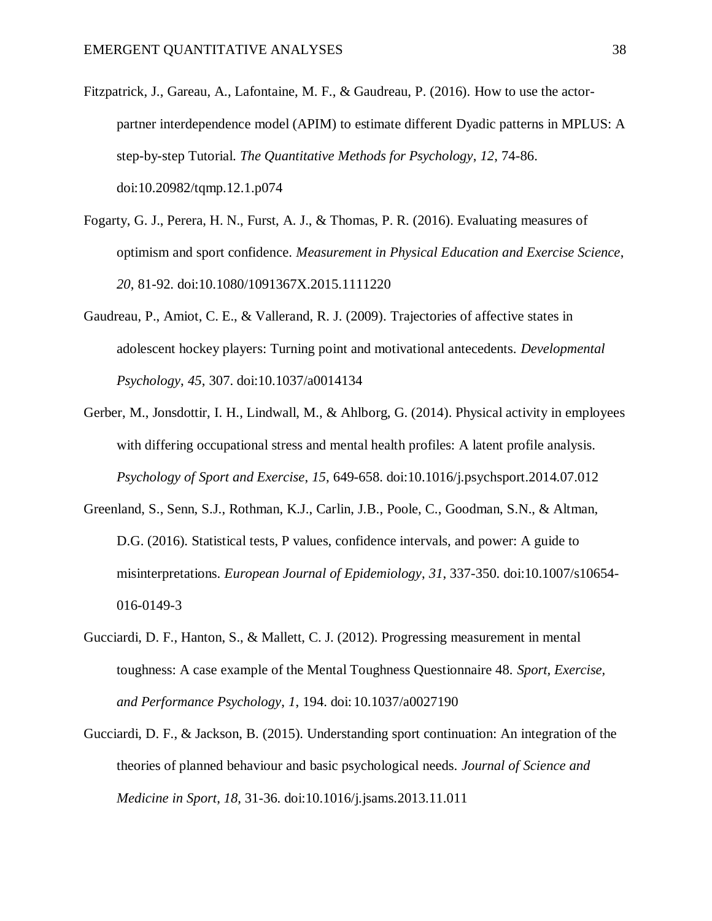- Fitzpatrick, J., Gareau, A., Lafontaine, M. F., & Gaudreau, P. (2016). How to use the actorpartner interdependence model (APIM) to estimate different Dyadic patterns in MPLUS: A step-by-step Tutorial. *The Quantitative Methods for Psychology*, *12*, 74-86. doi:10.20982/tqmp.12.1.p074
- Fogarty, G. J., Perera, H. N., Furst, A. J., & Thomas, P. R. (2016). Evaluating measures of optimism and sport confidence. *Measurement in Physical Education and Exercise Science*, *20*, 81-92. doi:10.1080/1091367X.2015.1111220
- Gaudreau, P., Amiot, C. E., & Vallerand, R. J. (2009). Trajectories of affective states in adolescent hockey players: Turning point and motivational antecedents. *Developmental Psychology*, *45*, 307. doi:10.1037/a0014134
- Gerber, M., Jonsdottir, I. H., Lindwall, M., & Ahlborg, G. (2014). Physical activity in employees with differing occupational stress and mental health profiles: A latent profile analysis. *Psychology of Sport and Exercise*, *15*, 649-658. doi:10.1016/j.psychsport.2014.07.012
- Greenland, S., Senn, S.J., Rothman, K.J., Carlin, J.B., Poole, C., Goodman, S.N., & Altman, D.G. (2016). Statistical tests, P values, confidence intervals, and power: A guide to misinterpretations. *European Journal of Epidemiology*, *31*, 337-350. doi:10.1007/s10654- 016-0149-3
- Gucciardi, D. F., Hanton, S., & Mallett, C. J. (2012). Progressing measurement in mental toughness: A case example of the Mental Toughness Questionnaire 48. *Sport, Exercise, and Performance Psychology*, *1*, 194. doi: 10.1037/a0027190
- Gucciardi, D. F., & Jackson, B. (2015). Understanding sport continuation: An integration of the theories of planned behaviour and basic psychological needs. *Journal of Science and Medicine in Sport*, *18*, 31-36. doi:10.1016/j.jsams.2013.11.011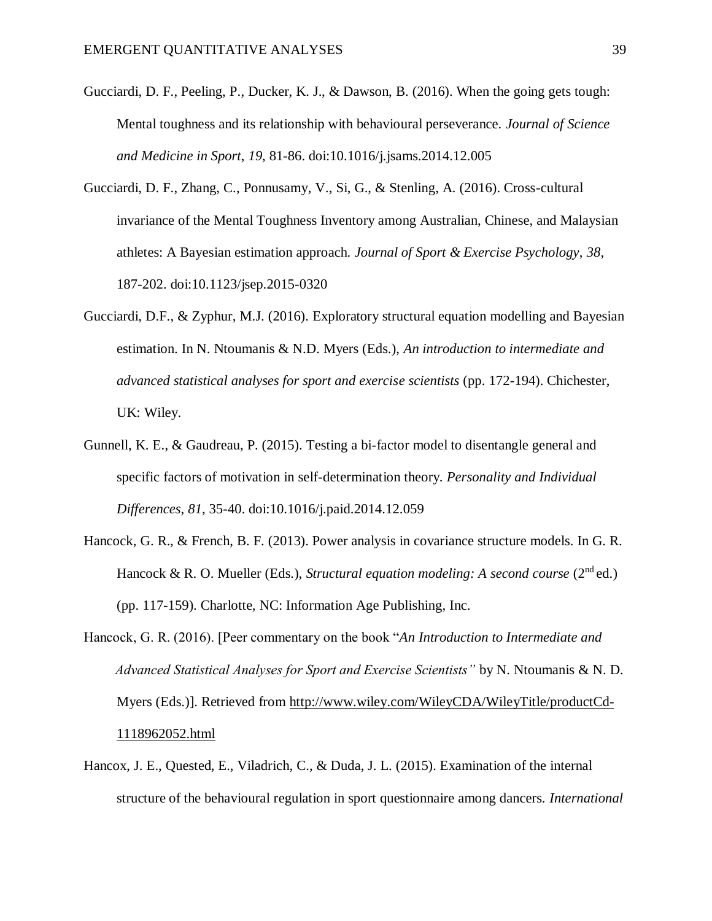- Gucciardi, D. F., Peeling, P., Ducker, K. J., & Dawson, B. (2016). When the going gets tough: Mental toughness and its relationship with behavioural perseverance. *Journal of Science and Medicine in Sport*, *19*, 81-86. doi:10.1016/j.jsams.2014.12.005
- Gucciardi, D. F., Zhang, C., Ponnusamy, V., Si, G., & Stenling, A. (2016). Cross-cultural invariance of the Mental Toughness Inventory among Australian, Chinese, and Malaysian athletes: A Bayesian estimation approach. *Journal of Sport & Exercise Psychology*, *38*, 187-202. doi:10.1123/jsep.2015-0320
- Gucciardi, D.F., & Zyphur, M.J. (2016). Exploratory structural equation modelling and Bayesian estimation. In N. Ntoumanis & N.D. Myers (Eds.), *An introduction to intermediate and advanced statistical analyses for sport and exercise scientists* (pp. 172-194). Chichester, UK: Wiley.
- Gunnell, K. E., & Gaudreau, P. (2015). Testing a bi-factor model to disentangle general and specific factors of motivation in self-determination theory. *Personality and Individual Differences, 81,* 35-40. doi:10.1016/j.paid.2014.12.059
- Hancock, G. R., & French, B. F. (2013). Power analysis in covariance structure models. In G. R. Hancock & R. O. Mueller (Eds.), *Structural equation modeling: A second course* (2<sup>nd</sup> ed.) (pp. 117-159). Charlotte, NC: Information Age Publishing, Inc.
- Hancock, G. R. (2016). [Peer commentary on the book "*An Introduction to Intermediate and Advanced Statistical Analyses for Sport and Exercise Scientists"* by N. Ntoumanis & N. D. Myers (Eds.)]. Retrieved from [http://www.wiley.com/WileyCDA/WileyTitle/productCd-](http://www.wiley.com/WileyCDA/WileyTitle/productCd-1118962052.html)[1118962052.html](http://www.wiley.com/WileyCDA/WileyTitle/productCd-1118962052.html)
- Hancox, J. E., Quested, E., Viladrich, C., & Duda, J. L. (2015). Examination of the internal structure of the behavioural regulation in sport questionnaire among dancers. *International*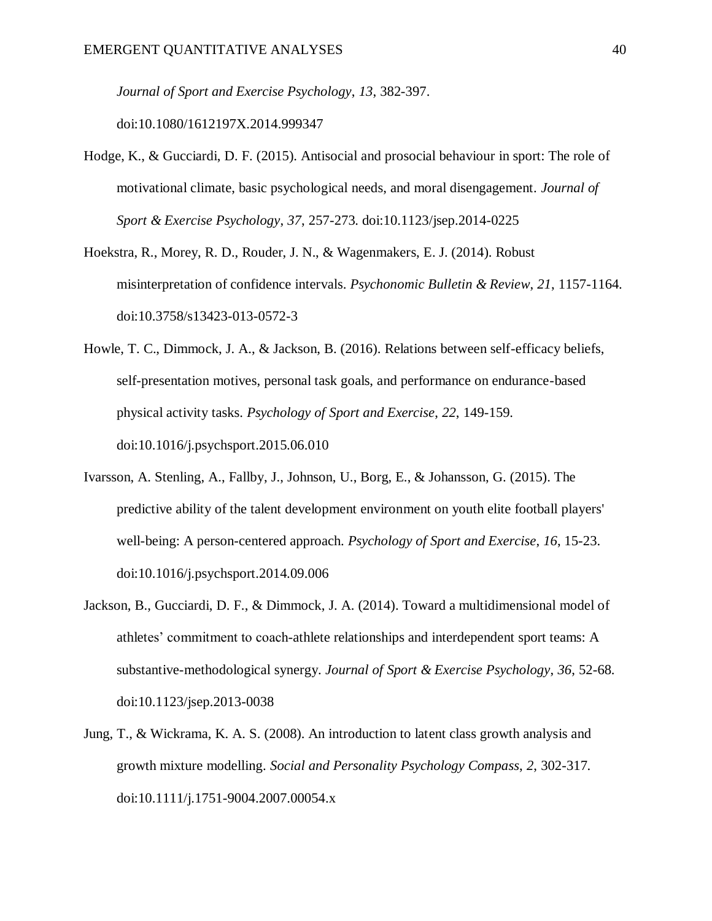*Journal of Sport and Exercise Psychology*, *13*, 382-397. doi:10.1080/1612197X.2014.999347

- Hodge, K., & Gucciardi, D. F. (2015). Antisocial and prosocial behaviour in sport: The role of motivational climate, basic psychological needs, and moral disengagement. *Journal of Sport & Exercise Psychology*, *37*, 257-273. doi:10.1123/jsep.2014-0225
- Hoekstra, R., Morey, R. D., Rouder, J. N., & Wagenmakers, E. J. (2014). Robust misinterpretation of confidence intervals. *Psychonomic Bulletin & Review*, *21*, 1157-1164. doi:10.3758/s13423-013-0572-3
- Howle, T. C., Dimmock, J. A., & Jackson, B. (2016). Relations between self-efficacy beliefs, self-presentation motives, personal task goals, and performance on endurance-based physical activity tasks. *Psychology of Sport and Exercise*, *22*, 149-159. doi:10.1016/j.psychsport.2015.06.010
- Ivarsson, A. Stenling, A., Fallby, J., Johnson, U., Borg, E., & Johansson, G. (2015). The predictive ability of the talent development environment on youth elite football players' well-being: A person-centered approach. *Psychology of Sport and Exercise*, *16*, 15-23. doi:10.1016/j.psychsport.2014.09.006
- Jackson, B., Gucciardi, D. F., & Dimmock, J. A. (2014). Toward a multidimensional model of athletes' commitment to coach-athlete relationships and interdependent sport teams: A substantive-methodological synergy. *Journal of Sport & Exercise Psychology*, *36*, 52-68. doi:10.1123/jsep.2013-0038
- Jung, T., & Wickrama, K. A. S. (2008). An introduction to latent class growth analysis and growth mixture modelling. *Social and Personality Psychology Compass*, *2*, 302-317. doi:10.1111/j.1751-9004.2007.00054.x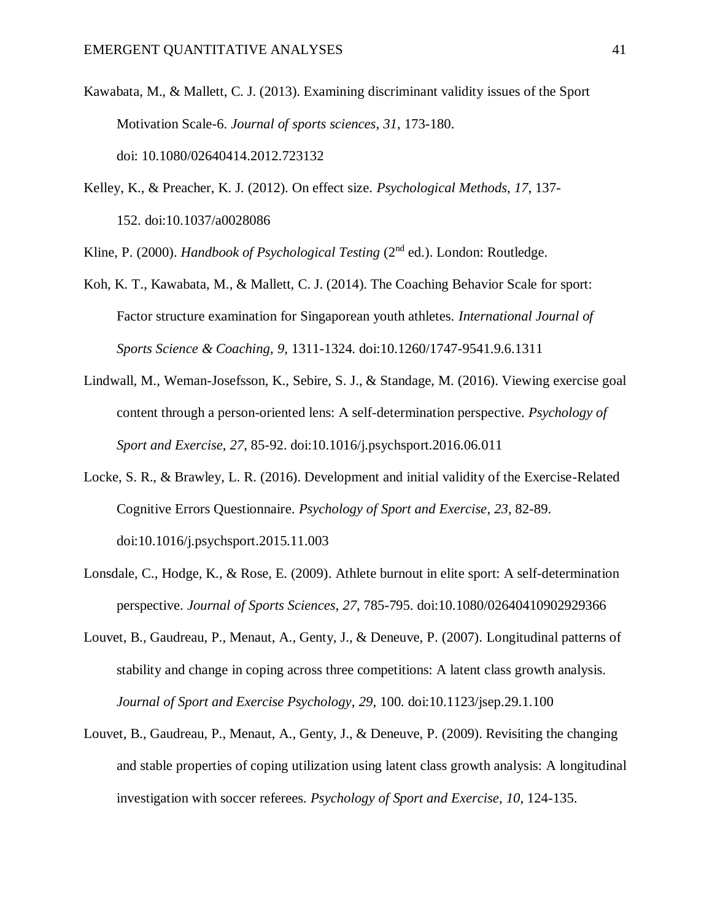- Kawabata, M., & Mallett, C. J. (2013). Examining discriminant validity issues of the Sport Motivation Scale-6. *Journal of sports sciences*, *31*, 173-180. doi: 10.1080/02640414.2012.723132
- Kelley, K., & Preacher, K. J. (2012). On effect size. *Psychological Methods*, *17*, 137- 152. doi:10.1037/a0028086

Kline, P. (2000). *Handbook of Psychological Testing* (2nd ed.). London: Routledge.

- Koh, K. T., Kawabata, M., & Mallett, C. J. (2014). The Coaching Behavior Scale for sport: Factor structure examination for Singaporean youth athletes. *International Journal of Sports Science & Coaching*, *9*, 1311-1324. doi:10.1260/1747-9541.9.6.1311
- Lindwall, M., Weman-Josefsson, K., Sebire, S. J., & Standage, M. (2016). Viewing exercise goal content through a person-oriented lens: A self-determination perspective. *Psychology of Sport and Exercise*, *27*, 85-92. doi:10.1016/j.psychsport.2016.06.011
- Locke, S. R., & Brawley, L. R. (2016). Development and initial validity of the Exercise-Related Cognitive Errors Questionnaire. *Psychology of Sport and Exercise*, *23*, 82-89. doi:10.1016/j.psychsport.2015.11.003
- Lonsdale, C., Hodge, K., & Rose, E. (2009). Athlete burnout in elite sport: A self-determination perspective. *Journal of Sports Sciences*, *27*, 785-795. doi:10.1080/02640410902929366
- Louvet, B., Gaudreau, P., Menaut, A., Genty, J., & Deneuve, P. (2007). Longitudinal patterns of stability and change in coping across three competitions: A latent class growth analysis. *Journal of Sport and Exercise Psychology*, *29*, 100. doi:10.1123/jsep.29.1.100
- Louvet, B., Gaudreau, P., Menaut, A., Genty, J., & Deneuve, P. (2009). Revisiting the changing and stable properties of coping utilization using latent class growth analysis: A longitudinal investigation with soccer referees. *Psychology of Sport and Exercise*, *10*, 124-135.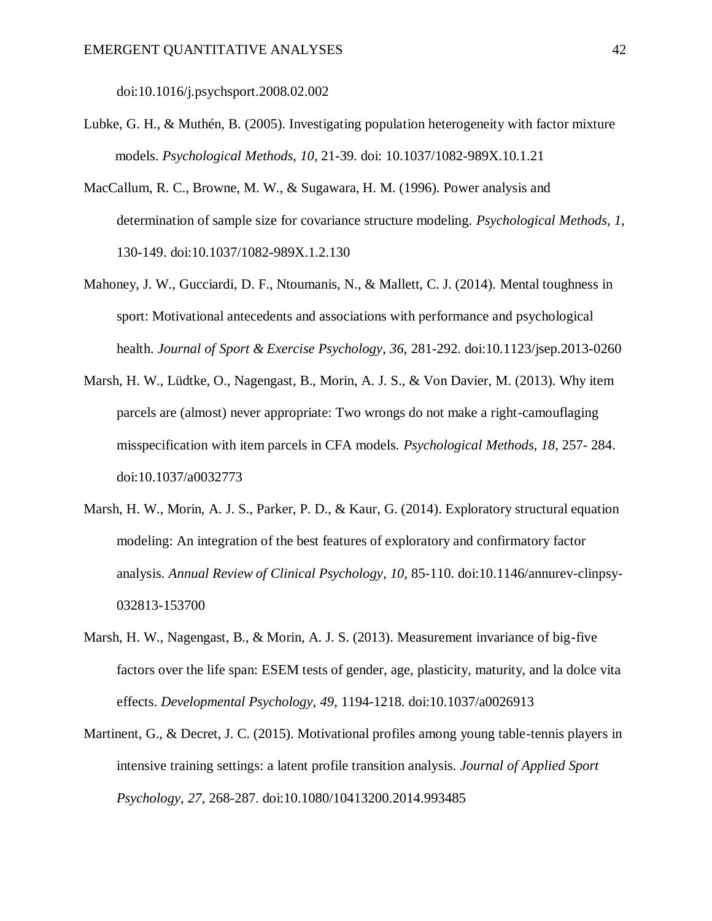doi:10.1016/j.psychsport.2008.02.002

- Lubke, G. H., & Muthén, B. (2005). Investigating population heterogeneity with factor mixture models. *Psychological Methods*, *10*, 21-39. doi: 10.1037/1082-989X.10.1.21
- MacCallum, R. C., Browne, M. W., & Sugawara, H. M. (1996). Power analysis and determination of sample size for covariance structure modeling. *Psychological Methods*, *1*, 130-149. doi:10.1037/1082-989X.1.2.130
- Mahoney, J. W., Gucciardi, D. F., Ntoumanis, N., & Mallett, C. J. (2014). Mental toughness in sport: Motivational antecedents and associations with performance and psychological health. *Journal of Sport & Exercise Psychology*, *36*, 281-292. doi:10.1123/jsep.2013-0260
- Marsh, H. W., Lüdtke, O., Nagengast, B., Morin, A. J. S., & Von Davier, M. (2013). Why item parcels are (almost) never appropriate: Two wrongs do not make a right-camouflaging misspecification with item parcels in CFA models. *Psychological Methods, 18*, 257- 284. doi:10.1037/a0032773
- Marsh, H. W., Morin, A. J. S., Parker, P. D., & Kaur, G. (2014). Exploratory structural equation modeling: An integration of the best features of exploratory and confirmatory factor analysis. *Annual Review of Clinical Psychology*, *10*, 85-110. doi:10.1146/annurev-clinpsy-032813-153700
- Marsh, H. W., Nagengast, B., & Morin, A. J. S. (2013). Measurement invariance of big-five factors over the life span: ESEM tests of gender, age, plasticity, maturity, and la dolce vita effects. *Developmental Psychology*, *49*, 1194-1218. doi:10.1037/a0026913
- Martinent, G., & Decret, J. C. (2015). Motivational profiles among young table-tennis players in intensive training settings: a latent profile transition analysis. *Journal of Applied Sport Psychology*, *27*, 268-287. doi:10.1080/10413200.2014.993485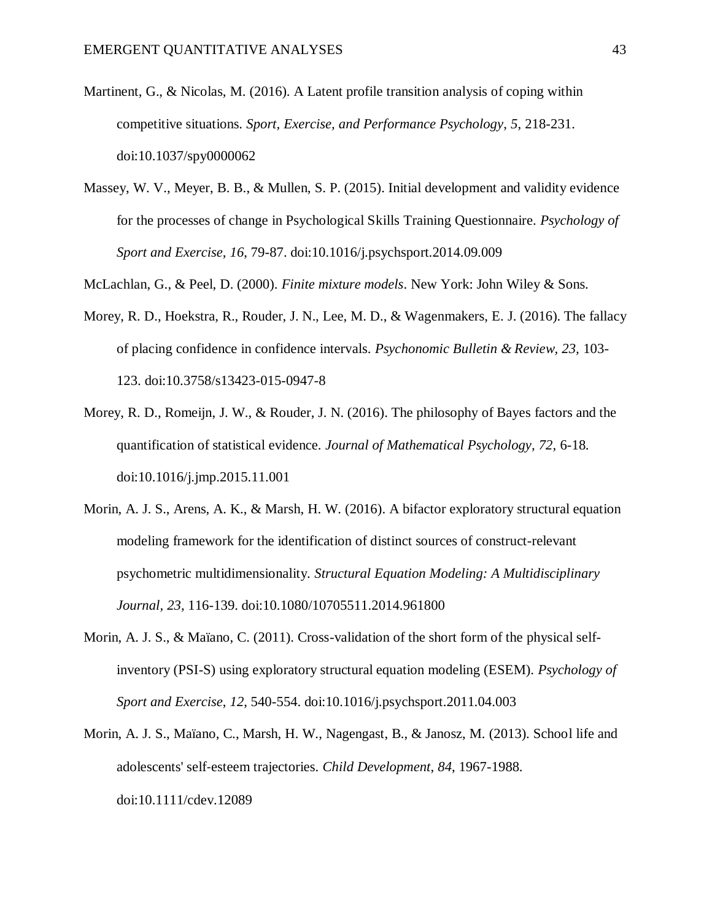- Martinent, G., & Nicolas, M. (2016). A Latent profile transition analysis of coping within competitive situations. *Sport, Exercise, and Performance Psychology*, *5*, 218-231. [doi:10.1037/spy0000062](http://dx.doi.org/10.1037/spy0000062)
- Massey, W. V., Meyer, B. B., & Mullen, S. P. (2015). Initial development and validity evidence for the processes of change in Psychological Skills Training Questionnaire. *Psychology of Sport and Exercise*, *16*, 79-87. doi:10.1016/j.psychsport.2014.09.009

McLachlan, G., & Peel, D. (2000). *Finite mixture models*. New York: John Wiley & Sons.

- Morey, R. D., Hoekstra, R., Rouder, J. N., Lee, M. D., & Wagenmakers, E. J. (2016). The fallacy of placing confidence in confidence intervals. *Psychonomic Bulletin & Review, 23,* 103- 123. doi:10.3758/s13423-015-0947-8
- Morey, R. D., Romeijn, J. W., & Rouder, J. N. (2016). The philosophy of Bayes factors and the quantification of statistical evidence. *Journal of Mathematical Psychology, 72,* 6-18. doi:10.1016/j.jmp.2015.11.001
- Morin, A. J. S., Arens, A. K., & Marsh, H. W. (2016). A bifactor exploratory structural equation modeling framework for the identification of distinct sources of construct-relevant psychometric multidimensionality. *Structural Equation Modeling: A Multidisciplinary Journal, 23,* 116-139. doi:10.1080/10705511.2014.961800
- Morin, A. J. S., & Maïano, C. (2011). Cross-validation of the short form of the physical selfinventory (PSI-S) using exploratory structural equation modeling (ESEM). *Psychology of Sport and Exercise*, *12*, 540-554. doi:10.1016/j.psychsport.2011.04.003
- Morin, A. J. S., Maïano, C., Marsh, H. W., Nagengast, B., & Janosz, M. (2013). School life and adolescents' self‐esteem trajectories. *Child Development*, *84*, 1967-1988. doi:10.1111/cdev.12089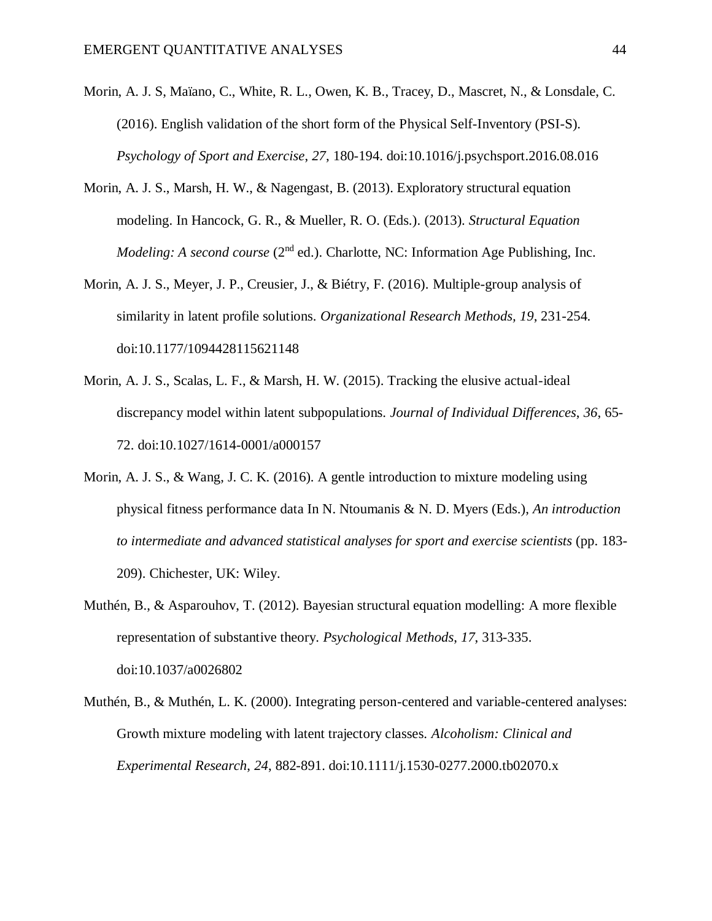- Morin, A. J. S, Maïano, C., White, R. L., Owen, K. B., Tracey, D., Mascret, N., & Lonsdale, C. (2016). English validation of the short form of the Physical Self-Inventory (PSI-S). *Psychology of Sport and Exercise*, *27*, 180-194. doi:10.1016/j.psychsport.2016.08.016
- Morin, A. J. S., Marsh, H. W., & Nagengast, B. (2013). Exploratory structural equation modeling. In Hancock, G. R., & Mueller, R. O. (Eds.). (2013). *Structural Equation Modeling: A second course* (2<sup>nd</sup> ed.). Charlotte, NC: Information Age Publishing, Inc.
- Morin, A. J. S., Meyer, J. P., Creusier, J., & Biétry, F. (2016). Multiple-group analysis of similarity in latent profile solutions. *Organizational Research Methods, 19*, 231-254. doi:10.1177/1094428115621148
- Morin, A. J. S., Scalas, L. F., & Marsh, H. W. (2015). Tracking the elusive actual-ideal discrepancy model within latent subpopulations. *Journal of Individual Differences*, *36*, 65- 72. doi:10.1027/1614-0001/a000157
- Morin, A. J. S., & Wang, J. C. K. (2016). A gentle introduction to mixture modeling using physical fitness performance data In N. Ntoumanis & N. D. Myers (Eds.), *An introduction to intermediate and advanced statistical analyses for sport and exercise scientists* (pp. 183- 209). Chichester, UK: Wiley.
- Muthén, B., & Asparouhov, T. (2012). Bayesian structural equation modelling: A more flexible representation of substantive theory. *Psychological Methods*, *17*, 313-335. doi:10.1037/a0026802
- Muthén, B., & Muthén, L. K. (2000). Integrating person-centered and variable-centered analyses: Growth mixture modeling with latent trajectory classes. *Alcoholism: Clinical and Experimental Research*, *24*, 882-891. doi:10.1111/j.1530-0277.2000.tb02070.x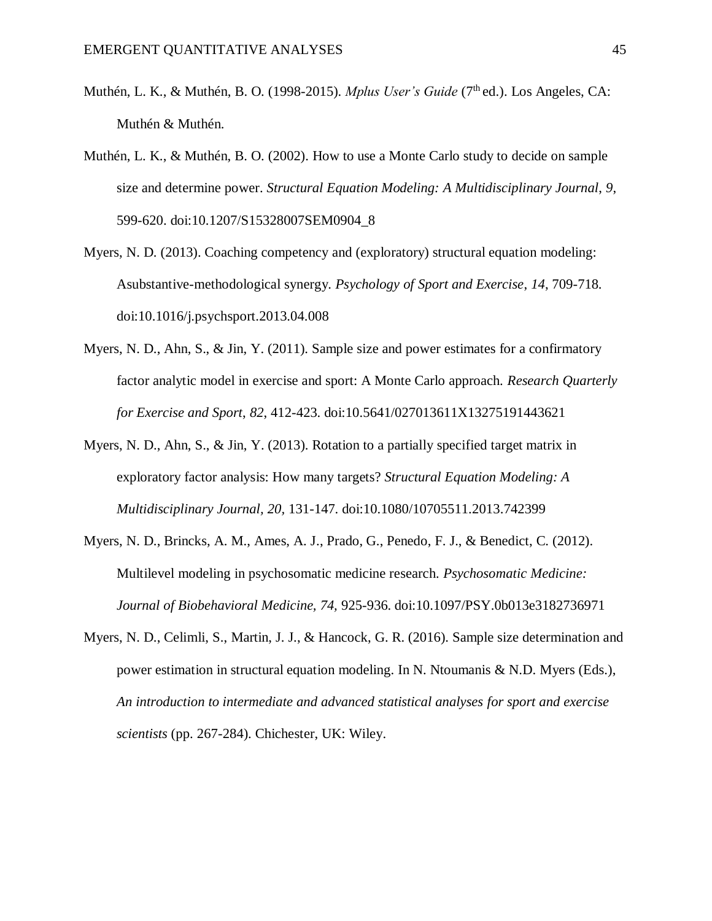- Muthén, L. K., & Muthén, B. O. (1998-2015). *Mplus User's Guide* (7<sup>th</sup> ed.). Los Angeles, CA: Muthén & Muthén.
- Muthén, L. K., & Muthén, B. O. (2002). How to use a Monte Carlo study to decide on sample size and determine power. *Structural Equation Modeling: A Multidisciplinary Journal*, *9*, 599-620. doi:10.1207/S15328007SEM0904\_8
- Myers, N. D. (2013). Coaching competency and (exploratory) structural equation modeling: Asubstantive-methodological synergy. *Psychology of Sport and Exercise*, *14*, 709-718. doi:10.1016/j.psychsport.2013.04.008
- Myers, N. D., Ahn, S., & Jin, Y. (2011). Sample size and power estimates for a confirmatory factor analytic model in exercise and sport: A Monte Carlo approach. *Research Quarterly for Exercise and Sport*, *82*, 412-423. doi:10.5641/027013611X13275191443621
- Myers, N. D., Ahn, S., & Jin, Y. (2013). Rotation to a partially specified target matrix in exploratory factor analysis: How many targets? *Structural Equation Modeling: A Multidisciplinary Journal, 20,* 131-147. doi:10.1080/10705511.2013.742399
- Myers, N. D., Brincks, A. M., Ames, A. J., Prado, G., Penedo, F. J., & Benedict, C. (2012). Multilevel modeling in psychosomatic medicine research*. Psychosomatic Medicine: Journal of Biobehavioral Medicine, 74,* 925-936. doi:10.1097/PSY.0b013e3182736971
- Myers, N. D., Celimli, S., Martin, J. J., & Hancock, G. R. (2016). Sample size determination and power estimation in structural equation modeling. In N. Ntoumanis & N.D. Myers (Eds.), *An introduction to intermediate and advanced statistical analyses for sport and exercise scientists* (pp. 267-284). Chichester, UK: Wiley.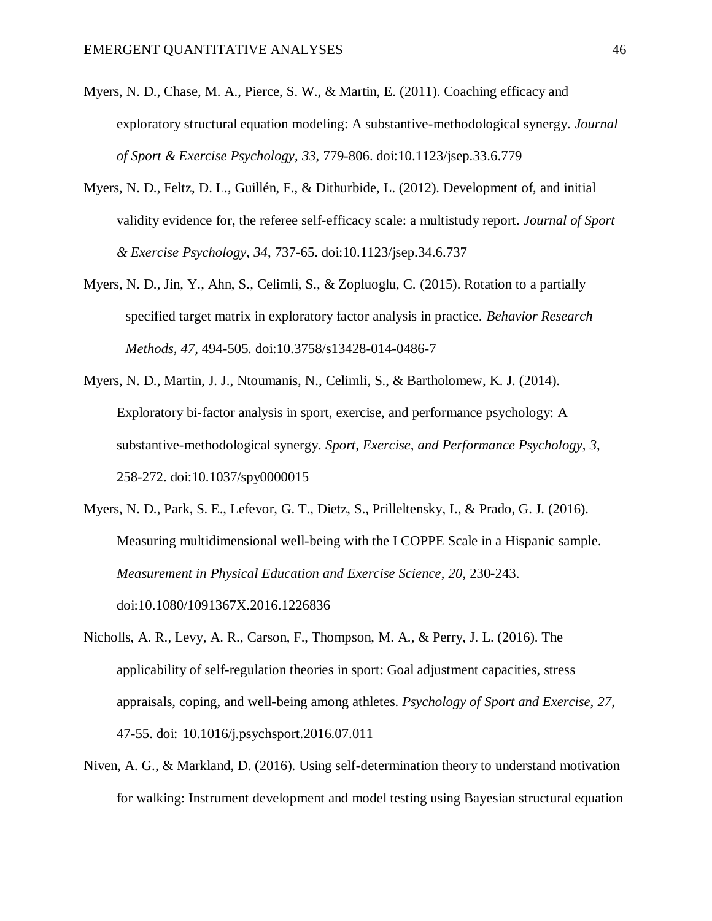- Myers, N. D., Chase, M. A., Pierce, S. W., & Martin, E. (2011). Coaching efficacy and exploratory structural equation modeling: A substantive-methodological synergy. *Journal of Sport & Exercise Psychology*, *33*, 779-806. doi:10.1123/jsep.33.6.779
- Myers, N. D., Feltz, D. L., Guillén, F., & Dithurbide, L. (2012). Development of, and initial validity evidence for, the referee self-efficacy scale: a multistudy report. *Journal of Sport & Exercise Psychology*, *34*, 737-65. doi:10.1123/jsep.34.6.737
- Myers, N. D., Jin, Y., Ahn, S., Celimli, S., & Zopluoglu, C. (2015). Rotation to a partially specified target matrix in exploratory factor analysis in practice. *Behavior Research Methods, 47,* 494-505. doi:10.3758/s13428-014-0486-7
- Myers, N. D., Martin, J. J., Ntoumanis, N., Celimli, S., & Bartholomew, K. J. (2014). Exploratory bi-factor analysis in sport, exercise, and performance psychology: A substantive-methodological synergy. *Sport, Exercise, and Performance Psychology*, *3*, 258-272. doi:10.1037/spy0000015
- Myers, N. D., Park, S. E., Lefevor, G. T., Dietz, S., Prilleltensky, I., & Prado, G. J. (2016). Measuring multidimensional well-being with the I COPPE Scale in a Hispanic sample. *Measurement in Physical Education and Exercise Science*, *20*, 230-243. doi:10.1080/1091367X.2016.1226836
- Nicholls, A. R., Levy, A. R., Carson, F., Thompson, M. A., & Perry, J. L. (2016). The applicability of self-regulation theories in sport: Goal adjustment capacities, stress appraisals, coping, and well-being among athletes. *Psychology of Sport and Exercise*, *27*, 47-55. doi: 10.1016/j.psychsport.2016.07.011
- Niven, A. G., & Markland, D. (2016). Using self-determination theory to understand motivation for walking: Instrument development and model testing using Bayesian structural equation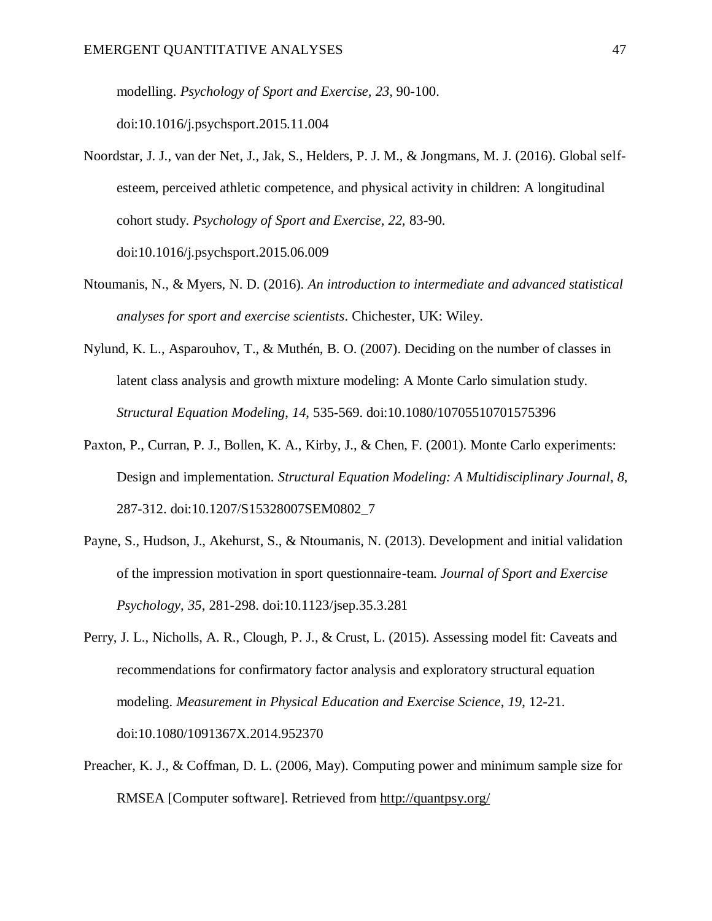modelling. *Psychology of Sport and Exercise, 23,* 90-100. doi:10.1016/j.psychsport.2015.11.004

- Noordstar, J. J., van der Net, J., Jak, S., Helders, P. J. M., & Jongmans, M. J. (2016). Global selfesteem, perceived athletic competence, and physical activity in children: A longitudinal cohort study. *Psychology of Sport and Exercise, 22,* 83-90. doi:10.1016/j.psychsport.2015.06.009
- Ntoumanis, N., & Myers, N. D. (2016). *An introduction to intermediate and advanced statistical analyses for sport and exercise scientists*. Chichester, UK: Wiley.
- Nylund, K. L., Asparouhov, T., & Muthén, B. O. (2007). Deciding on the number of classes in latent class analysis and growth mixture modeling: A Monte Carlo simulation study. *Structural Equation Modeling*, *14*, 535-569. doi:10.1080/10705510701575396
- Paxton, P., Curran, P. J., Bollen, K. A., Kirby, J., & Chen, F. (2001). Monte Carlo experiments: Design and implementation. *Structural Equation Modeling: A Multidisciplinary Journal*, *8*, 287-312. doi:10.1207/S15328007SEM0802\_7
- Payne, S., Hudson, J., Akehurst, S., & Ntoumanis, N. (2013). Development and initial validation of the impression motivation in sport questionnaire-team. *Journal of Sport and Exercise Psychology*, *35*, 281-298. doi:10.1123/jsep.35.3.281
- Perry, J. L., Nicholls, A. R., Clough, P. J., & Crust, L. (2015). Assessing model fit: Caveats and recommendations for confirmatory factor analysis and exploratory structural equation modeling. *Measurement in Physical Education and Exercise Science*, *19*, 12-21. doi:10.1080/1091367X.2014.952370
- Preacher, K. J., & Coffman, D. L. (2006, May). Computing power and minimum sample size for RMSEA [Computer software]. Retrieved from <http://quantpsy.org/>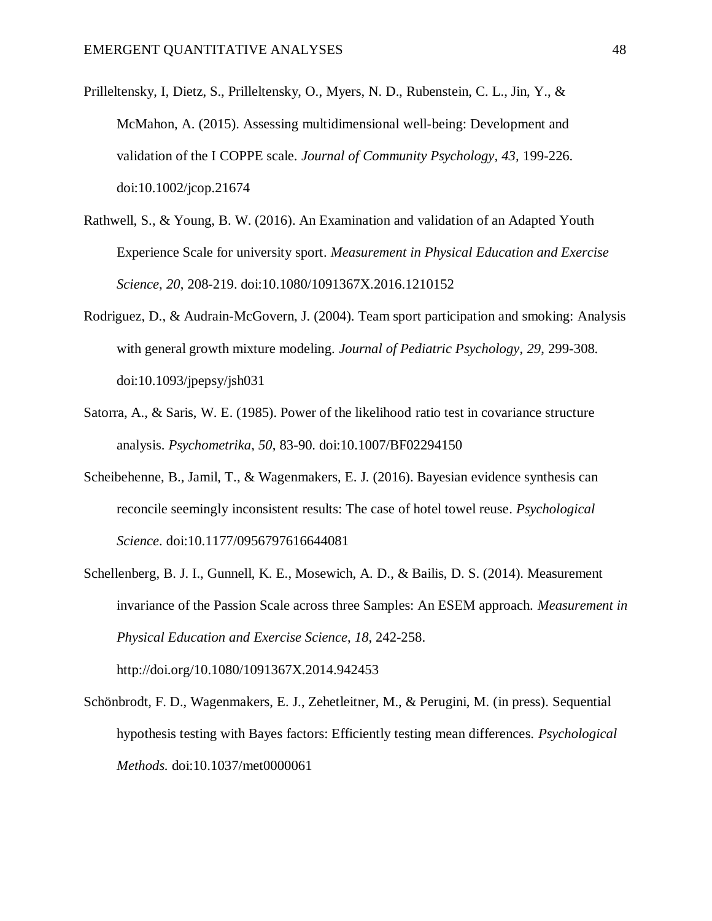- Prilleltensky, I, Dietz, S., Prilleltensky, O., Myers, N. D., Rubenstein, C. L., Jin, Y., & McMahon, A. (2015). Assessing multidimensional well-being: Development and validation of the I COPPE scale. *Journal of Community Psychology, 43,* 199-226. doi:10.1002/jcop.21674
- Rathwell, S., & Young, B. W. (2016). An Examination and validation of an Adapted Youth Experience Scale for university sport. *Measurement in Physical Education and Exercise Science*, *20*, 208-219. doi:10.1080/1091367X.2016.1210152
- Rodriguez, D., & Audrain-McGovern, J. (2004). Team sport participation and smoking: Analysis with general growth mixture modeling. *Journal of Pediatric Psychology*, *29*, 299-308. doi:10.1093/jpepsy/jsh031
- Satorra, A., & Saris, W. E. (1985). Power of the likelihood ratio test in covariance structure analysis. *Psychometrika*, *50*, 83-90. doi:10.1007/BF02294150
- Scheibehenne, B., Jamil, T., & Wagenmakers, E. J. (2016). Bayesian evidence synthesis can reconcile seemingly inconsistent results: The case of hotel towel reuse. *Psychological Science*. doi:10.1177/0956797616644081
- Schellenberg, B. J. I., Gunnell, K. E., Mosewich, A. D., & Bailis, D. S. (2014). Measurement invariance of the Passion Scale across three Samples: An ESEM approach. *Measurement in Physical Education and Exercise Science*, *18*, 242-258.

http://doi.org/10.1080/1091367X.2014.942453

Schönbrodt, F. D., Wagenmakers, E. J., Zehetleitner, M., & Perugini, M. (in press). Sequential hypothesis testing with Bayes factors: Efficiently testing mean differences. *Psychological Methods.* doi:10.1037/met0000061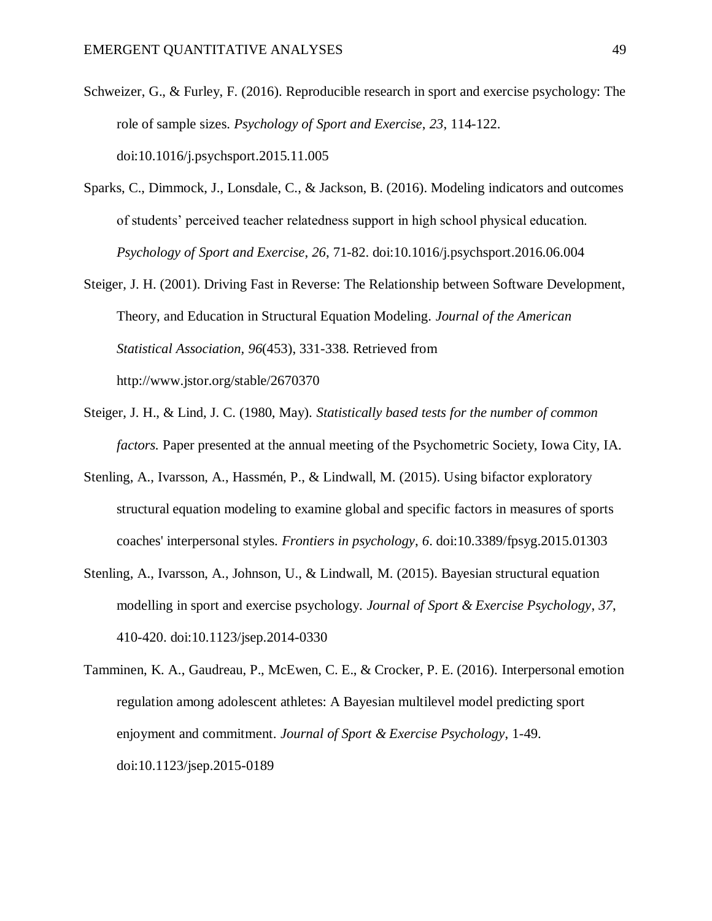- Schweizer, G., & Furley, F. (2016). Reproducible research in sport and exercise psychology: The role of sample sizes. *Psychology of Sport and Exercise*, *23*, 114-122. doi:10.1016/j.psychsport.2015.11.005
- Sparks, C., Dimmock, J., Lonsdale, C., & Jackson, B. (2016). Modeling indicators and outcomes of students' perceived teacher relatedness support in high school physical education. *Psychology of Sport and Exercise*, *26*, 71-82. doi:10.1016/j.psychsport.2016.06.004
- Steiger, J. H. (2001). Driving Fast in Reverse: The Relationship between Software Development, Theory, and Education in Structural Equation Modeling. *Journal of the American Statistical Association, 96*(453), 331-338. Retrieved from http://www.jstor.org/stable/2670370
- Steiger, J. H., & Lind, J. C. (1980, May). *Statistically based tests for the number of common factors.* Paper presented at the annual meeting of the Psychometric Society, Iowa City, IA.
- Stenling, A., Ivarsson, A., Hassmén, P., & Lindwall, M. (2015). Using bifactor exploratory structural equation modeling to examine global and specific factors in measures of sports coaches' interpersonal styles. *Frontiers in psychology*, *6*. doi:10.3389/fpsyg.2015.01303
- Stenling, A., Ivarsson, A., Johnson, U., & Lindwall, M. (2015). Bayesian structural equation modelling in sport and exercise psychology. *Journal of Sport & Exercise Psychology*, *37*, 410-420. doi:10.1123/jsep.2014-0330

Tamminen, K. A., Gaudreau, P., McEwen, C. E., & Crocker, P. E. (2016). Interpersonal emotion regulation among adolescent athletes: A Bayesian multilevel model predicting sport enjoyment and commitment. *Journal of Sport & Exercise Psychology*, 1-49. doi:10.1123/jsep.2015-0189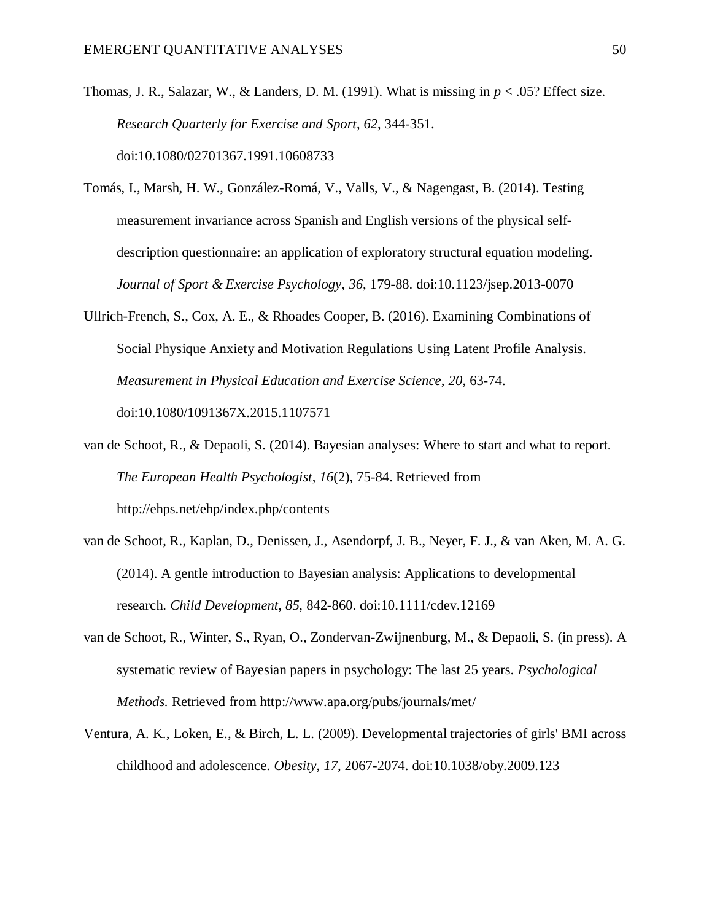Thomas, J. R., Salazar, W., & Landers, D. M. (1991). What is missing in  $p < .05$ ? Effect size. *Research Quarterly for Exercise and Sport*, *62*, 344-351. doi:10.1080/02701367.1991.10608733

- Tomás, I., Marsh, H. W., González-Romá, V., Valls, V., & Nagengast, B. (2014). Testing measurement invariance across Spanish and English versions of the physical selfdescription questionnaire: an application of exploratory structural equation modeling. *Journal of Sport & Exercise Psychology*, *36*, 179-88. doi:10.1123/jsep.2013-0070
- Ullrich-French, S., Cox, A. E., & Rhoades Cooper, B. (2016). Examining Combinations of Social Physique Anxiety and Motivation Regulations Using Latent Profile Analysis. *Measurement in Physical Education and Exercise Science*, *20*, 63-74. doi:10.1080/1091367X.2015.1107571
- van de Schoot, R., & Depaoli, S. (2014). Bayesian analyses: Where to start and what to report. *The European Health Psychologist*, *16*(2), 75-84. Retrieved from http://ehps.net/ehp/index.php/contents
- van de Schoot, R., Kaplan, D., Denissen, J., Asendorpf, J. B., Neyer, F. J., & van Aken, M. A. G. (2014). A gentle introduction to Bayesian analysis: Applications to developmental research. *Child Development*, *85*, 842-860. doi:10.1111/cdev.12169
- van de Schoot, R., Winter, S., Ryan, O., Zondervan-Zwijnenburg, M., & Depaoli, S. (in press). A systematic review of Bayesian papers in psychology: The last 25 years. *Psychological Methods.* Retrieved from http://www.apa.org/pubs/journals/met/
- Ventura, A. K., Loken, E., & Birch, L. L. (2009). Developmental trajectories of girls' BMI across childhood and adolescence. *Obesity*, *17*, 2067-2074. doi:10.1038/oby.2009.123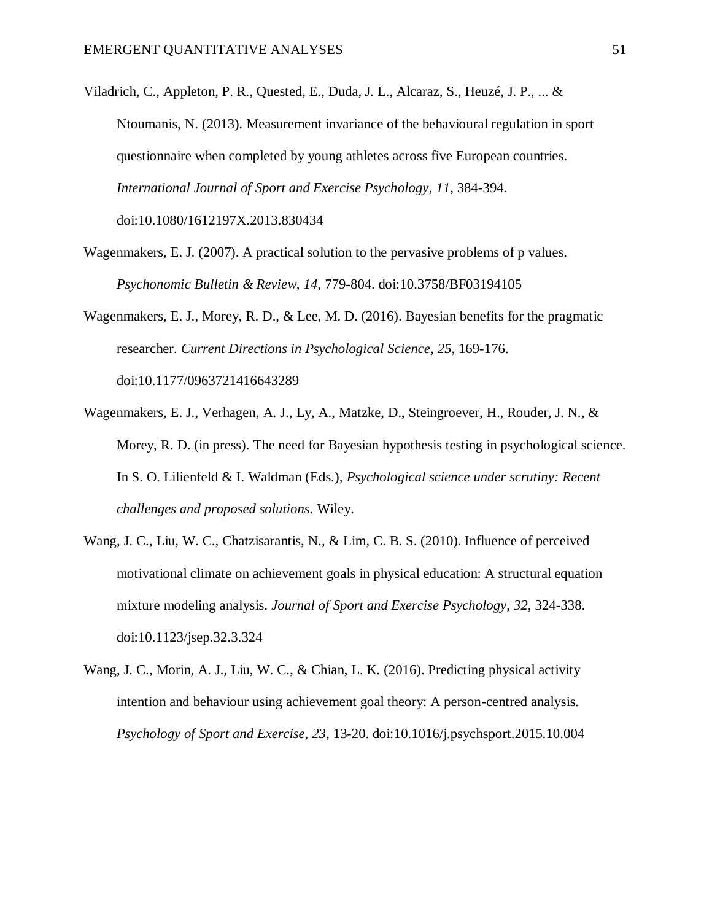Viladrich, C., Appleton, P. R., Quested, E., Duda, J. L., Alcaraz, S., Heuzé, J. P., ... & Ntoumanis, N. (2013). Measurement invariance of the behavioural regulation in sport questionnaire when completed by young athletes across five European countries. *International Journal of Sport and Exercise Psychology*, *11*, 384-394. doi:10.1080/1612197X.2013.830434

Wagenmakers, E. J. (2007). A practical solution to the pervasive problems of p values. *Psychonomic Bulletin & Review*, *14*, 779-804. doi:10.3758/BF03194105

Wagenmakers, E. J., Morey, R. D., & Lee, M. D. (2016). Bayesian benefits for the pragmatic researcher. *Current Directions in Psychological Science*, *25*, 169-176. doi:10.1177/0963721416643289

- Wagenmakers, E. J., Verhagen, A. J., Ly, A., Matzke, D., Steingroever, H., Rouder, J. N., & Morey, R. D. (in press). The need for Bayesian hypothesis testing in psychological science. In S. O. Lilienfeld & I. Waldman (Eds.), *Psychological science under scrutiny: Recent challenges and proposed solutions*. Wiley.
- Wang, J. C., Liu, W. C., Chatzisarantis, N., & Lim, C. B. S. (2010). Influence of perceived motivational climate on achievement goals in physical education: A structural equation mixture modeling analysis. *Journal of Sport and Exercise Psychology*, *32*, 324-338. doi:10.1123/jsep.32.3.324
- Wang, J. C., Morin, A. J., Liu, W. C., & Chian, L. K. (2016). Predicting physical activity intention and behaviour using achievement goal theory: A person-centred analysis. *Psychology of Sport and Exercise*, *23*, 13-20. doi:10.1016/j.psychsport.2015.10.004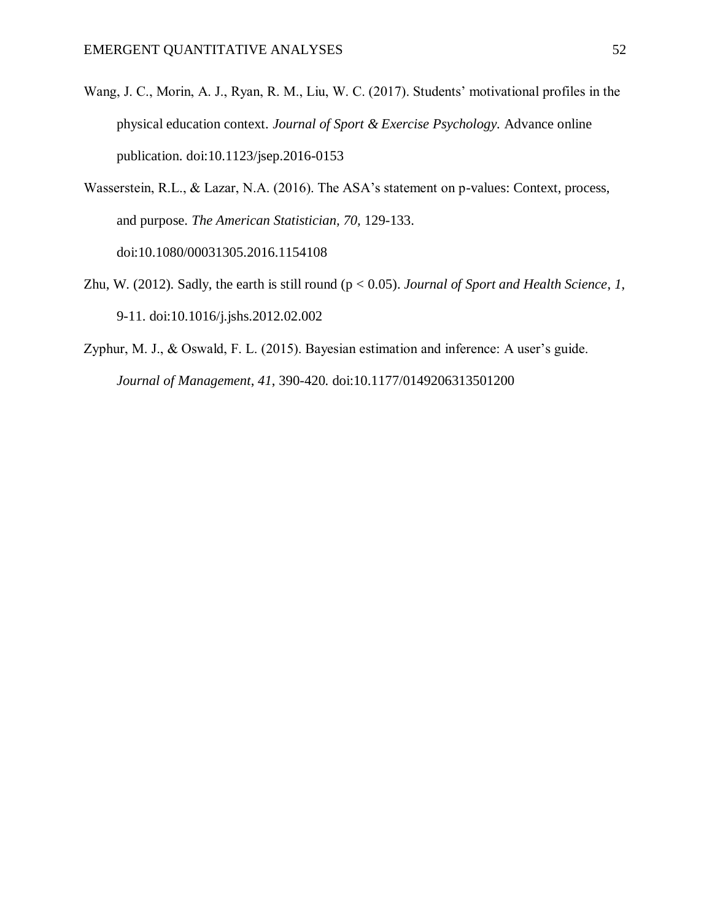- Wang, J. C., Morin, A. J., Ryan, R. M., Liu, W. C. (2017). Students' motivational profiles in the physical education context. *Journal of Sport & Exercise Psychology.* Advance online publication. doi:10.1123/jsep.2016-0153
- Wasserstein, R.L., & Lazar, N.A. (2016). The ASA's statement on p-values: Context, process, and purpose. *The American Statistician, 70,* 129-133. doi:10.1080/00031305.2016.1154108
- Zhu, W. (2012). Sadly, the earth is still round (p < 0.05). *Journal of Sport and Health Science*, *1*, 9-11. doi:10.1016/j.jshs.2012.02.002
- Zyphur, M. J., & Oswald, F. L. (2015). Bayesian estimation and inference: A user's guide. *Journal of Management*, *41*, 390-420*.* doi:10.1177/0149206313501200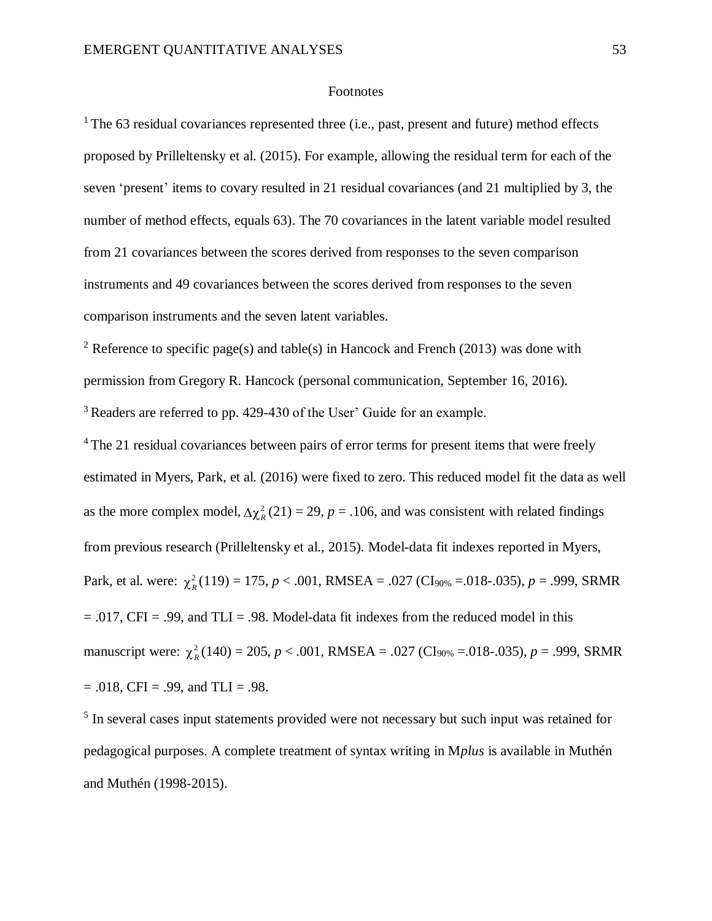#### Footnotes

 $1$ <sup>1</sup> The 63 residual covariances represented three (i.e., past, present and future) method effects proposed by Prilleltensky et al. (2015). For example, allowing the residual term for each of the seven 'present' items to covary resulted in 21 residual covariances (and 21 multiplied by 3, the number of method effects, equals 63). The 70 covariances in the latent variable model resulted from 21 covariances between the scores derived from responses to the seven comparison instruments and 49 covariances between the scores derived from responses to the seven comparison instruments and the seven latent variables.

<sup>2</sup> Reference to specific page(s) and table(s) in Hancock and French (2013) was done with permission from Gregory R. Hancock (personal communication, September 16, 2016). <sup>3</sup> Readers are referred to pp. 429-430 of the User' Guide for an example.

<sup>4</sup>The 21 residual covariances between pairs of error terms for present items that were freely estimated in Myers, Park, et al. (2016) were fixed to zero. This reduced model fit the data as well as the more complex model,  $\Delta \chi^2_R(21) = 29$ ,  $p = .106$ , and was consistent with related findings from previous research (Prilleltensky et al., 2015). Model-data fit indexes reported in Myers, Park, et al. were:  $\chi^2_R(119) = 175$ ,  $p < .001$ , RMSEA = .027 (CI<sub>90%</sub> = .018-.035),  $p = .999$ , SRMR  $= .017$ , CFI = .99, and TLI = .98. Model-data fit indexes from the reduced model in this manuscript were:  $\chi^2_R(140) = 205$ ,  $p < .001$ , RMSEA = .027 (CI<sub>90%</sub> = .018-.035),  $p = .999$ , SRMR  $= .018$ , CFI  $= .99$ , and TLI  $= .98$ .

<sup>5</sup> In several cases input statements provided were not necessary but such input was retained for pedagogical purposes. A complete treatment of syntax writing in M*plus* is available in Muthén and Muthén (1998-2015).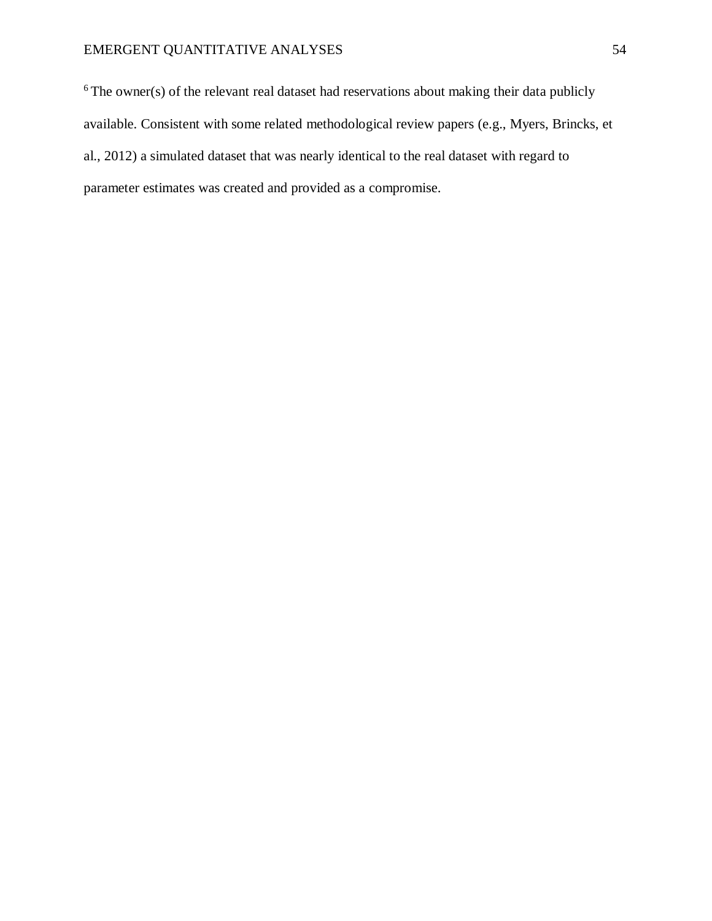$6$ The owner(s) of the relevant real dataset had reservations about making their data publicly available. Consistent with some related methodological review papers (e.g., Myers, Brincks, et al., 2012) a simulated dataset that was nearly identical to the real dataset with regard to parameter estimates was created and provided as a compromise.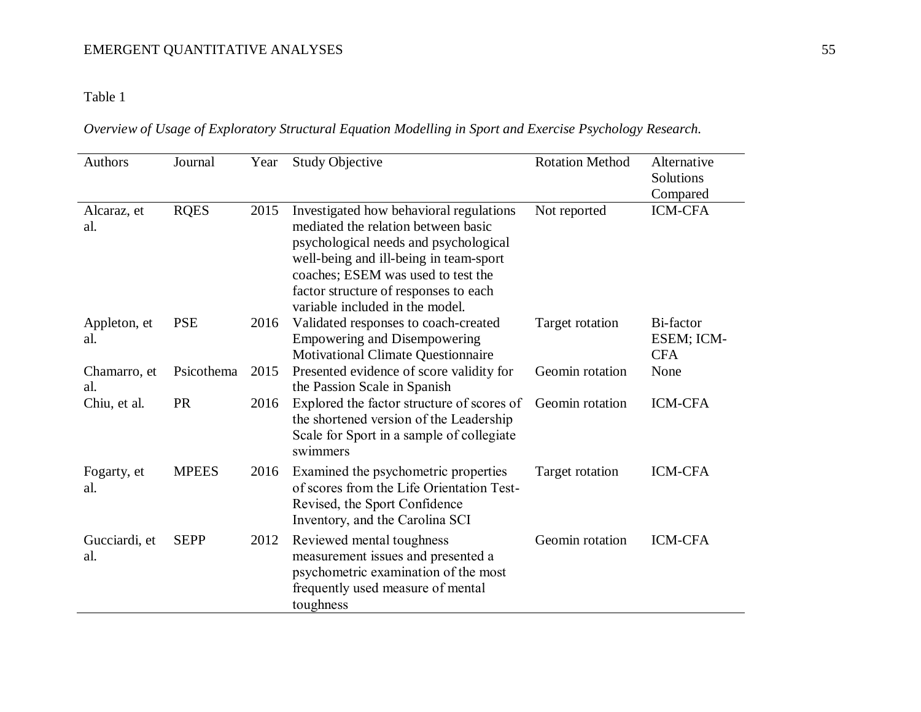## Table 1

| Overview of Usage of Exploratory Structural Equation Modelling in Sport and Exercise Psychology Research. |  |  |  |  |  |
|-----------------------------------------------------------------------------------------------------------|--|--|--|--|--|
|                                                                                                           |  |  |  |  |  |

| <b>Authors</b>       | Journal      | Year | <b>Study Objective</b>                                                                                                                                                                                                                                                              | <b>Rotation Method</b> | Alternative<br>Solutions<br>Compared  |
|----------------------|--------------|------|-------------------------------------------------------------------------------------------------------------------------------------------------------------------------------------------------------------------------------------------------------------------------------------|------------------------|---------------------------------------|
| Alcaraz, et<br>al.   | <b>RQES</b>  | 2015 | Investigated how behavioral regulations<br>mediated the relation between basic<br>psychological needs and psychological<br>well-being and ill-being in team-sport<br>coaches; ESEM was used to test the<br>factor structure of responses to each<br>variable included in the model. | Not reported           | <b>ICM-CFA</b>                        |
| Appleton, et<br>al.  | <b>PSE</b>   | 2016 | Validated responses to coach-created<br><b>Empowering and Disempowering</b><br><b>Motivational Climate Questionnaire</b>                                                                                                                                                            | Target rotation        | Bi-factor<br>ESEM; ICM-<br><b>CFA</b> |
| Chamarro, et<br>al.  | Psicothema   | 2015 | Presented evidence of score validity for<br>the Passion Scale in Spanish                                                                                                                                                                                                            | Geomin rotation        | None                                  |
| Chiu, et al.         | <b>PR</b>    | 2016 | Explored the factor structure of scores of<br>the shortened version of the Leadership<br>Scale for Sport in a sample of collegiate<br>swimmers                                                                                                                                      | Geomin rotation        | <b>ICM-CFA</b>                        |
| Fogarty, et<br>al.   | <b>MPEES</b> | 2016 | Examined the psychometric properties<br>of scores from the Life Orientation Test-<br>Revised, the Sport Confidence<br>Inventory, and the Carolina SCI                                                                                                                               | Target rotation        | <b>ICM-CFA</b>                        |
| Gucciardi, et<br>al. | <b>SEPP</b>  | 2012 | Reviewed mental toughness<br>measurement issues and presented a<br>psychometric examination of the most<br>frequently used measure of mental<br>toughness                                                                                                                           | Geomin rotation        | <b>ICM-CFA</b>                        |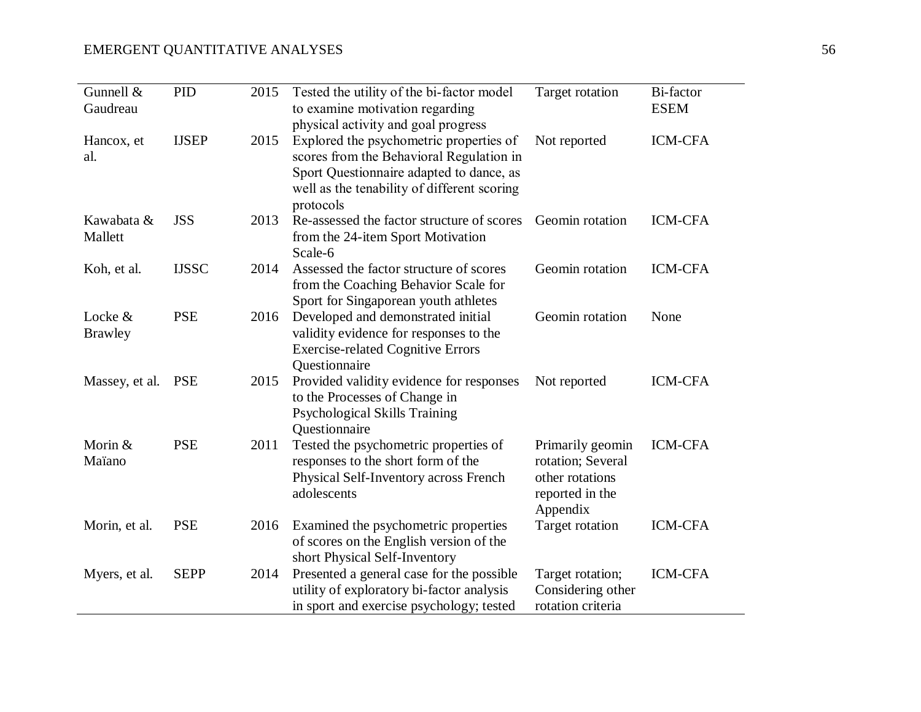| Gunnell &<br>Gaudreau     | PID          | 2015 | Tested the utility of the bi-factor model<br>to examine motivation regarding<br>physical activity and goal progress                                                                         | Target rotation                                                                         | <b>Bi-factor</b><br><b>ESEM</b> |
|---------------------------|--------------|------|---------------------------------------------------------------------------------------------------------------------------------------------------------------------------------------------|-----------------------------------------------------------------------------------------|---------------------------------|
| Hancox, et<br>al.         | <b>IJSEP</b> | 2015 | Explored the psychometric properties of<br>scores from the Behavioral Regulation in<br>Sport Questionnaire adapted to dance, as<br>well as the tenability of different scoring<br>protocols | Not reported                                                                            | <b>ICM-CFA</b>                  |
| Kawabata &<br>Mallett     | <b>JSS</b>   | 2013 | Re-assessed the factor structure of scores<br>from the 24-item Sport Motivation<br>Scale-6                                                                                                  | Geomin rotation                                                                         | <b>ICM-CFA</b>                  |
| Koh, et al.               | <b>IJSSC</b> | 2014 | Assessed the factor structure of scores<br>from the Coaching Behavior Scale for<br>Sport for Singaporean youth athletes                                                                     | Geomin rotation                                                                         | <b>ICM-CFA</b>                  |
| Locke &<br><b>Brawley</b> | <b>PSE</b>   | 2016 | Developed and demonstrated initial<br>validity evidence for responses to the<br><b>Exercise-related Cognitive Errors</b><br>Questionnaire                                                   | Geomin rotation                                                                         | None                            |
| Massey, et al. PSE        |              | 2015 | Provided validity evidence for responses<br>to the Processes of Change in<br>Psychological Skills Training<br>Questionnaire                                                                 | Not reported                                                                            | <b>ICM-CFA</b>                  |
| Morin &<br>Maïano         | <b>PSE</b>   | 2011 | Tested the psychometric properties of<br>responses to the short form of the<br>Physical Self-Inventory across French<br>adolescents                                                         | Primarily geomin<br>rotation; Several<br>other rotations<br>reported in the<br>Appendix | <b>ICM-CFA</b>                  |
| Morin, et al.             | <b>PSE</b>   | 2016 | Examined the psychometric properties<br>of scores on the English version of the<br>short Physical Self-Inventory                                                                            | Target rotation                                                                         | <b>ICM-CFA</b>                  |
| Myers, et al.             | <b>SEPP</b>  | 2014 | Presented a general case for the possible<br>utility of exploratory bi-factor analysis<br>in sport and exercise psychology; tested                                                          | Target rotation;<br>Considering other<br>rotation criteria                              | <b>ICM-CFA</b>                  |

ш,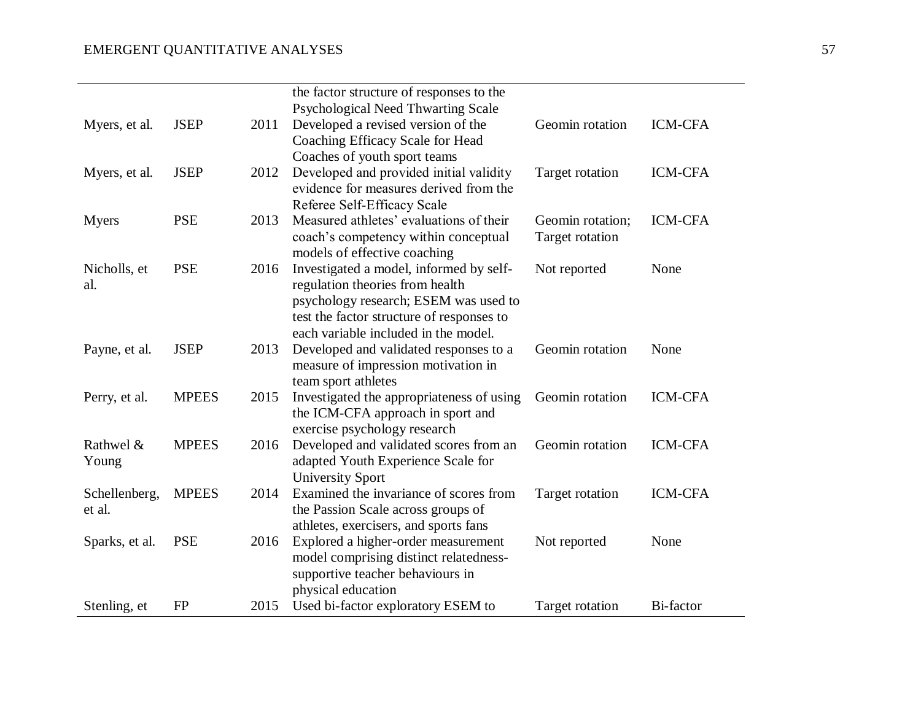|                |              |      | the factor structure of responses to the                                      |                  |                  |
|----------------|--------------|------|-------------------------------------------------------------------------------|------------------|------------------|
|                |              |      | Psychological Need Thwarting Scale                                            |                  |                  |
| Myers, et al.  | <b>JSEP</b>  | 2011 | Developed a revised version of the                                            | Geomin rotation  | <b>ICM-CFA</b>   |
|                |              |      | Coaching Efficacy Scale for Head                                              |                  |                  |
|                |              |      | Coaches of youth sport teams                                                  |                  |                  |
| Myers, et al.  | <b>JSEP</b>  | 2012 | Developed and provided initial validity                                       | Target rotation  | <b>ICM-CFA</b>   |
|                |              |      | evidence for measures derived from the                                        |                  |                  |
|                |              |      | Referee Self-Efficacy Scale                                                   |                  |                  |
| <b>Myers</b>   | <b>PSE</b>   | 2013 | Measured athletes' evaluations of their                                       | Geomin rotation; | <b>ICM-CFA</b>   |
|                |              |      | coach's competency within conceptual                                          | Target rotation  |                  |
|                |              |      | models of effective coaching                                                  |                  |                  |
| Nicholls, et   | <b>PSE</b>   | 2016 | Investigated a model, informed by self-                                       | Not reported     | None             |
| al.            |              |      | regulation theories from health                                               |                  |                  |
|                |              |      | psychology research; ESEM was used to                                         |                  |                  |
|                |              |      | test the factor structure of responses to                                     |                  |                  |
|                |              |      | each variable included in the model.                                          |                  |                  |
| Payne, et al.  | <b>JSEP</b>  | 2013 | Developed and validated responses to a                                        | Geomin rotation  | None             |
|                |              |      | measure of impression motivation in                                           |                  |                  |
|                |              |      | team sport athletes                                                           |                  |                  |
| Perry, et al.  | <b>MPEES</b> | 2015 | Investigated the appropriateness of using                                     | Geomin rotation  | <b>ICM-CFA</b>   |
|                |              |      | the ICM-CFA approach in sport and                                             |                  |                  |
|                |              |      | exercise psychology research                                                  |                  |                  |
| Rathwel &      | <b>MPEES</b> | 2016 | Developed and validated scores from an                                        | Geomin rotation  | <b>ICM-CFA</b>   |
| Young          |              |      | adapted Youth Experience Scale for                                            |                  |                  |
|                |              |      | <b>University Sport</b>                                                       |                  |                  |
| Schellenberg,  | <b>MPEES</b> | 2014 | Examined the invariance of scores from                                        | Target rotation  | <b>ICM-CFA</b>   |
| et al.         |              |      | the Passion Scale across groups of                                            |                  |                  |
|                |              |      | athletes, exercisers, and sports fans                                         |                  |                  |
| Sparks, et al. | <b>PSE</b>   | 2016 | Explored a higher-order measurement<br>model comprising distinct relatedness- | Not reported     | None             |
|                |              |      | supportive teacher behaviours in                                              |                  |                  |
|                |              |      | physical education                                                            |                  |                  |
| Stenling, et   | <b>FP</b>    | 2015 | Used bi-factor exploratory ESEM to                                            | Target rotation  | <b>Bi-factor</b> |
|                |              |      |                                                                               |                  |                  |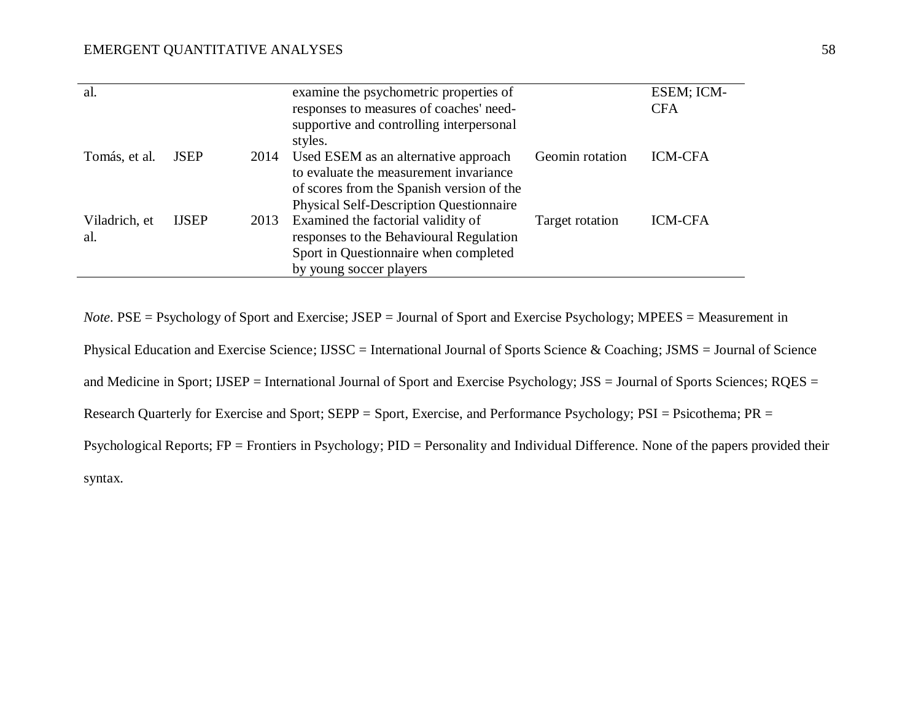| al.           |              |      | examine the psychometric properties of         |                 | ESEM; ICM-     |
|---------------|--------------|------|------------------------------------------------|-----------------|----------------|
|               |              |      | responses to measures of coaches' need-        |                 | <b>CFA</b>     |
|               |              |      | supportive and controlling interpersonal       |                 |                |
|               |              |      | styles.                                        |                 |                |
| Tomás, et al. | <b>JSEP</b>  | 2014 | Used ESEM as an alternative approach           | Geomin rotation | <b>ICM-CFA</b> |
|               |              |      | to evaluate the measurement invariance         |                 |                |
|               |              |      | of scores from the Spanish version of the      |                 |                |
|               |              |      | <b>Physical Self-Description Questionnaire</b> |                 |                |
| Viladrich, et | <b>IJSEP</b> | 2013 | Examined the factorial validity of             | Target rotation | <b>ICM-CFA</b> |
| al.           |              |      | responses to the Behavioural Regulation        |                 |                |
|               |              |      | Sport in Questionnaire when completed          |                 |                |
|               |              |      | by young soccer players                        |                 |                |
|               |              |      |                                                |                 |                |

*Note*. PSE = Psychology of Sport and Exercise; JSEP = Journal of Sport and Exercise Psychology; MPEES = Measurement in

Physical Education and Exercise Science; IJSSC = International Journal of Sports Science & Coaching; JSMS = Journal of Science

and Medicine in Sport; IJSEP = International Journal of Sport and Exercise Psychology; JSS = Journal of Sports Sciences; RQES =

Research Quarterly for Exercise and Sport; SEPP = Sport, Exercise, and Performance Psychology; PSI = Psicothema; PR =

Psychological Reports; FP = Frontiers in Psychology; PID = Personality and Individual Difference. None of the papers provided their

syntax.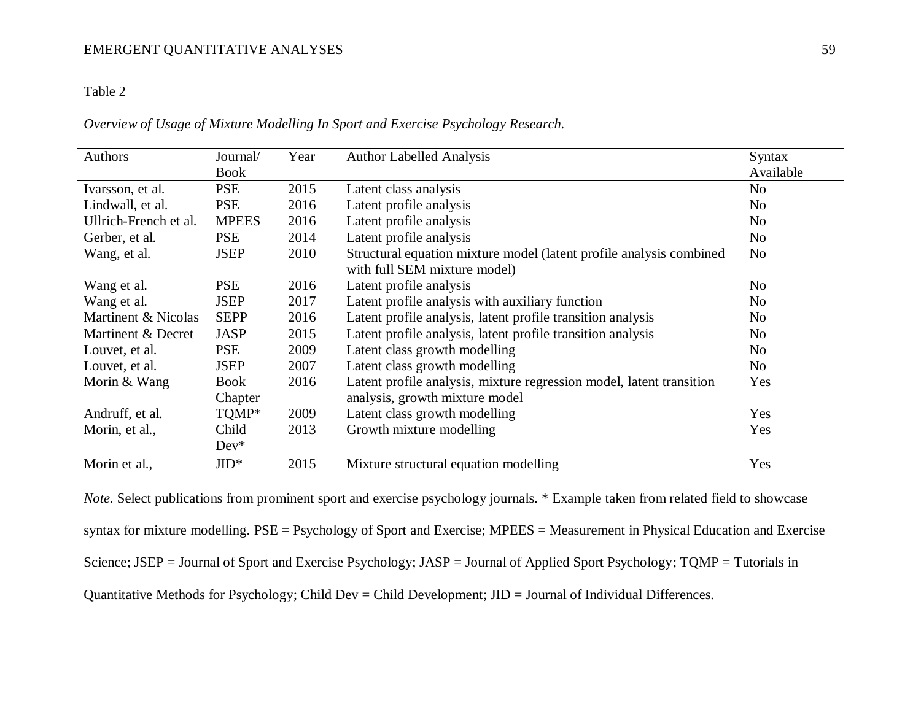### Table 2

*Overview of Usage of Mixture Modelling In Sport and Exercise Psychology Research.* 

| Authors               | Journal/        | Year | <b>Author Labelled Analysis</b>                                                                        | Syntax         |
|-----------------------|-----------------|------|--------------------------------------------------------------------------------------------------------|----------------|
|                       | Book            |      |                                                                                                        | Available      |
| Ivarsson, et al.      | <b>PSE</b>      | 2015 | Latent class analysis                                                                                  | N <sub>o</sub> |
| Lindwall, et al.      | <b>PSE</b>      | 2016 | Latent profile analysis                                                                                | N <sub>o</sub> |
| Ullrich-French et al. | <b>MPEES</b>    | 2016 | Latent profile analysis                                                                                | No             |
| Gerber, et al.        | <b>PSE</b>      | 2014 | Latent profile analysis                                                                                | No             |
| Wang, et al.          | <b>JSEP</b>     | 2010 | Structural equation mixture model (latent profile analysis combined<br>with full SEM mixture model)    | No             |
| Wang et al.           | <b>PSE</b>      | 2016 | Latent profile analysis                                                                                | No             |
| Wang et al.           | <b>JSEP</b>     | 2017 | Latent profile analysis with auxiliary function                                                        | N <sub>o</sub> |
| Martinent & Nicolas   | <b>SEPP</b>     | 2016 | Latent profile analysis, latent profile transition analysis                                            | No             |
| Martinent & Decret    | <b>JASP</b>     | 2015 | Latent profile analysis, latent profile transition analysis                                            | No             |
| Louvet, et al.        | <b>PSE</b>      | 2009 | Latent class growth modelling                                                                          | No             |
| Louvet, et al.        | <b>JSEP</b>     | 2007 | Latent class growth modelling                                                                          | N <sub>0</sub> |
| Morin & Wang          | Book<br>Chapter | 2016 | Latent profile analysis, mixture regression model, latent transition<br>analysis, growth mixture model | Yes            |
| Andruff, et al.       | TQMP*           | 2009 | Latent class growth modelling                                                                          | Yes            |
| Morin, et al.,        | Child<br>$Dev*$ | 2013 | Growth mixture modelling                                                                               | Yes            |
| Morin et al.,         | $JID*$          | 2015 | Mixture structural equation modelling                                                                  | Yes            |

*Note.* Select publications from prominent sport and exercise psychology journals. \* Example taken from related field to showcase syntax for mixture modelling. PSE = Psychology of Sport and Exercise; MPEES = Measurement in Physical Education and Exercise Science; JSEP = Journal of Sport and Exercise Psychology; JASP = Journal of Applied Sport Psychology; TQMP = Tutorials in Quantitative Methods for Psychology; Child Dev = Child Development; JID = Journal of Individual Differences.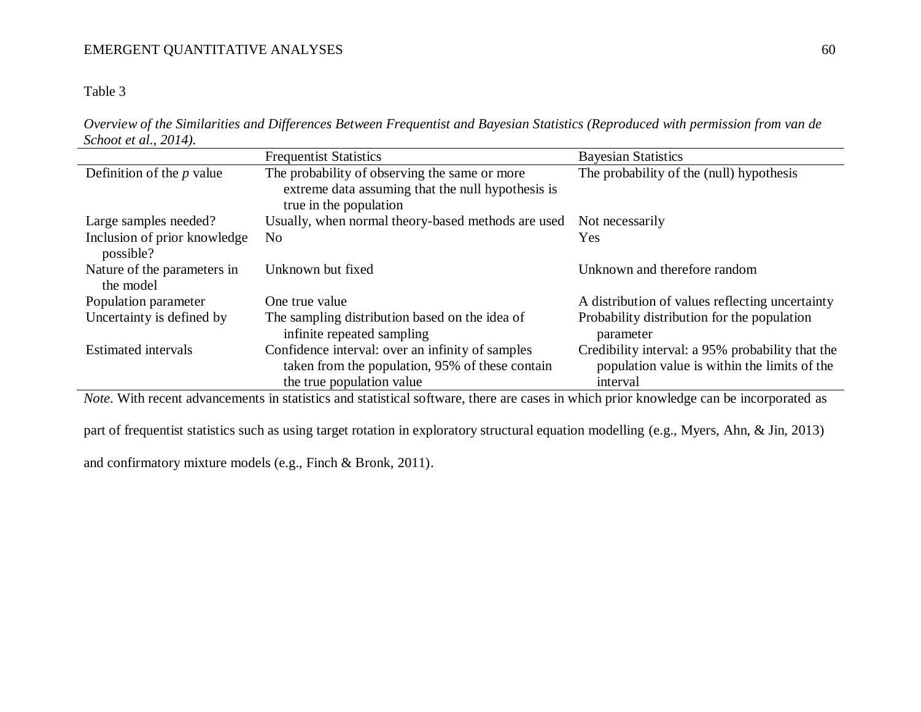Table 3

*Overview of the Similarities and Differences Between Frequentist and Bayesian Statistics (Reproduced with permission from van de Schoot et al., 2014).*

|                                           | <b>Frequentist Statistics</b>                                                                                                    | <b>Bayesian Statistics</b>                                                                                   |
|-------------------------------------------|----------------------------------------------------------------------------------------------------------------------------------|--------------------------------------------------------------------------------------------------------------|
| Definition of the $p$ value               | The probability of observing the same or more<br>extreme data assuming that the null hypothesis is<br>true in the population     | The probability of the (null) hypothesis                                                                     |
| Large samples needed?                     | Usually, when normal theory-based methods are used                                                                               | Not necessarily                                                                                              |
| Inclusion of prior knowledge<br>possible? | N <sub>0</sub>                                                                                                                   | <b>Yes</b>                                                                                                   |
| Nature of the parameters in<br>the model  | Unknown but fixed                                                                                                                | Unknown and therefore random                                                                                 |
| Population parameter                      | One true value                                                                                                                   | A distribution of values reflecting uncertainty                                                              |
| Uncertainty is defined by                 | The sampling distribution based on the idea of<br>infinite repeated sampling                                                     | Probability distribution for the population<br>parameter                                                     |
| <b>Estimated</b> intervals                | Confidence interval: over an infinity of samples<br>taken from the population, 95% of these contain<br>the true population value | Credibility interval: a 95% probability that the<br>population value is within the limits of the<br>interval |

*Note*. With recent advancements in statistics and statistical software, there are cases in which prior knowledge can be incorporated as

part of frequentist statistics such as using target rotation in exploratory structural equation modelling (e.g., Myers, Ahn, & Jin, 2013)

and confirmatory mixture models (e.g., Finch & Bronk, 2011).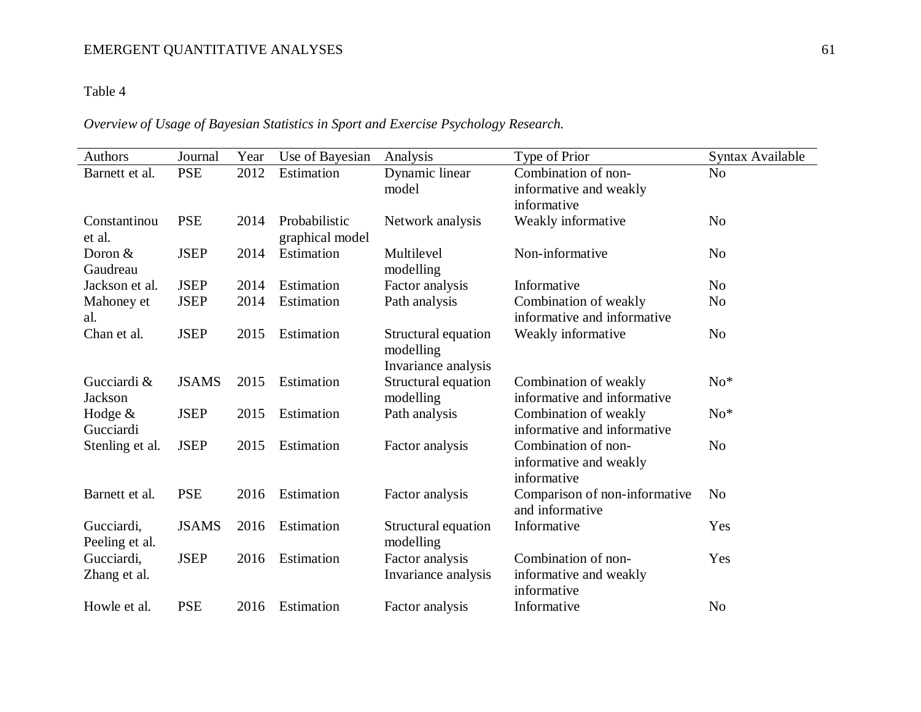## Table 4

## *Overview of Usage of Bayesian Statistics in Sport and Exercise Psychology Research.*

| Authors                      | Journal      | Year | Use of Bayesian                  | Analysis                                                | Type of Prior                                                | Syntax Available |
|------------------------------|--------------|------|----------------------------------|---------------------------------------------------------|--------------------------------------------------------------|------------------|
| Barnett et al.               | <b>PSE</b>   | 2012 | Estimation                       | Dynamic linear<br>model                                 | Combination of non-<br>informative and weakly<br>informative | N <sub>o</sub>   |
| Constantinou<br>et al.       | <b>PSE</b>   | 2014 | Probabilistic<br>graphical model | Network analysis                                        | Weakly informative                                           | N <sub>o</sub>   |
| Doron $&$<br>Gaudreau        | <b>JSEP</b>  | 2014 | Estimation                       | Multilevel<br>modelling                                 | Non-informative                                              | N <sub>0</sub>   |
| Jackson et al.               | <b>JSEP</b>  | 2014 | Estimation                       | Factor analysis                                         | Informative                                                  | N <sub>0</sub>   |
| Mahoney et<br>al.            | <b>JSEP</b>  | 2014 | Estimation                       | Path analysis                                           | Combination of weakly<br>informative and informative         | N <sub>o</sub>   |
| Chan et al.                  | <b>JSEP</b>  | 2015 | Estimation                       | Structural equation<br>modelling<br>Invariance analysis | Weakly informative                                           | N <sub>o</sub>   |
| Gucciardi &<br>Jackson       | <b>JSAMS</b> | 2015 | Estimation                       | Structural equation<br>modelling                        | Combination of weakly<br>informative and informative         | $No*$            |
| Hodge $&$<br>Gucciardi       | <b>JSEP</b>  | 2015 | Estimation                       | Path analysis                                           | Combination of weakly<br>informative and informative         | $No*$            |
| Stenling et al.              | <b>JSEP</b>  | 2015 | Estimation                       | Factor analysis                                         | Combination of non-<br>informative and weakly<br>informative | N <sub>o</sub>   |
| Barnett et al.               | <b>PSE</b>   | 2016 | Estimation                       | Factor analysis                                         | Comparison of non-informative<br>and informative             | N <sub>o</sub>   |
| Gucciardi,<br>Peeling et al. | <b>JSAMS</b> | 2016 | Estimation                       | Structural equation<br>modelling                        | Informative                                                  | Yes              |
| Gucciardi,<br>Zhang et al.   | <b>JSEP</b>  | 2016 | Estimation                       | Factor analysis<br>Invariance analysis                  | Combination of non-<br>informative and weakly<br>informative | Yes              |
| Howle et al.                 | <b>PSE</b>   | 2016 | Estimation                       | Factor analysis                                         | Informative                                                  | N <sub>0</sub>   |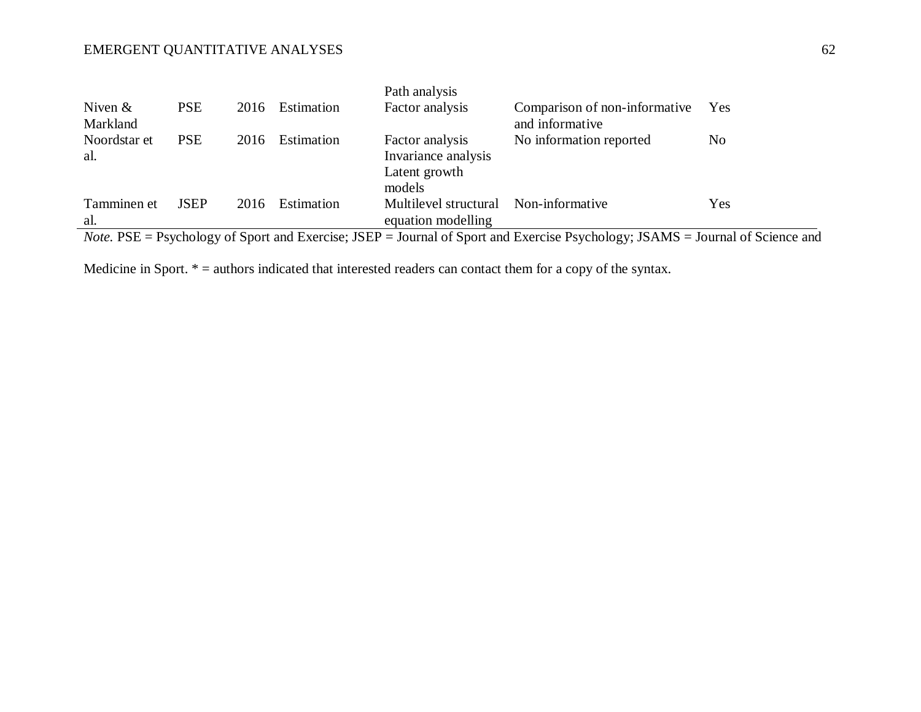| Niven $\&$<br>Markland | <b>PSE</b>  | 2016 | Estimation | Path analysis<br>Factor analysis                                  | Comparison of non-informative<br>and informative                                                                                      | Yes            |
|------------------------|-------------|------|------------|-------------------------------------------------------------------|---------------------------------------------------------------------------------------------------------------------------------------|----------------|
| Noordstar et<br>al.    | <b>PSE</b>  | 2016 | Estimation | Factor analysis<br>Invariance analysis<br>Latent growth<br>models | No information reported                                                                                                               | N <sub>0</sub> |
| Tamminen et<br>al.     | <b>JSEP</b> | 2016 | Estimation | Multilevel structural<br>equation modelling                       | Non-informative                                                                                                                       | Yes            |
|                        |             |      |            |                                                                   | <i>Note</i> . PSE = Psychology of Sport and Exercise; JSEP = Journal of Sport and Exercise Psychology; JSAMS = Journal of Science and |                |

Medicine in Sport. \* = authors indicated that interested readers can contact them for a copy of the syntax.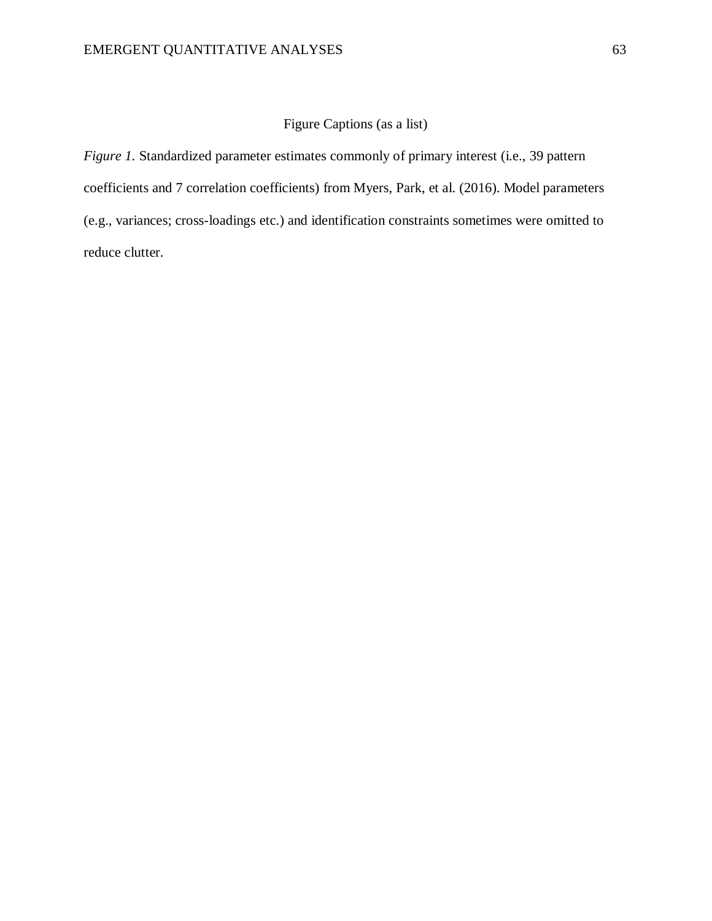### Figure Captions (as a list)

*Figure 1.* Standardized parameter estimates commonly of primary interest (i.e., 39 pattern coefficients and 7 correlation coefficients) from Myers, Park, et al. (2016). Model parameters (e.g., variances; cross-loadings etc.) and identification constraints sometimes were omitted to reduce clutter.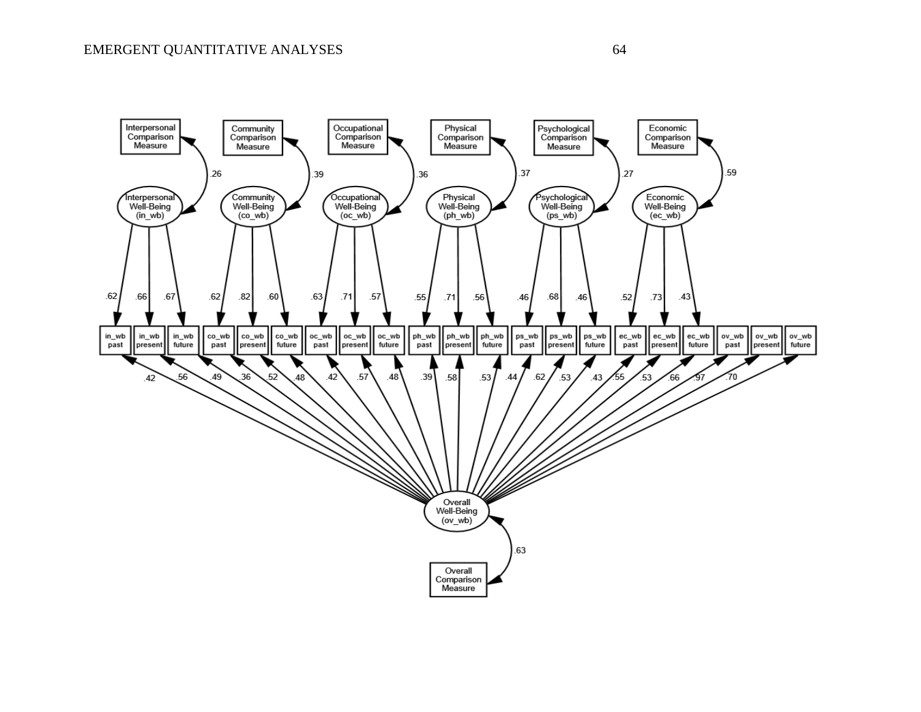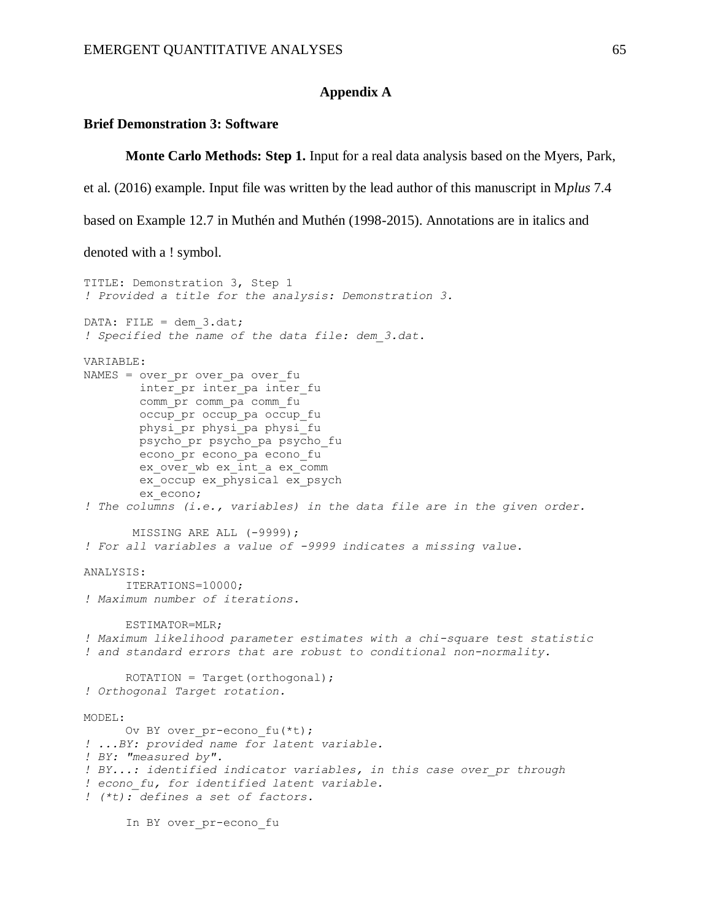#### **Appendix A**

#### **Brief Demonstration 3: Software**

In BY over pr-econo fu

**Monte Carlo Methods: Step 1.** Input for a real data analysis based on the Myers, Park,

et al. (2016) example. Input file was written by the lead author of this manuscript in M*plus* 7.4

based on Example 12.7 in Muthén and Muthén (1998-2015). Annotations are in italics and

denoted with a ! symbol.

```
TITLE: Demonstration 3, Step 1
! Provided a title for the analysis: Demonstration 3.
DATA: FILE = dem 3.dat;
! Specified the name of the data file: dem_3.dat. 
VARIABLE: 
NAMES = over_pr over_pa over_fu 
        inter pr inter pa inter fu
         comm_pr comm_pa comm_fu
        occup pr occup pa occup fu
         physi_pr physi_pa physi_fu
         psycho_pr psycho_pa psycho_fu
         econo_pr econo_pa econo_fu
         ex_over_wb ex_int_a ex_comm
         ex_occup ex_physical ex_psych
         ex_econo; 
! The columns (i.e., variables) in the data file are in the given order. 
        MISSING ARE ALL (-9999);
! For all variables a value of -9999 indicates a missing value. 
ANALYSIS:
     ITERATIONS=10000;
! Maximum number of iterations.
      ESTIMATOR=MLR;
! Maximum likelihood parameter estimates with a chi-square test statistic 
! and standard errors that are robust to conditional non-normality. 
      ROTATION = Target(orthogonal);
! Orthogonal Target rotation. 
MODEL: 
      Ov BY over pr-econo fu(*t);
! ...BY: provided name for latent variable.
! BY: "measured by".
! BY...: identified indicator variables, in this case over_pr through 
! econo_fu, for identified latent variable.
! (*t): defines a set of factors.
```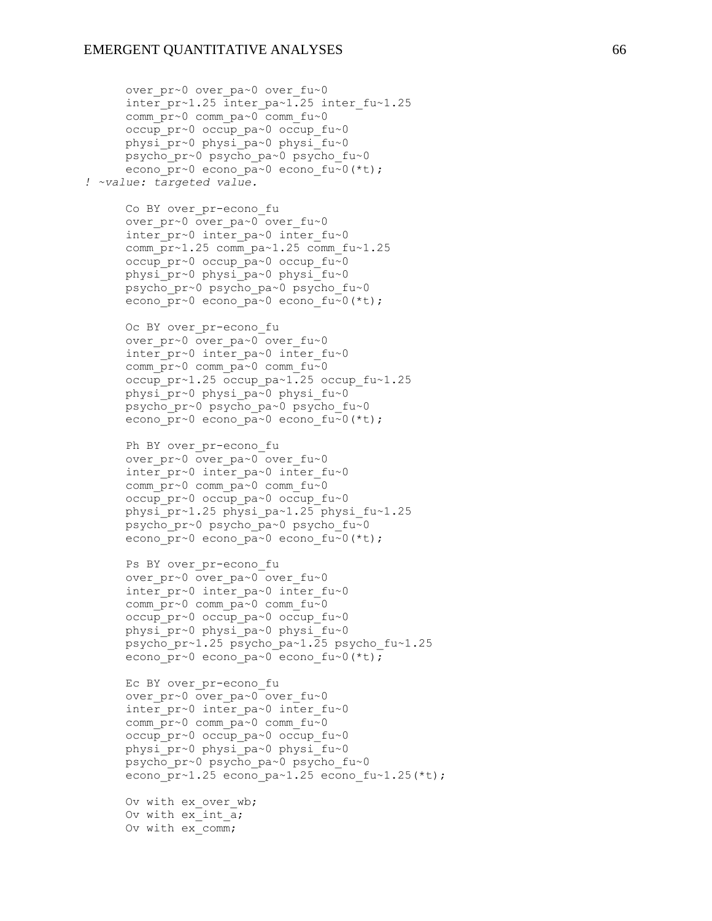over pr~0 over pa~0 over fu~0

 comm\_pr~0 comm\_pa~0 comm\_fu~0 occup\_pr~0 occup\_pa~0 occup\_fu~0

inter  $pr~1.25$  inter  $pa~1.25$  inter fu~1.25

 physi\_pr~0 physi\_pa~0 physi\_fu~0 psycho\_pr~0 psycho\_pa~0 psycho\_fu~0 econo pr~0 econo pa~0 econo fu~0(\*t); *! ~value: targeted value.* Co BY over pr-econo fu over\_pr~0 over pa~0 over fu~0 inter  $pr~0$  inter pa~0 inter fu~0 comm  $pr~1.25$  comm  $pa~1.25$  comm  $fu~1.25$  occup\_pr~0 occup\_pa~0 occup\_fu~0 physi\_pr~0 physi\_pa~0 physi\_fu~0 psycho\_pr~0 psycho\_pa~0 psycho\_fu~0 econo pr~0 econo pa~0 econo fu~0(\*t); Oc BY over pr-econo fu over pr~0 over pa~0 over fu~0 inter  $pr~0$  inter pa~0 inter fu~0 comm  $\overline{\text{pr}}$ ~0 comm  $\overline{\text{pa}}$ ~0 comm fu~0 occup pr~1.25 occup pa~1.25 occup fu~1.25 physi\_pr~0 physi\_pa~0 physi\_fu~0 psycho\_pr~0 psycho\_pa~0 psycho\_fu~0 econo pr~0 econo pa~0 econo fu~0(\*t); Ph BY over pr-econo fu over pr~0 over pa~0 over fu~0 inter  $pr~0$  inter pa~0 inter fu~0 comm  $\overline{\text{pr}} \sim 0$  comm  $\overline{\text{pa}} \sim 0$  comm  $\text{fu} \sim 0$  occup\_pr~0 occup\_pa~0 occup\_fu~0 physi\_pr~1.25 physi\_pa~1.25 physi\_fu~1.25 psycho pr~0 psycho pa~0 psycho fu~0 econo pr~0 econo pa~0 econo fu~0(\*t); Ps BY over pr-econo fu over pr~0 over pa~0 over fu~0 inter pr~0 inter pa~0 inter fu~0 comm\_pr~0 comm\_pa~0 comm\_fu~0 occup\_pr~0 occup\_pa~0 occup\_fu~0 physi\_pr~0 physi\_pa~0 physi\_fu~0 psycho\_pr~1.25 psycho\_pa~1.25 psycho\_fu~1.25 econo pr~0 econo pa~0 econo fu~0(\*t); Ec BY over pr-econo fu over pr~0 over pa~0 over fu~0 inter pr~0 inter pa~0 inter fu~0 comm\_pr~0 comm\_pa~0 comm\_fu~0 occup\_pr~0 occup\_pa~0 occup\_fu~0 physi\_pr~0 physi\_pa~0 physi\_fu~0 psycho\_pr~0 psycho\_pa~0 psycho\_fu~0 econo pr~1.25 econo pa~1.25 econo fu~1.25(\*t); Ov with ex over wb; Ov with ex int a; Ov with ex\_comm;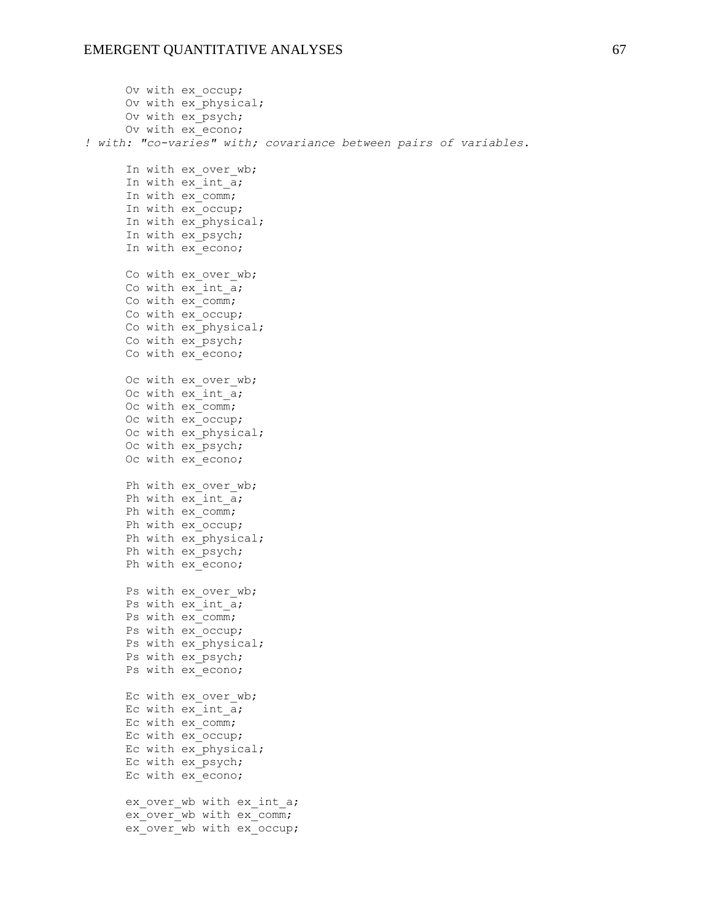```
 Ov with ex_occup;
     Ov with ex_physical;
     Ov with ex psych;
      Ov with ex_econo;
! with: "co-varies" with; covariance between pairs of variables.
     In with ex over wb;
     In with ex int a;
     In with ex comm;
     In with ex occup;
     In with ex physical;
     In with ex psych;
     In with ex^-econo;
     Co with ex over wb;
     Co with ex int \overline{a};
     Co with ex comm;
     Co with ex occup;
     Co with ex physical;
     Co with ex psych;
     Co with ex econo;
     Oc with ex over wb;
     Oc with ex int a;
     Oc with ex comm;
     Oc with ex occup;
     Oc with ex physical;
     Oc with ex psych;
     Oc with ex econo;
     Ph with ex over wb;
      Ph with ex_int_a;
      Ph with ex_comm;
      Ph with ex_occup;
     Ph with ex_physical;
     Ph with ex psych;
     Ph with ex econo;
      Ps with ex_over_wb;
     Ps with ex int a;
     Ps with ex comm;
     Ps with ex occup;
     Ps with ex physical;
     Ps with ex psych;
     Ps with ex econo;
     Ec with ex over wb;
     Ec with ex int a;
     Ec with ex comm;
      Ec with ex_occup;
     Ec with ex physical;
      Ec with ex_psych;
      Ec with ex_econo; 
     ex over wb with ex int a;
     ex over wb with ex comm;
     ex over wb with ex occup;
```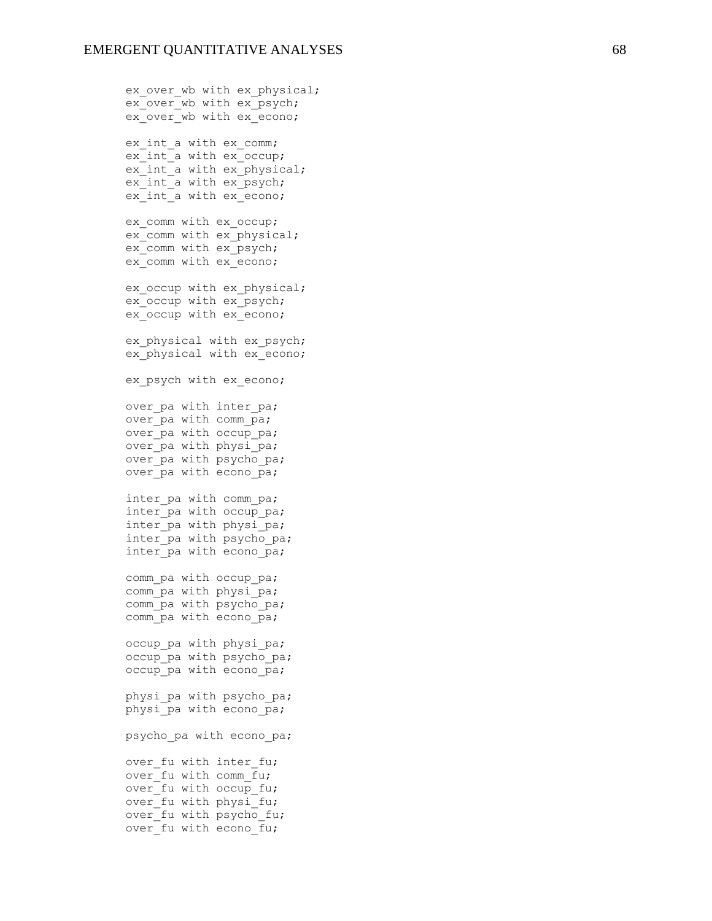ex over wb with ex physical; ex over wb with ex psych; ex\_over\_wb\_with ex\_econo; ex int a with ex comm; ex int a with ex occup; ex int a with ex physical; ex int a with ex psych; ex int a with ex econo; ex comm with ex occup; ex\_comm\_with ex\_physical; ex\_comm\_with ex\_psych; ex comm with ex econo; ex occup with ex physical; ex occup with ex psych; ex occup with ex econo; ex physical with ex psych; ex\_physical with ex\_econo; ex psych with ex econo; over pa with inter pa; over pa with comm pa; over pa with occup pa; over pa with physi pa; over pa with psycho pa; over pa with econo pa; inter\_pa with comm\_pa; inter pa with occup pa; inter pa with physi pa; inter pa with psycho pa; inter pa with econo pa; comm pa with occup pa; comm pa with physi pa; comm pa with psycho pa; comm\_pa with econo pa; occup pa with physi pa; occup pa with psycho pa; occup pa with econo pa; physi pa with psycho pa; physi pa with econo pa; psycho pa with econo pa; over fu with inter\_fu; over fu with comm  $f_{u}$ ; over fu with occup fu; over fu with physi fu; over fu with psycho fu; over fu with econo fu;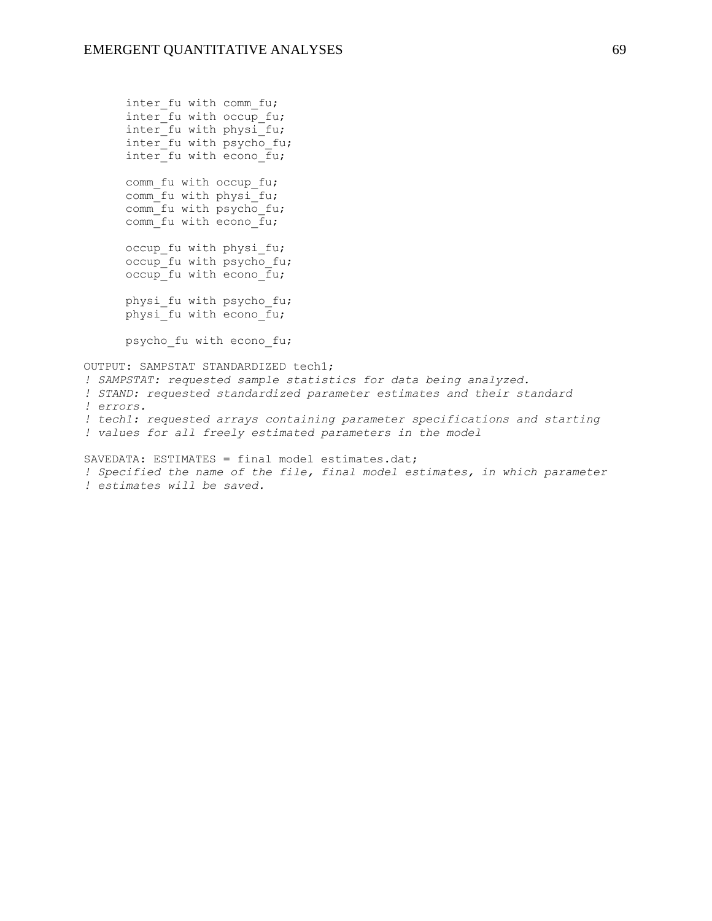inter fu with comm fu; inter  $f$ u with occup fu; inter fu with physi fu; inter fu with psycho fu; inter fu with econo fu; comm fu with occup fu; comm fu with physi<sup>tu;</sup> comm fu with psycho fu; comm fu with econo  $\overline{f}u$ ; occup fu with physi fu; occup fu with psycho fu;  $occup$  fu with econo  $fu$ ; physi fu with psycho fu; physi fu with econo fu; psycho fu with econo fu; OUTPUT: SAMPSTAT STANDARDIZED tech1; *! SAMPSTAT: requested sample statistics for data being analyzed. ! STAND: requested standardized parameter estimates and their standard ! errors. ! tech1: requested arrays containing parameter specifications and starting ! values for all freely estimated parameters in the model* SAVEDATA: ESTIMATES = final model estimates.dat;

*! Specified the name of the file, final model estimates, in which parameter ! estimates will be saved.*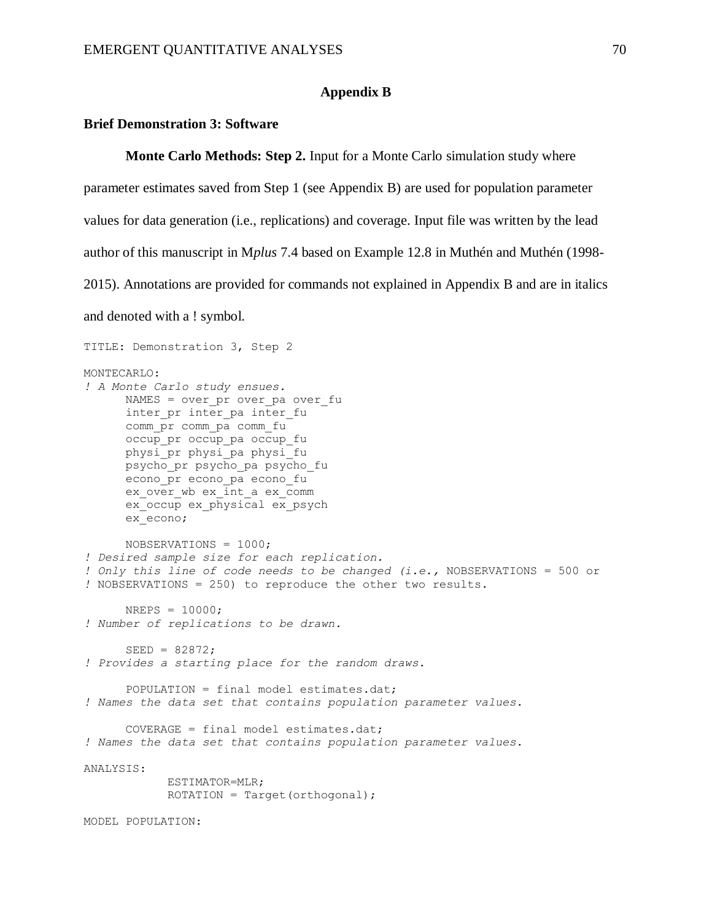#### **Appendix B**

### **Brief Demonstration 3: Software**

**Monte Carlo Methods: Step 2.** Input for a Monte Carlo simulation study where

parameter estimates saved from Step 1 (see Appendix B) are used for population parameter

values for data generation (i.e., replications) and coverage. Input file was written by the lead

author of this manuscript in M*plus* 7.4 based on Example 12.8 in Muthén and Muthén (1998-

2015). Annotations are provided for commands not explained in Appendix B and are in italics

and denoted with a ! symbol.

```
TITLE: Demonstration 3, Step 2
MONTECARLO: 
! A Monte Carlo study ensues.
      NAMES = over pr over pa over fu
      inter pr inter pa inter fu
     comm_pr comm_pa comm_fu
     occup pr occup pa occup fu
     physi_pr physi_pa physi_fu
       psycho_pr psycho_pa psycho_fu
      econo_pr econo_pa econo_fu
      ex_over_wb ex_int_a ex_comm
      ex_occup ex_physical ex_psych
       ex_econo; 
      NOBSERVATIONS = 1000;
! Desired sample size for each replication.
! Only this line of code needs to be changed (i.e., NOBSERVATIONS = 500 or 
! NOBSERVATIONS = 250) to reproduce the other two results.
      NREPS = 10000;
! Number of replications to be drawn. 
      SEED = 82872;! Provides a starting place for the random draws. 
       POPULATION = final model estimates.dat;
! Names the data set that contains population parameter values. 
       COVERAGE = final model estimates.dat;
! Names the data set that contains population parameter values. 
ANALYSIS:
             ESTIMATOR=MLR;
            ROTATION = Target(orthogonal);MODEL POPULATION:
```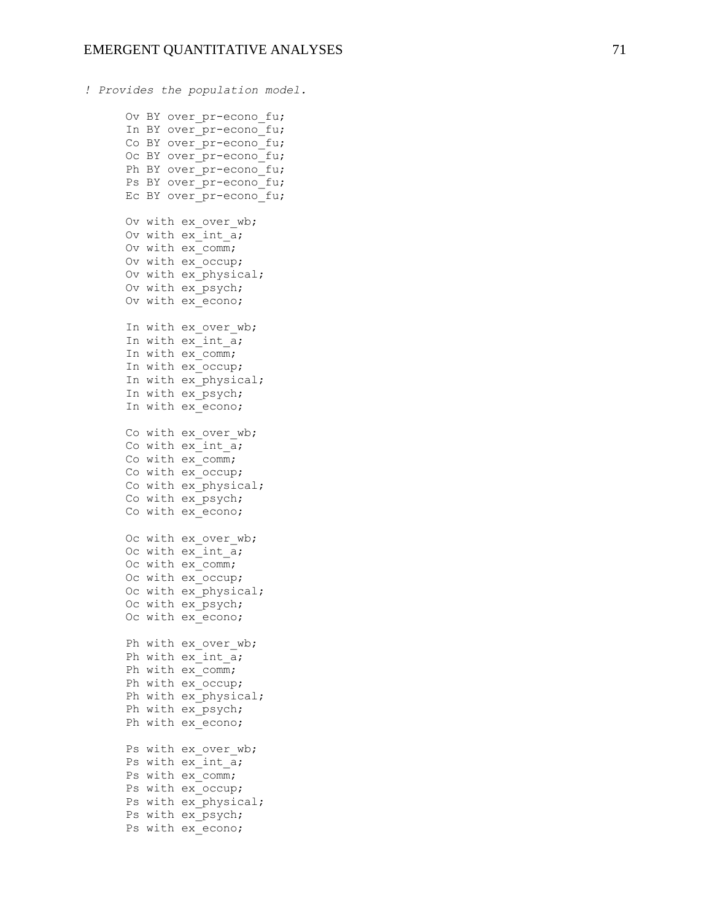```
! Provides the population model.
      Ov BY over pr-econo fu;
      In BY over pr-econo fu;
      Co BY over pr-econo fu;
      Oc BY over pr-econo fu;
      Ph BY over pr-econo fu;
      Ps BY over pr-econo fu;
      Ec BY over pr-econo fu;
      Ov with ex over wb;
      Ov with ex<sup>-</sup>int<sub>-a</sub>;
Ov with ex comm;
       Ov with ex_occup;
       Ov with ex_physical;
      Ov with ex psych;
      Ov with ex econo;
      In with ex over wb;
      In with ex int a;
      In with ex_comm;
      In with ex occup;
      In with ex physical;
      In with ex psych;
      In with ex econo;
      Co with ex over wb;
      Co with ex int a;
      Co with ex comm;
      Co with ex occup;
      Co with ex_physical;
       Co with ex_psych;
       Co with ex_econo; 
      Oc with ex over wb;
      Oc with ex int \overline{a};
      Oc with ex comm;
      Oc with ex occup;
      Oc with ex physical;
      Oc with ex psych;
      Oc with ex econo;
      Ph with ex over wb;
      Ph with ex int a;
      Ph with ex comm;
      Ph with ex occup;
      Ph with ex physical;
      Ph with ex psych;
       Ph with ex_econo;
      Ps with ex over wb;
      Ps with ex int a;
      Ps with ex comm;
      Ps with ex occup;
      Ps with ex physical;
      Ps with ex psych;
      Ps with ex econo;
```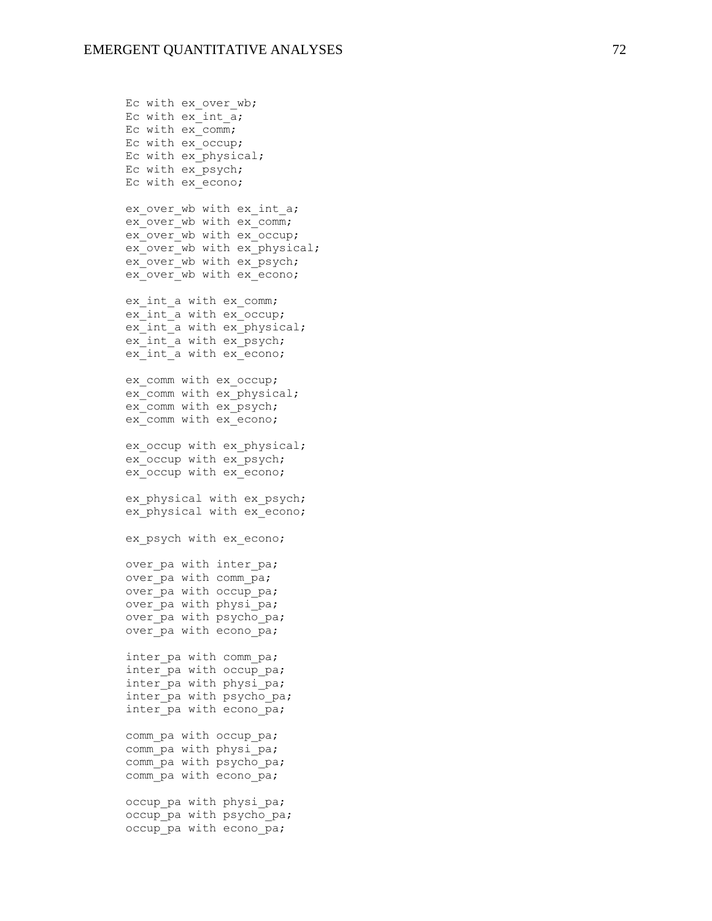Ec with ex over wb; Ec with  $ex$  int  $\overline{a}$ ; Ec with ex comm; Ec with ex\_occup; Ec with ex physical; Ec with ex\_psych; Ec with ex\_econo; ex over wb with ex int a; ex\_over\_wb\_with\_ex\_comm; ex\_over\_wb\_with\_ex\_occup; ex\_over\_wb\_with ex\_physical; ex\_over\_wb\_with ex\_psych; ex\_over\_wb\_with\_ex\_econo; ex int a with ex comm; ex int a with ex occup; ex int a with ex physical; ex\_int\_a with ex\_psych; ex\_int\_a with ex\_econo; ex comm with ex occup; ex comm with ex physical; ex\_comm with ex\_psych; ex comm with ex econo; ex occup with ex physical; ex occup with ex psych; ex\_occup with ex\_econo; ex\_physical with ex\_psych; ex physical with ex econo; ex psych with ex econo; over pa with inter pa; over pa with comm pa; over pa with occup pa; over pa with physi pa; over pa with psycho pa; over pa with econo pa; inter pa with comm pa; inter pa with occup pa; inter pa with physi pa; inter pa with psycho pa; inter pa with econo pa; comm pa with occup pa; comm pa with physi pa; comm pa with psycho pa; comm pa with econo pa; occup pa with physi pa; occup pa with psycho pa;

occup pa with econo pa;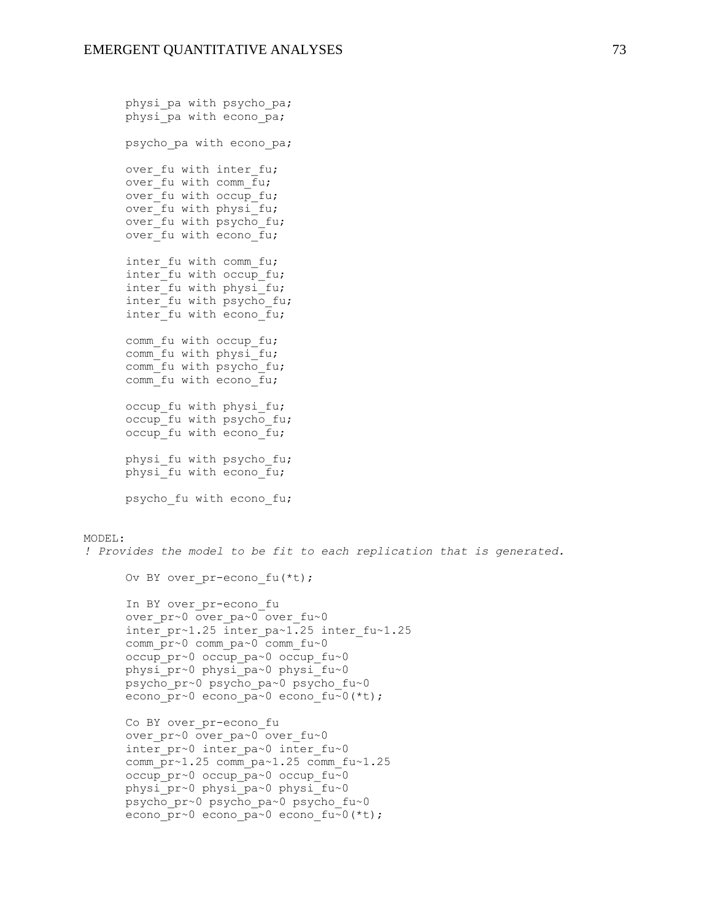```
physi pa with psycho pa;
      physi pa with econo pa;
      psycho pa with econo pa;
      over fu with inter fu;
      over fu with comm fu;
      over^{-}fu with occup fu;
      over fu with physi fu;
      overTfu with psycho fu;
      over fu with econo \overline{f}u;
      inter fu with comm fu;
      inter fu with occup fu;
      inter fu with physi fu;
      inter fu with psycho fu;
      inter fu with econo fu;
      comm fu with occup fu;
      comm fu with physi<sup>tu;</sup>
      comm fu with psycho fu;
      comm fu with econo fu;
      occup fu with physi fu;
      occup fu with psycho fu;
      occup fu with econo fu;
      physi fu with psycho fu;
      physi\overline{f}u with econo \overline{f}u;
       psycho_fu with econo_fu;
MODEL: 
! Provides the model to be fit to each replication that is generated.
      Ov BY over pr-econo fu(*t);
      In BY over pr-econo fu
      over_pr~0 over_pa~0 over fu~0
       inter_pr~1.25 inter_pa~1.25 inter_fu~1.25
       comm_pr~0 comm_pa~0 comm_fu~0
       occup_pr~0 occup_pa~0 occup_fu~0
       physi_pr~0 physi_pa~0 physi_fu~0
       psycho_pr~0 psycho_pa~0 psycho_fu~0
      econo pr~0 econo pa~0 econo fu~0(*t);
      Co BY over_pr-econo_fu 
      over pr~0 over pa~0 over fu~0
      inter pr~0 inter pa~0 inter fu~0
      comm pr~1.25 comm pa~1.25 comm fu~1.25
       occup_pr~0 occup_pa~0 occup_fu~0
       physi_pr~0 physi_pa~0 physi_fu~0
       psycho_pr~0 psycho_pa~0 psycho_fu~0
      econo pr~0 econo pa~0 econo fu~0(*t);
```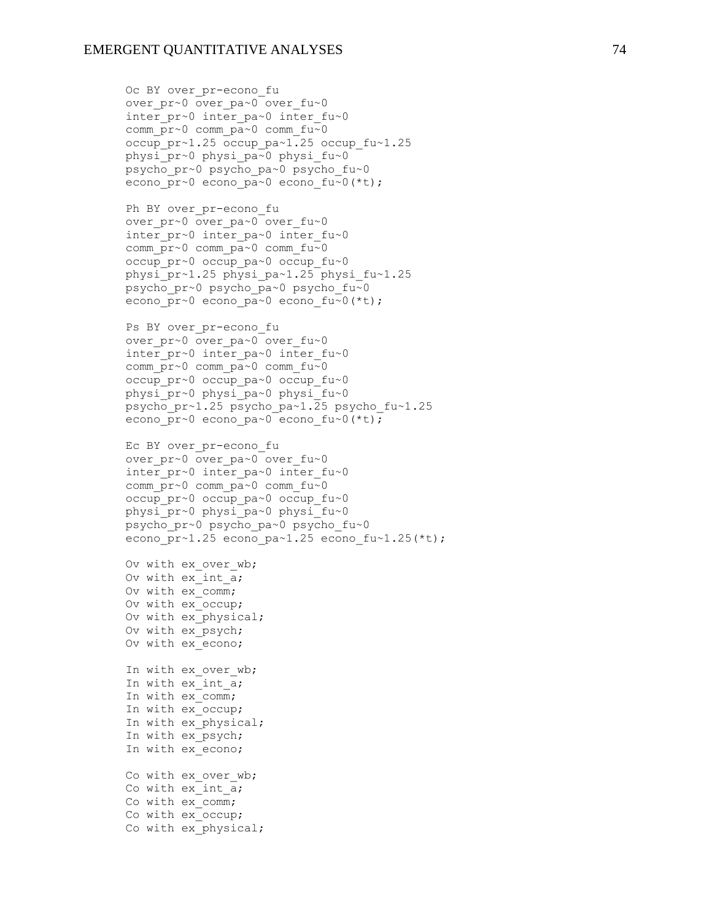over pr~0 over pa~0 over fu~0 inter pr~0 inter pa~0 inter fu~0 comm\_pr~0 comm\_pa~0 comm\_fu~0

Oc BY over pr-econo fu

occup pr~1.25 occup pa~1.25 occup fu~1.25 physi\_pr~0 physi\_pa~0 physi\_fu~0 psycho\_pr~0 psycho\_pa~0 psycho\_fu~0 econo pr~0 econo pa~0 econo fu~0(\*t); Ph BY over pr-econo fu over pr~0 over pa~0 over fu~0 inter  $pr~0$  inter pa~0 inter fu~0 comm  $\overline{\text{pr}}$ ~0 comm  $\overline{\text{pa}}$ ~0 comm fu~0 occup\_pr~0 occup\_pa~0 occup\_fu~0 physi\_pr~1.25 physi\_pa~1.25 physi\_fu~1.25 psycho\_pr~0 psycho\_pa~0 psycho\_fu~0 econo pr~0 econo pa~0 econo fu~0(\*t); Ps BY over pr-econo fu over pr~0 over pa~0 over fu~0 inter  $pr~0$  inter pa~0 inter fu~0 comm  $\overline{\text{pr}}$ ~0 comm  $\overline{\text{pa}}$ ~0 comm fu~0 occup\_pr~0 occup\_pa~0 occup\_fu~0 physi\_pr~0 physi\_pa~0 physi\_fu~0 psycho\_pr~1.25 psycho\_pa~1.25 psycho\_fu~1.25 econo pr~0 econo pa~0 econo fu~0(\*t); Ec BY over pr-econo fu over pr~0 over pa~0 over fu~0 inter  $pr~0$  inter pa~0 inter fu~0 comm  $\bar{p}r\sim0$  comm  $\bar{p}a\sim0$  comm  $fu\sim0$  occup\_pr~0 occup\_pa~0 occup\_fu~0 physi\_pr~0 physi\_pa~0 physi\_fu~0 psycho\_pr~0 psycho\_pa~0 psycho\_fu~0 econo pr~1.25 econo pa~1.25 econo fu~1.25(\*t); Ov with ex over wb; Ov with ex\_int\_a; Ov with ex\_comm; Ov with ex\_occup; Ov with ex physical; Ov with ex psych; Ov with ex econo; In with ex over wb; In with ex int a; In with ex comm; In with ex occup; In with ex physical; In with ex psych; In with ex econo; Co with ex over wb; Co with ex int a; Co with ex comm; Co with ex occup; Co with ex physical;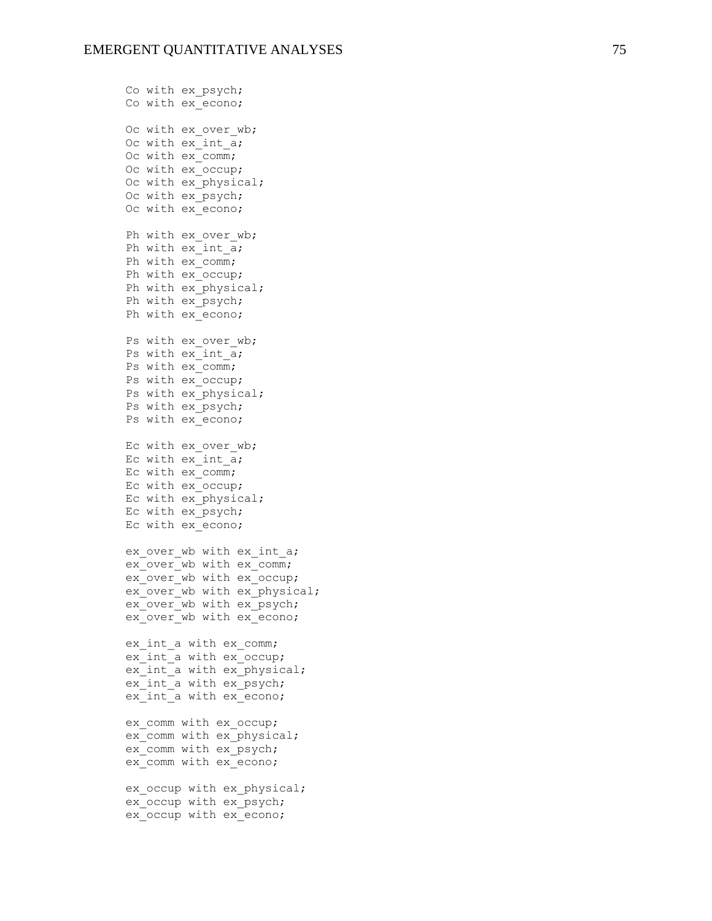Co with ex psych; Co with ex econo; Oc with ex over wb; Oc with ex int a; Oc with ex comm; Oc with ex occup; Oc with ex physical; Oc with ex psych; Oc with ex econo; Ph with ex over\_wb; Ph with  $ex$  int  $a$ ; Ph with ex\_comm; Ph with ex occup; Ph with ex physical; Ph with ex psych; Ph with ex econo; Ps with ex over wb; Ps with  $ex$  int  $a$ ; Ps with ex\_comm; Ps with ex\_occup; Ps with ex physical; Ps with ex psych; Ps with ex econo; Ec with ex over wb; Ec with ex int a; Ec with  $ex$  comm; Ec with ex\_occup; Ec with ex\_physical; Ec with ex\_psych; Ec with ex\_econo; ex over wb with ex int a;  $ex^-$ over wb with ex $comm;$ ex over wb with ex occup; ex over wb with ex physical; ex\_over\_wb\_with\_ex\_psych; ex over wb with ex econo; ex int a with ex comm; ex int a with ex occup; ex int a with ex physical; ex int a with ex psych; ex int a with ex econo; ex\_comm with ex\_occup; ex comm with ex physical; ex comm with ex psych; ex comm with ex econo; ex occup with ex physical; ex\_occup with ex\_psych; ex occup with ex econo;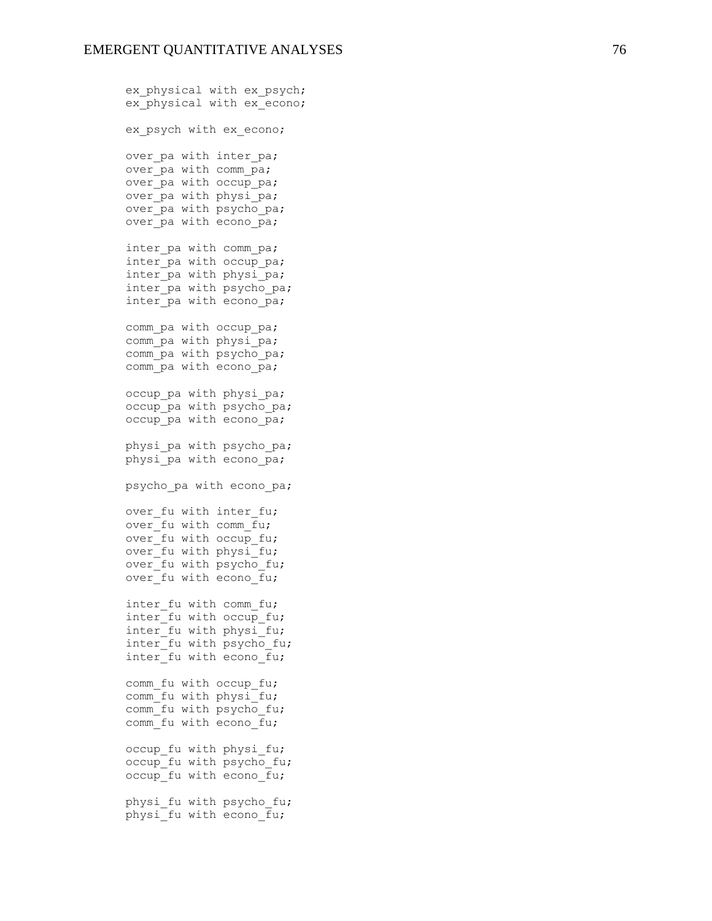ex physical with ex psych; ex\_physical with ex\_econo; ex psych with ex econo; over pa with inter pa; over pa with comm pa; over pa with occup pa; over pa with physi pa; over pa with psycho pa; over  $pa$  with econo  $pa$ ; inter pa with comm pa; inter pa with occup pa; inter pa with physi<sup>pa;</sup> inter pa with psycho pa; inter pa with econo pa; comm pa with occup pa; comm pa with physi pa; comm pa with psycho pa; comm pa with econo pa; occup pa with physi pa; occup pa with psycho pa; occup pa with econo pa; physi pa with psycho pa; physi pa with econo pa; psycho pa with econo pa; over fu with inter fu; over fu with comm fu; over fu with occup fu; over fu with physi fu; over  $f$ u with psycho fu; over fu with econo fu; inter fu with comm fu; inter fu with occup fu; inter fu with physi fu; inter fu with psycho fu; inter fu with econo fu; comm fu with occup fu; comm fu with physi fu; comm fu with psycho fu; comm\_fu with econo\_fu; occup fu with physi fu; occup fu with psycho fu; occup fu with econo fu; physi fu with psycho fu; physi fu with econo fu;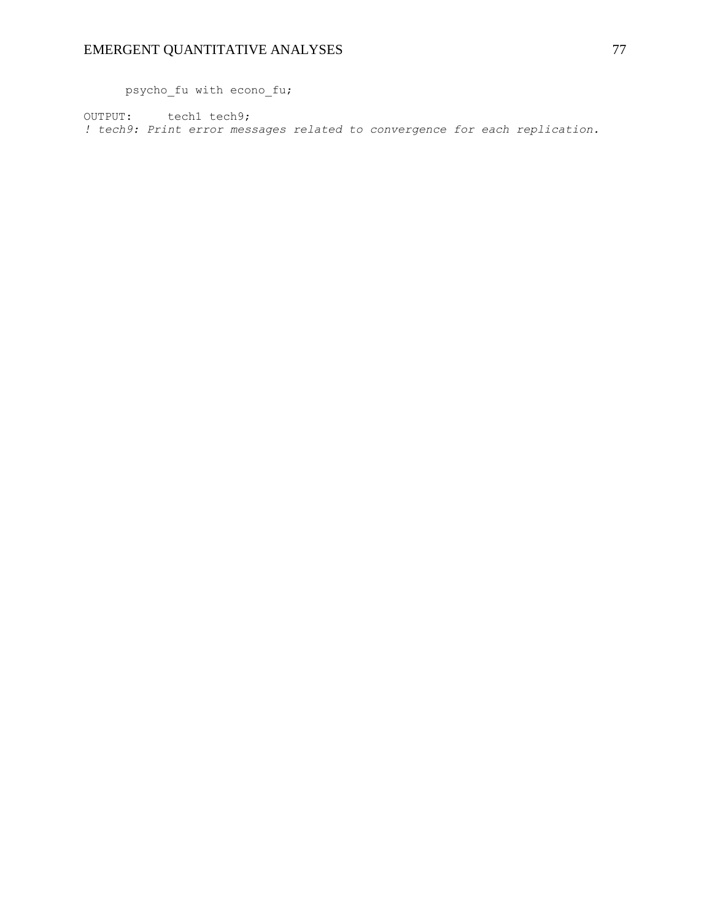psycho\_fu with econo\_fu;

OUTPUT: tech1 tech9; *! tech9: Print error messages related to convergence for each replication.*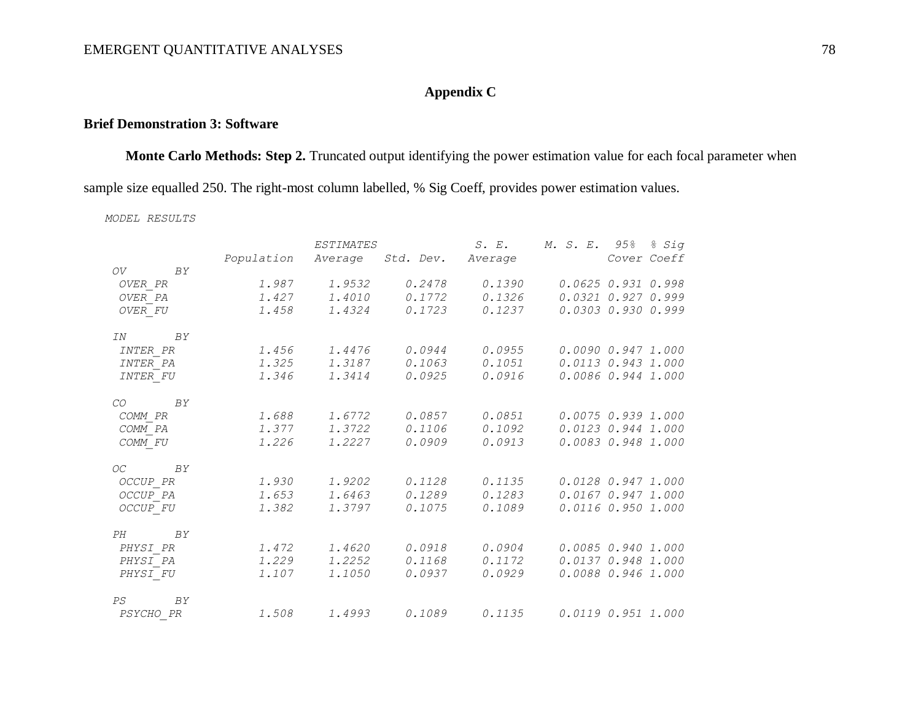### **Appendix C**

### **Brief Demonstration 3: Software**

**Monte Carlo Methods: Step 2.** Truncated output identifying the power estimation value for each focal parameter when sample size equalled 250. The right-most column labelled, % Sig Coeff, provides power estimation values.

*MODEL RESULTS*

|                  | ESTIMATES  |        |                           | S. E.  | M. S. E. 95% % Sig       |
|------------------|------------|--------|---------------------------|--------|--------------------------|
|                  | Population |        | Average Std. Dev. Average |        | Cover Coeff              |
| OV BY            |            |        |                           |        |                          |
| OVER PR          | 1.987      | 1.9532 | 0.2478                    | 0.1390 | 0.06250.9310.998         |
| OVER PA          | 1.427      | 1.4010 | 0.1772                    | 0.1326 | $0.0321$ $0.927$ $0.999$ |
| OVER FU          | 1.458      | 1.4324 | 0.1723                    | 0.1237 | 0.03030.9300.999         |
| IN<br>BY         |            |        |                           |        |                          |
| <i>INTER PR</i>  | 1.456      | 1.4476 | 0.0944                    | 0.0955 | 0.009000.9471.000        |
| INTER PA         | 1.325      | 1.3187 | 0.1063                    | 0.1051 | 0.0113 0.943 1.000       |
| INTER FU         | 1.346      | 1.3414 | 0.0925                    | 0.0916 | 0.00860.9441.000         |
| BY<br>CO         |            |        |                           |        |                          |
| COMM PR          | 1.688      | 1.6772 | 0.0857                    | 0.0851 | 0.0075 0.939 1.000       |
| COMM PA          | 1.377      | 1.3722 | 0.1106                    | 0.1092 | $0.0123$ 0.944 1.000     |
| COMM FU          | 1.226      | 1.2227 | 0.0909                    | 0.0913 | 0.0083 0.948 1.000       |
| OC<br>BY         |            |        |                           |        |                          |
| OCCUP PR         | 1.930      | 1.9202 | 0.1128                    | 0.1135 | 0.0128 0.947 1.000       |
| OCCUP PA         | 1.653      | 1.6463 | 0.1289                    | 0.1283 | 0.01670.9471.000         |
| OCCUP FU         | 1.382      | 1.3797 | 0.1075                    | 0.1089 | 0.01160.9501.000         |
| BY<br>PH         |            |        |                           |        |                          |
| PHYSI PR         | 1.472      | 1.4620 | 0.0918                    | 0.0904 | 0.00850.9401.000         |
| PHYSI PA         | 1.229      | 1.2252 | 0.1168                    | 0.1172 | 0.0137 0.948 1.000       |
| PHYSI FU         | 1.107      | 1,1050 | 0.0937                    | 0.0929 | 0.0088 0.946 1.000       |
| PS<br>BY         |            |        |                           |        |                          |
| <i>PSYCHO PR</i> |            |        | 1.508 1.4993 0.1089       | 0.1135 | 0.0119 0.951 1.000       |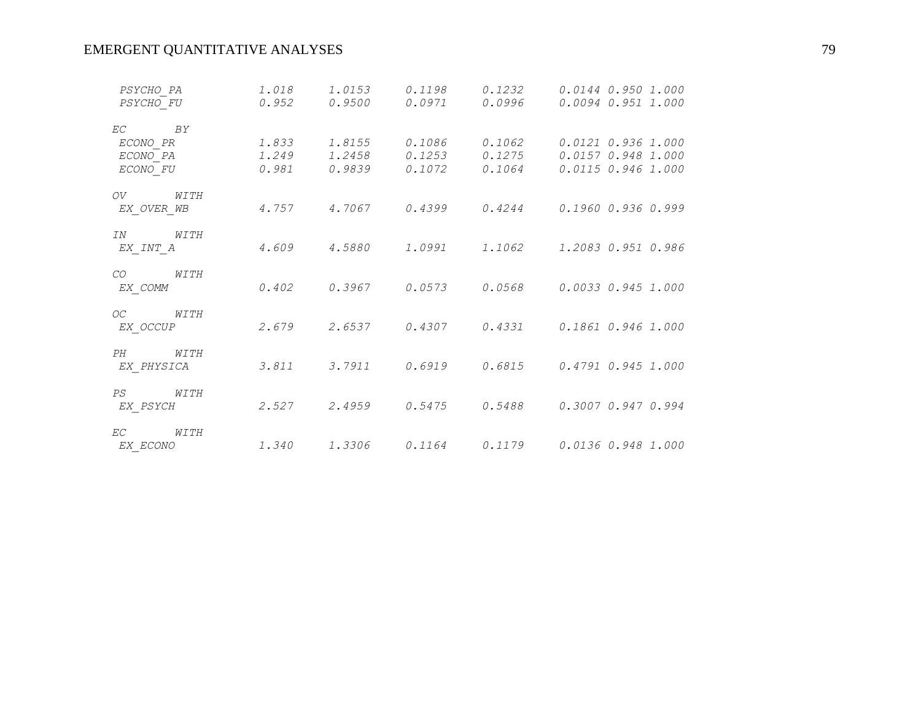# EMERGENT QUANTITATIVE ANALYSES 79

| 0.0094 0.951 1.000<br>0.0121 0.936 1.000<br>$1.2458$ 0.1253 0.1275 0.0157 0.948 1.000<br>0.0115 0.946 1.000 |
|-------------------------------------------------------------------------------------------------------------|
|                                                                                                             |
|                                                                                                             |
|                                                                                                             |
|                                                                                                             |
|                                                                                                             |
|                                                                                                             |
| $4.757$ $4.7067$ $0.4399$ $0.4244$ $0.1960$ $0.936$ $0.999$                                                 |
|                                                                                                             |
| $4.609$ $4.5880$ $1.0991$ $1.1062$ $1.2083$ 0.951 0.986                                                     |
|                                                                                                             |
| 0.0033 0.945 1.000                                                                                          |
|                                                                                                             |
| $2.679$ $2.6537$ $0.4307$ $0.4331$ $0.1861$ $0.946$ $1.000$                                                 |
|                                                                                                             |
| $3.811$ $3.7911$ $0.6919$ $0.6815$ $0.4791$ $0.945$ $1.000$                                                 |
|                                                                                                             |
| 0.3007 0.947 0.994                                                                                          |
|                                                                                                             |
| $1.340$ $1.3306$ $0.1164$ $0.1179$ $0.0136$ $0.948$ $1.000$                                                 |
|                                                                                                             |